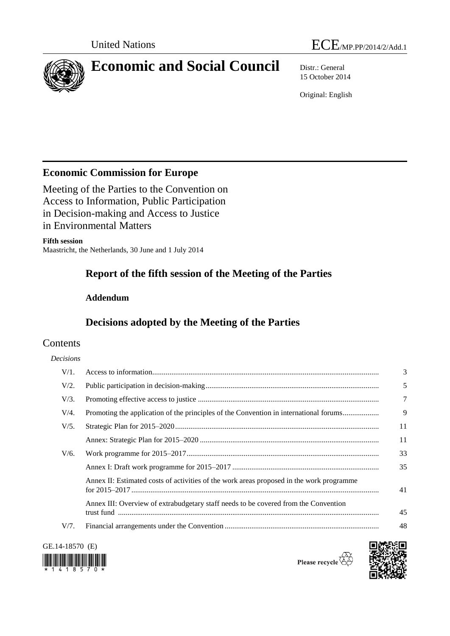



# **Economic and Social Council** Distr.: General

15 October 2014

Original: English

# **Economic Commission for Europe**

Meeting of the Parties to the Convention on Access to Information, Public Participation in Decision-making and Access to Justice in Environmental Matters

#### **Fifth session**

Maastricht, the Netherlands, 30 June and 1 July 2014

# **Report of the fifth session of the Meeting of the Parties**

# **Addendum**

# **Decisions adopted by the Meeting of the Parties**

# Contents

### *Decisions*

| $V/1$ . |                                                                                          | 3  |
|---------|------------------------------------------------------------------------------------------|----|
| V/2.    |                                                                                          | 5  |
| $V/3$ . |                                                                                          | 7  |
| $V/4$ . | Promoting the application of the principles of the Convention in international forums    | 9  |
| $V/5$ . |                                                                                          | 11 |
|         |                                                                                          | 11 |
| $V/6$ . |                                                                                          | 33 |
|         |                                                                                          | 35 |
|         | Annex II: Estimated costs of activities of the work areas proposed in the work programme | 41 |
|         | Annex III: Overview of extrabudgetary staff needs to be covered from the Convention      | 45 |
| V/7.    |                                                                                          | 48 |
|         |                                                                                          |    |

GE.14-18570 (E)



Please recycle  $\overline{\mathcal{C}}$ 

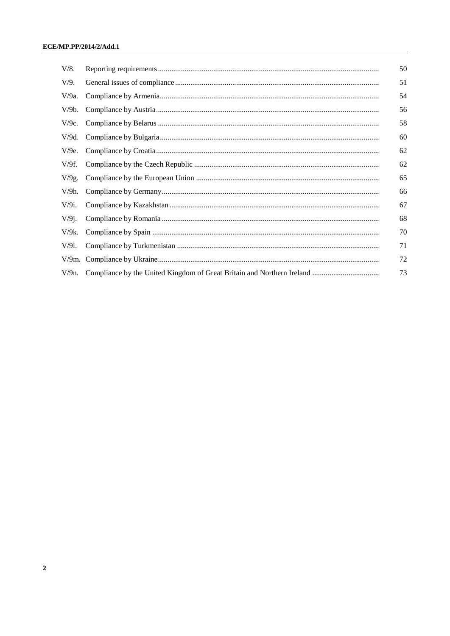| V/8.     | 50 |
|----------|----|
| V/9.     | 51 |
| $V/9a$ . | 54 |
| V/9b.    | 56 |
| $V/9c$ . | 58 |
| $V/9d$ . | 60 |
| V/9e.    | 62 |
| V/9f.    | 62 |
| $V/9g$ . | 65 |
| $V/9h$ . | 66 |
| $V/9i$ . | 67 |
| $V/9$ j. | 68 |
| $V/9k$ . | 70 |
| $V/91$ . | 71 |
|          | 72 |
| $V/9n$ . | 73 |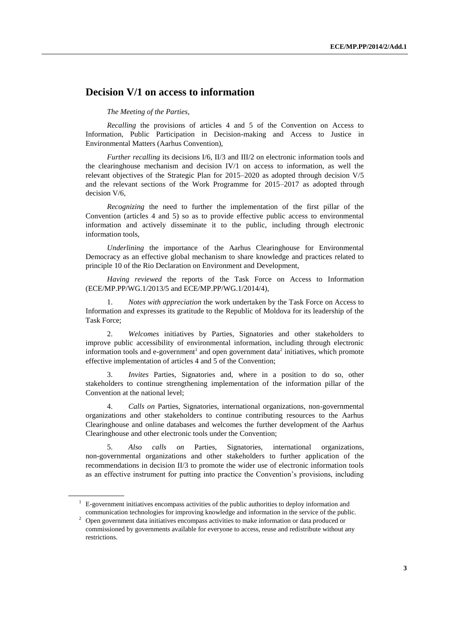# **Decision V/1 on access to information**

*The Meeting of the Parties*,

*Recalling* the provisions of articles 4 and 5 of the Convention on Access to Information, Public Participation in Decision-making and Access to Justice in Environmental Matters (Aarhus Convention),

*Further recalling* its decisions I/6, II/3 and III/2 on electronic information tools and the clearinghouse mechanism and decision IV/1 on access to information, as well the relevant objectives of the Strategic Plan for 2015–2020 as adopted through decision V/5 and the relevant sections of the Work Programme for 2015–2017 as adopted through decision V/6,

*Recognizing* the need to further the implementation of the first pillar of the Convention (articles 4 and 5) so as to provide effective public access to environmental information and actively disseminate it to the public, including through electronic information tools,

*Underlining* the importance of the Aarhus Clearinghouse for Environmental Democracy as an effective global mechanism to share knowledge and practices related to principle 10 of the Rio Declaration on Environment and Development,

*Having reviewed* the reports of the Task Force on Access to Information (ECE/MP.PP/WG.1/2013/5 and ECE/MP.PP/WG.1/2014/4),

1. *Notes with appreciation* the work undertaken by the Task Force on Access to Information and expresses its gratitude to the Republic of Moldova for its leadership of the Task Force;

2. *Welcomes* initiatives by Parties, Signatories and other stakeholders to improve public accessibility of environmental information, including through electronic information tools and e-government<sup>1</sup> and open government data<sup>2</sup> initiatives, which promote effective implementation of articles 4 and 5 of the Convention;

3. *Invites* Parties, Signatories and, where in a position to do so, other stakeholders to continue strengthening implementation of the information pillar of the Convention at the national level;

4. *Calls on* Parties, Signatories, international organizations, non-governmental organizations and other stakeholders to continue contributing resources to the Aarhus Clearinghouse and online databases and welcomes the further development of the Aarhus Clearinghouse and other electronic tools under the Convention;

5. *Also calls on* Parties, Signatories, international organizations, non-governmental organizations and other stakeholders to further application of the recommendations in decision II/3 to promote the wider use of electronic information tools as an effective instrument for putting into practice the Convention's provisions, including

<sup>&</sup>lt;sup>1</sup> E-government initiatives encompass activities of the public authorities to deploy information and communication technologies for improving knowledge and information in the service of the public.

<sup>&</sup>lt;sup>2</sup> Open government data initiatives encompass activities to make information or data produced or commissioned by governments available for everyone to access, reuse and redistribute without any restrictions.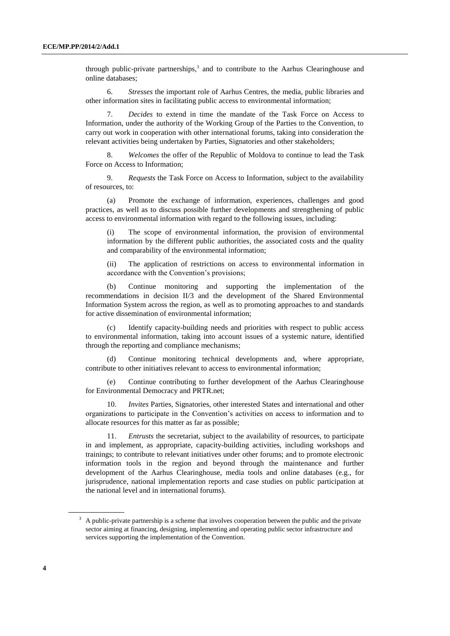through public-private partnerships,<sup>3</sup> and to contribute to the Aarhus Clearinghouse and online databases;

6. *Stresses* the important role of Aarhus Centres, the media, public libraries and other information sites in facilitating public access to environmental information;

7. *Decides* to extend in time the mandate of the Task Force on Access to Information, under the authority of the Working Group of the Parties to the Convention, to carry out work in cooperation with other international forums, taking into consideration the relevant activities being undertaken by Parties, Signatories and other stakeholders;

8. *Welcomes* the offer of the Republic of Moldova to continue to lead the Task Force on Access to Information;

9. *Requests* the Task Force on Access to Information, subject to the availability of resources, to:

(a) Promote the exchange of information, experiences, challenges and good practices, as well as to discuss possible further developments and strengthening of public access to environmental information with regard to the following issues, including:

(i) The scope of environmental information, the provision of environmental information by the different public authorities, the associated costs and the quality and comparability of the environmental information;

(ii) The application of restrictions on access to environmental information in accordance with the Convention's provisions;

(b) Continue monitoring and supporting the implementation of the recommendations in decision II/3 and the development of the Shared Environmental Information System across the region, as well as to promoting approaches to and standards for active dissemination of environmental information;

(c) Identify capacity-building needs and priorities with respect to public access to environmental information, taking into account issues of a systemic nature, identified through the reporting and compliance mechanisms;

(d) Continue monitoring technical developments and, where appropriate, contribute to other initiatives relevant to access to environmental information;

(e) Continue contributing to further development of the Aarhus Clearinghouse for Environmental Democracy and PRTR.net;

10. *Invites* Parties, Signatories, other interested States and international and other organizations to participate in the Convention's activities on access to information and to allocate resources for this matter as far as possible;

*Entrusts* the secretariat, subject to the availability of resources, to participate in and implement, as appropriate, capacity-building activities, including workshops and trainings; to contribute to relevant initiatives under other forums; and to promote electronic information tools in the region and beyond through the maintenance and further development of the Aarhus Clearinghouse, media tools and online databases (e.g., for jurisprudence, national implementation reports and case studies on public participation at the national level and in international forums).

<sup>3</sup> A public-private partnership is a scheme that involves cooperation between the public and the private sector aiming at financing, designing, implementing and operating public sector infrastructure and services supporting the implementation of the Convention.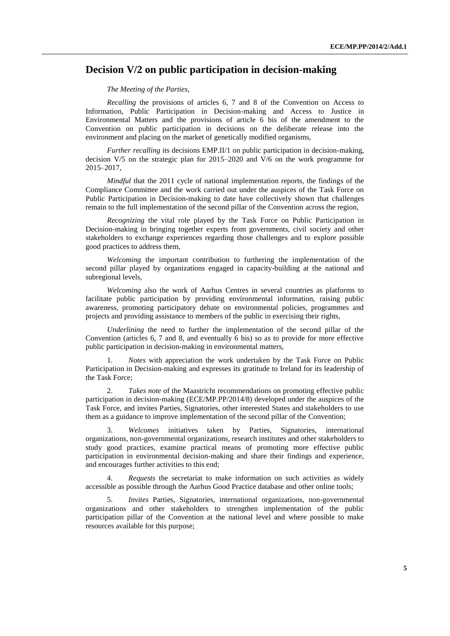# **Decision V/2 on public participation in decision-making**

#### *The Meeting of the Parties,*

*Recalling* the provisions of articles 6, 7 and 8 of the Convention on Access to Information, Public Participation in Decision-making and Access to Justice in Environmental Matters and the provisions of article 6 bis of the amendment to the Convention on public participation in decisions on the deliberate release into the environment and placing on the market of genetically modified organisms,

*Further recalling* its decisions EMP.II/1 on public participation in decision-making, decision V/5 on the strategic plan for 2015–2020 and V/6 on the work programme for 2015–2017,

*Mindful* that the 2011 cycle of national implementation reports, the findings of the Compliance Committee and the work carried out under the auspices of the Task Force on Public Participation in Decision-making to date have collectively shown that challenges remain to the full implementation of the second pillar of the Convention across the region,

*Recognizing* the vital role played by the Task Force on Public Participation in Decision-making in bringing together experts from governments, civil society and other stakeholders to exchange experiences regarding those challenges and to explore possible good practices to address them,

*Welcoming* the important contribution to furthering the implementation of the second pillar played by organizations engaged in capacity-building at the national and subregional levels,

*Welcoming* also the work of Aarhus Centres in several countries as platforms to facilitate public participation by providing environmental information, raising public awareness, promoting participatory debate on environmental policies, programmes and projects and providing assistance to members of the public in exercising their rights,

*Underlining* the need to further the implementation of the second pillar of the Convention (articles 6, 7 and 8, and eventually 6 bis) so as to provide for more effective public participation in decision-making in environmental matters,

*Notes* with appreciation the work undertaken by the Task Force on Public Participation in Decision-making and expresses its gratitude to Ireland for its leadership of the Task Force;

2. *Takes note* of the Maastricht recommendations on promoting effective public participation in decision-making (ECE/MP.PP/2014/8) developed under the auspices of the Task Force, and invites Parties, Signatories, other interested States and stakeholders to use them as a guidance to improve implementation of the second pillar of the Convention;

3. *Welcomes* initiatives taken by Parties, Signatories, international organizations, non-governmental organizations, research institutes and other stakeholders to study good practices, examine practical means of promoting more effective public participation in environmental decision-making and share their findings and experience, and encourages further activities to this end;

4. *Requests* the secretariat to make information on such activities as widely accessible as possible through the Aarhus Good Practice database and other online tools;

5. *Invites* Parties, Signatories, international organizations, non-governmental organizations and other stakeholders to strengthen implementation of the public participation pillar of the Convention at the national level and where possible to make resources available for this purpose;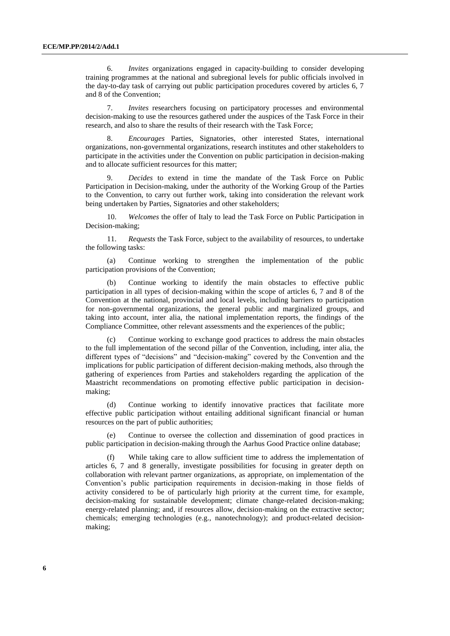6. *Invites* organizations engaged in capacity-building to consider developing training programmes at the national and subregional levels for public officials involved in the day-to-day task of carrying out public participation procedures covered by articles 6, 7 and 8 of the Convention;

7. *Invites* researchers focusing on participatory processes and environmental decision-making to use the resources gathered under the auspices of the Task Force in their research, and also to share the results of their research with the Task Force;

8. *Encourages* Parties, Signatories, other interested States, international organizations, non-governmental organizations, research institutes and other stakeholders to participate in the activities under the Convention on public participation in decision-making and to allocate sufficient resources for this matter;

9. *Decides* to extend in time the mandate of the Task Force on Public Participation in Decision-making, under the authority of the Working Group of the Parties to the Convention, to carry out further work, taking into consideration the relevant work being undertaken by Parties, Signatories and other stakeholders;

10. *Welcomes* the offer of Italy to lead the Task Force on Public Participation in Decision-making;

11. *Requests* the Task Force, subject to the availability of resources, to undertake the following tasks:

(a) Continue working to strengthen the implementation of the public participation provisions of the Convention;

Continue working to identify the main obstacles to effective public participation in all types of decision-making within the scope of articles 6, 7 and 8 of the Convention at the national, provincial and local levels, including barriers to participation for non-governmental organizations, the general public and marginalized groups, and taking into account, inter alia, the national implementation reports, the findings of the Compliance Committee, other relevant assessments and the experiences of the public;

(c) Continue working to exchange good practices to address the main obstacles to the full implementation of the second pillar of the Convention, including, inter alia, the different types of "decisions" and "decision-making" covered by the Convention and the implications for public participation of different decision-making methods, also through the gathering of experiences from Parties and stakeholders regarding the application of the Maastricht recommendations on promoting effective public participation in decisionmaking;

Continue working to identify innovative practices that facilitate more effective public participation without entailing additional significant financial or human resources on the part of public authorities;

(e) Continue to oversee the collection and dissemination of good practices in public participation in decision-making through the Aarhus Good Practice online database;

(f) While taking care to allow sufficient time to address the implementation of articles 6, 7 and 8 generally, investigate possibilities for focusing in greater depth on collaboration with relevant partner organizations, as appropriate, on implementation of the Convention's public participation requirements in decision-making in those fields of activity considered to be of particularly high priority at the current time, for example, decision-making for sustainable development; climate change-related decision-making; energy-related planning; and, if resources allow, decision-making on the extractive sector; chemicals; emerging technologies (e.g., nanotechnology); and product-related decisionmaking;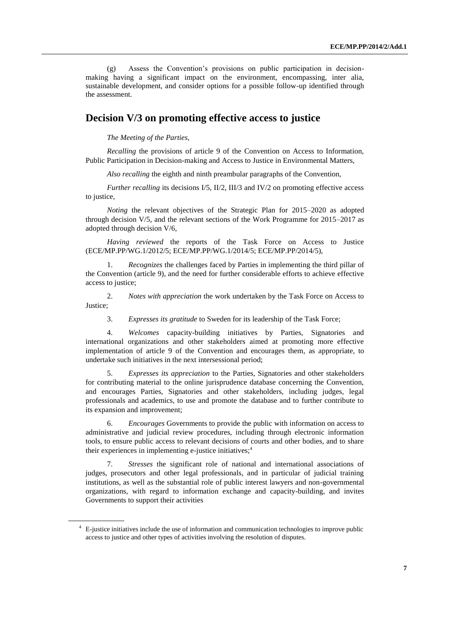(g) Assess the Convention's provisions on public participation in decisionmaking having a significant impact on the environment, encompassing, inter alia, sustainable development, and consider options for a possible follow-up identified through the assessment.

# **Decision V/3 on promoting effective access to justice**

*The Meeting of the Parties,*

*Recalling* the provisions of article 9 of the Convention on Access to Information, Public Participation in Decision-making and Access to Justice in Environmental Matters,

*Also recalling* the eighth and ninth preambular paragraphs of the Convention,

*Further recalling* its decisions I/5, II/2, III/3 and IV/2 on promoting effective access to justice,

*Noting* the relevant objectives of the Strategic Plan for 2015–2020 as adopted through decision V/5, and the relevant sections of the Work Programme for 2015–2017 as adopted through decision V/6,

*Having reviewed* the reports of the Task Force on Access to Justice (ECE/MP.PP/WG.1/2012/5; ECE/MP.PP/WG.1/2014/5; ECE/MP.PP/2014/5),

1. *Recognizes* the challenges faced by Parties in implementing the third pillar of the Convention (article 9), and the need for further considerable efforts to achieve effective access to justice;

2. *Notes with appreciation* the work undertaken by the Task Force on Access to Justice;

3. *Expresses its gratitude* to Sweden for its leadership of the Task Force;

4. *Welcomes* capacity-building initiatives by Parties, Signatories and international organizations and other stakeholders aimed at promoting more effective implementation of article 9 of the Convention and encourages them, as appropriate, to undertake such initiatives in the next intersessional period;

5. *Expresses its appreciation* to the Parties, Signatories and other stakeholders for contributing material to the online jurisprudence database concerning the Convention, and encourages Parties, Signatories and other stakeholders, including judges, legal professionals and academics, to use and promote the database and to further contribute to its expansion and improvement;

6. *Encourages* Governments to provide the public with information on access to administrative and judicial review procedures, including through electronic information tools, to ensure public access to relevant decisions of courts and other bodies, and to share their experiences in implementing e-justice initiatives;<sup>4</sup>

7. *Stresses* the significant role of national and international associations of judges, prosecutors and other legal professionals, and in particular of judicial training institutions, as well as the substantial role of public interest lawyers and non-governmental organizations, with regard to information exchange and capacity-building, and invites Governments to support their activities

<sup>4</sup> E-justice initiatives include the use of information and communication technologies to improve public access to justice and other types of activities involving the resolution of disputes.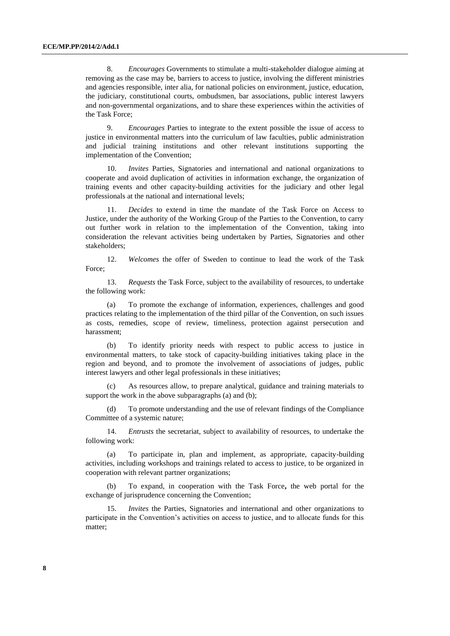8. *Encourages* Governments to stimulate a multi-stakeholder dialogue aiming at removing as the case may be, barriers to access to justice, involving the different ministries and agencies responsible, inter alia, for national policies on environment, justice, education, the judiciary, constitutional courts, ombudsmen, bar associations, public interest lawyers and non-governmental organizations, and to share these experiences within the activities of the Task Force;

9. *Encourages* Parties to integrate to the extent possible the issue of access to justice in environmental matters into the curriculum of law faculties, public administration and judicial training institutions and other relevant institutions supporting the implementation of the Convention;

10. *Invites* Parties, Signatories and international and national organizations to cooperate and avoid duplication of activities in information exchange, the organization of training events and other capacity-building activities for the judiciary and other legal professionals at the national and international levels;

11. *Decides* to extend in time the mandate of the Task Force on Access to Justice, under the authority of the Working Group of the Parties to the Convention, to carry out further work in relation to the implementation of the Convention, taking into consideration the relevant activities being undertaken by Parties, Signatories and other stakeholders;

12. *Welcomes* the offer of Sweden to continue to lead the work of the Task Force;

13. *Requests* the Task Force, subject to the availability of resources, to undertake the following work:

(a) To promote the exchange of information, experiences, challenges and good practices relating to the implementation of the third pillar of the Convention, on such issues as costs, remedies, scope of review, timeliness, protection against persecution and harassment;

(b) To identify priority needs with respect to public access to justice in environmental matters, to take stock of capacity-building initiatives taking place in the region and beyond, and to promote the involvement of associations of judges, public interest lawyers and other legal professionals in these initiatives;

(c) As resources allow, to prepare analytical, guidance and training materials to support the work in the above subparagraphs (a) and (b);

(d) To promote understanding and the use of relevant findings of the Compliance Committee of a systemic nature;

14. *Entrusts* the secretariat, subject to availability of resources, to undertake the following work:

(a) To participate in, plan and implement, as appropriate, capacity-building activities, including workshops and trainings related to access to justice, to be organized in cooperation with relevant partner organizations;

(b) To expand, in cooperation with the Task Force**,** the web portal for the exchange of jurisprudence concerning the Convention;

15. *Invites* the Parties, Signatories and international and other organizations to participate in the Convention's activities on access to justice, and to allocate funds for this matter;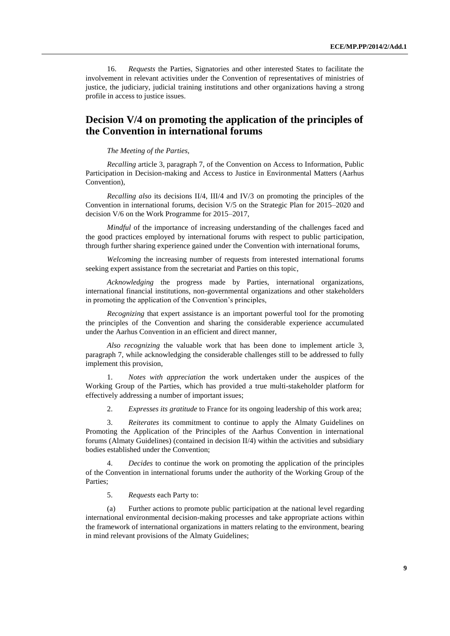16. *Requests* the Parties, Signatories and other interested States to facilitate the involvement in relevant activities under the Convention of representatives of ministries of justice, the judiciary, judicial training institutions and other organizations having a strong profile in access to justice issues.

# **Decision V/4 on promoting the application of the principles of the Convention in international forums**

*The Meeting of the Parties,*

*Recalling* article 3, paragraph 7, of the Convention on Access to Information, Public Participation in Decision-making and Access to Justice in Environmental Matters (Aarhus Convention),

*Recalling also* its decisions II/4, III/4 and IV/3 on promoting the principles of the Convention in international forums, decision V/5 on the Strategic Plan for 2015–2020 and decision V/6 on the Work Programme for 2015–2017,

*Mindful* of the importance of increasing understanding of the challenges faced and the good practices employed by international forums with respect to public participation, through further sharing experience gained under the Convention with international forums,

*Welcoming* the increasing number of requests from interested international forums seeking expert assistance from the secretariat and Parties on this topic,

*Acknowledging* the progress made by Parties, international organizations, international financial institutions, non-governmental organizations and other stakeholders in promoting the application of the Convention's principles,

*Recognizing* that expert assistance is an important powerful tool for the promoting the principles of the Convention and sharing the considerable experience accumulated under the Aarhus Convention in an efficient and direct manner,

*Also recognizing* the valuable work that has been done to implement article 3, paragraph 7, while acknowledging the considerable challenges still to be addressed to fully implement this provision,

1. *Notes with appreciation* the work undertaken under the auspices of the Working Group of the Parties, which has provided a true multi-stakeholder platform for effectively addressing a number of important issues;

2. *Expresses its gratitude* to France for its ongoing leadership of this work area;

3. *Reiterates* its commitment to continue to apply the Almaty Guidelines on Promoting the Application of the Principles of the Aarhus Convention in international forums (Almaty Guidelines) (contained in decision II/4) within the activities and subsidiary bodies established under the Convention;

4. *Decides* to continue the work on promoting the application of the principles of the Convention in international forums under the authority of the Working Group of the Parties;

5. *Requests* each Party to:

(a) Further actions to promote public participation at the national level regarding international environmental decision-making processes and take appropriate actions within the framework of international organizations in matters relating to the environment, bearing in mind relevant provisions of the Almaty Guidelines;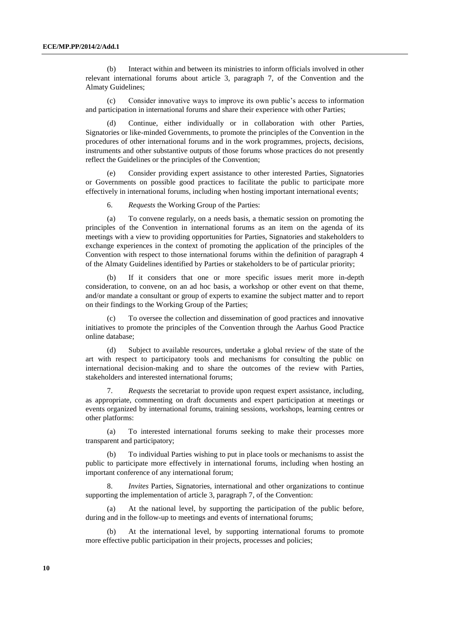(b) Interact within and between its ministries to inform officials involved in other relevant international forums about article 3, paragraph 7, of the Convention and the Almaty Guidelines;

(c) Consider innovative ways to improve its own public's access to information and participation in international forums and share their experience with other Parties;

(d) Continue, either individually or in collaboration with other Parties, Signatories or like-minded Governments, to promote the principles of the Convention in the procedures of other international forums and in the work programmes, projects, decisions, instruments and other substantive outputs of those forums whose practices do not presently reflect the Guidelines or the principles of the Convention;

(e) Consider providing expert assistance to other interested Parties, Signatories or Governments on possible good practices to facilitate the public to participate more effectively in international forums, including when hosting important international events;

6. *Requests* the Working Group of the Parties:

(a) To convene regularly, on a needs basis, a thematic session on promoting the principles of the Convention in international forums as an item on the agenda of its meetings with a view to providing opportunities for Parties, Signatories and stakeholders to exchange experiences in the context of promoting the application of the principles of the Convention with respect to those international forums within the definition of paragraph 4 of the Almaty Guidelines identified by Parties or stakeholders to be of particular priority;

(b) If it considers that one or more specific issues merit more in-depth consideration, to convene, on an ad hoc basis, a workshop or other event on that theme, and/or mandate a consultant or group of experts to examine the subject matter and to report on their findings to the Working Group of the Parties;

(c) To oversee the collection and dissemination of good practices and innovative initiatives to promote the principles of the Convention through the Aarhus Good Practice online database;

(d) Subject to available resources, undertake a global review of the state of the art with respect to participatory tools and mechanisms for consulting the public on international decision-making and to share the outcomes of the review with Parties, stakeholders and interested international forums;

7. *Requests* the secretariat to provide upon request expert assistance, including, as appropriate, commenting on draft documents and expert participation at meetings or events organized by international forums, training sessions, workshops, learning centres or other platforms:

(a) To interested international forums seeking to make their processes more transparent and participatory;

(b) To individual Parties wishing to put in place tools or mechanisms to assist the public to participate more effectively in international forums, including when hosting an important conference of any international forum;

8. *Invites* Parties, Signatories, international and other organizations to continue supporting the implementation of article 3, paragraph 7, of the Convention:

(a) At the national level, by supporting the participation of the public before, during and in the follow-up to meetings and events of international forums;

(b) At the international level, by supporting international forums to promote more effective public participation in their projects, processes and policies;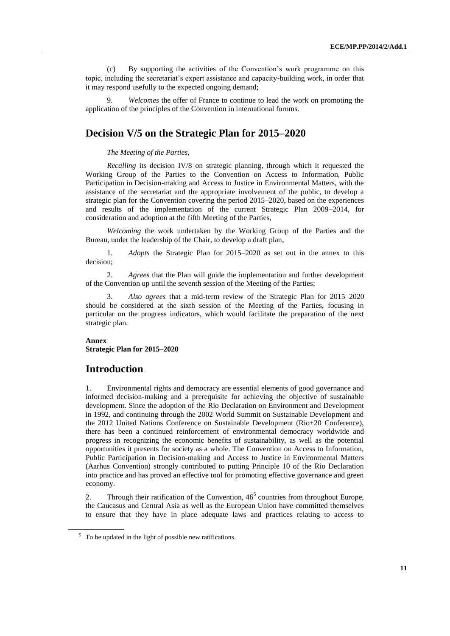(c) By supporting the activities of the Convention's work programme on this topic, including the secretariat's expert assistance and capacity-building work, in order that it may respond usefully to the expected ongoing demand;

9. *Welcomes* the offer of France to continue to lead the work on promoting the application of the principles of the Convention in international forums.

# **Decision V/5 on the Strategic Plan for 2015–2020**

#### *The Meeting of the Parties,*

*Recalling* its decision IV/8 on strategic planning, through which it requested the Working Group of the Parties to the Convention on Access to Information, Public Participation in Decision-making and Access to Justice in Environmental Matters, with the assistance of the secretariat and the appropriate involvement of the public, to develop a strategic plan for the Convention covering the period 2015–2020, based on the experiences and results of the implementation of the current Strategic Plan 2009–2014, for consideration and adoption at the fifth Meeting of the Parties,

*Welcoming* the work undertaken by the Working Group of the Parties and the Bureau, under the leadership of the Chair, to develop a draft plan,

1. *Adopts* the Strategic Plan for 2015–2020 as set out in the annex to this decision;

2. *Agrees* that the Plan will guide the implementation and further development of the Convention up until the seventh session of the Meeting of the Parties;

3. *Also agrees* that a mid-term review of the Strategic Plan for 2015–2020 should be considered at the sixth session of the Meeting of the Parties, focusing in particular on the progress indicators, which would facilitate the preparation of the next strategic plan.

#### **Annex**

**Strategic Plan for 2015–2020**

# **Introduction**

1. Environmental rights and democracy are essential elements of good governance and informed decision-making and a prerequisite for achieving the objective of sustainable development. Since the adoption of the Rio Declaration on Environment and Development in 1992, and continuing through the 2002 World Summit on Sustainable Development and the 2012 United Nations Conference on Sustainable Development (Rio+20 Conference), there has been a continued reinforcement of environmental democracy worldwide and progress in recognizing the economic benefits of sustainability, as well as the potential opportunities it presents for society as a whole. The Convention on Access to Information, Public Participation in Decision-making and Access to Justice in Environmental Matters (Aarhus Convention) strongly contributed to putting Principle 10 of the Rio Declaration into practice and has proved an effective tool for promoting effective governance and green economy.

2. Through their ratification of the Convention,  $46<sup>5</sup>$  countries from throughout Europe, the Caucasus and Central Asia as well as the European Union have committed themselves to ensure that they have in place adequate laws and practices relating to access to

 $5\text{ T}$  To be updated in the light of possible new ratifications.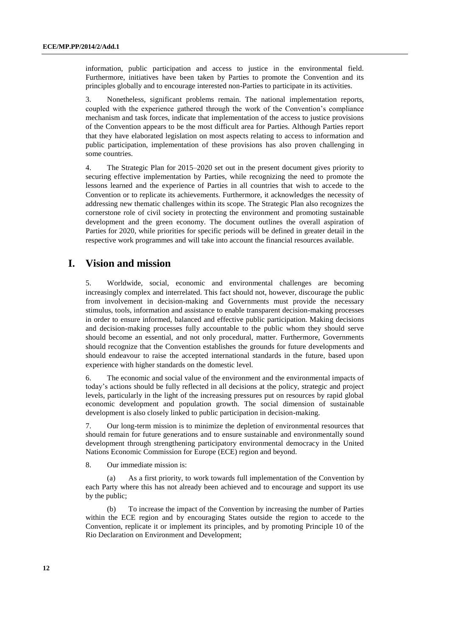information, public participation and access to justice in the environmental field. Furthermore, initiatives have been taken by Parties to promote the Convention and its principles globally and to encourage interested non-Parties to participate in its activities.

3. Nonetheless, significant problems remain. The national implementation reports, coupled with the experience gathered through the work of the Convention's compliance mechanism and task forces, indicate that implementation of the access to justice provisions of the Convention appears to be the most difficult area for Parties. Although Parties report that they have elaborated legislation on most aspects relating to access to information and public participation, implementation of these provisions has also proven challenging in some countries.

4. The Strategic Plan for 2015–2020 set out in the present document gives priority to securing effective implementation by Parties, while recognizing the need to promote the lessons learned and the experience of Parties in all countries that wish to accede to the Convention or to replicate its achievements. Furthermore, it acknowledges the necessity of addressing new thematic challenges within its scope. The Strategic Plan also recognizes the cornerstone role of civil society in protecting the environment and promoting sustainable development and the green economy. The document outlines the overall aspiration of Parties for 2020, while priorities for specific periods will be defined in greater detail in the respective work programmes and will take into account the financial resources available.

# **I. Vision and mission**

5. Worldwide, social, economic and environmental challenges are becoming increasingly complex and interrelated. This fact should not, however, discourage the public from involvement in decision-making and Governments must provide the necessary stimulus, tools, information and assistance to enable transparent decision-making processes in order to ensure informed, balanced and effective public participation. Making decisions and decision-making processes fully accountable to the public whom they should serve should become an essential, and not only procedural, matter. Furthermore, Governments should recognize that the Convention establishes the grounds for future developments and should endeavour to raise the accepted international standards in the future, based upon experience with higher standards on the domestic level.

6. The economic and social value of the environment and the environmental impacts of today's actions should be fully reflected in all decisions at the policy, strategic and project levels, particularly in the light of the increasing pressures put on resources by rapid global economic development and population growth. The social dimension of sustainable development is also closely linked to public participation in decision-making.

7. Our long-term mission is to minimize the depletion of environmental resources that should remain for future generations and to ensure sustainable and environmentally sound development through strengthening participatory environmental democracy in the United Nations Economic Commission for Europe (ECE) region and beyond.

8. Our immediate mission is:

(a) As a first priority, to work towards full implementation of the Convention by each Party where this has not already been achieved and to encourage and support its use by the public;

(b) To increase the impact of the Convention by increasing the number of Parties within the ECE region and by encouraging States outside the region to accede to the Convention, replicate it or implement its principles, and by promoting Principle 10 of the Rio Declaration on Environment and Development;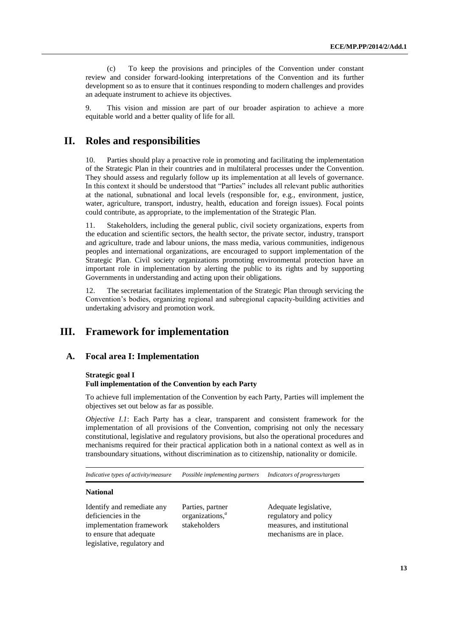(c) To keep the provisions and principles of the Convention under constant review and consider forward-looking interpretations of the Convention and its further development so as to ensure that it continues responding to modern challenges and provides an adequate instrument to achieve its objectives.

9. This vision and mission are part of our broader aspiration to achieve a more equitable world and a better quality of life for all.

# **II. Roles and responsibilities**

10. Parties should play a proactive role in promoting and facilitating the implementation of the Strategic Plan in their countries and in multilateral processes under the Convention. They should assess and regularly follow up its implementation at all levels of governance. In this context it should be understood that "Parties" includes all relevant public authorities at the national, subnational and local levels (responsible for, e.g., environment, justice, water, agriculture, transport, industry, health, education and foreign issues). Focal points could contribute, as appropriate, to the implementation of the Strategic Plan.

11. Stakeholders, including the general public, civil society organizations, experts from the education and scientific sectors, the health sector, the private sector, industry, transport and agriculture, trade and labour unions, the mass media, various communities, indigenous peoples and international organizations, are encouraged to support implementation of the Strategic Plan. Civil society organizations promoting environmental protection have an important role in implementation by alerting the public to its rights and by supporting Governments in understanding and acting upon their obligations.

12. The secretariat facilitates implementation of the Strategic Plan through servicing the Convention's bodies, organizing regional and subregional capacity-building activities and undertaking advisory and promotion work.

# **III. Framework for implementation**

#### **A. Focal area I: Implementation**

#### **Strategic goal I**

#### **Full implementation of the Convention by each Party**

To achieve full implementation of the Convention by each Party, Parties will implement the objectives set out below as far as possible.

*Objective I.1*: Each Party has a clear, transparent and consistent framework for the implementation of all provisions of the Convention, comprising not only the necessary constitutional, legislative and regulatory provisions, but also the operational procedures and mechanisms required for their practical application both in a national context as well as in transboundary situations, without discrimination as to citizenship, nationality or domicile.

*Indicative types of activity/measure Possible implementing partners Indicators of progress/targets*

#### **National**

Identify and remediate any deficiencies in the implementation framework to ensure that adequate legislative, regulatory and

Parties, partner organizations,*<sup>a</sup>* stakeholders

Adequate legislative, regulatory and policy measures, and institutional mechanisms are in place.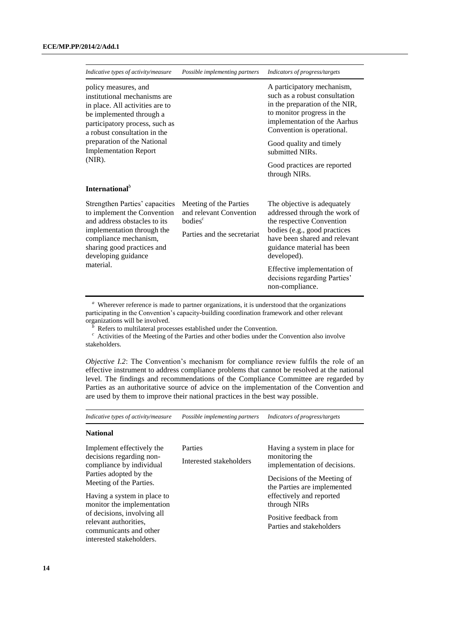| Indicative types of activity/measure                                                                                                                                                                      | Possible implementing partners                                                                  | Indicators of progress/targets                                                                                                                                                                          |
|-----------------------------------------------------------------------------------------------------------------------------------------------------------------------------------------------------------|-------------------------------------------------------------------------------------------------|---------------------------------------------------------------------------------------------------------------------------------------------------------------------------------------------------------|
| policy measures, and<br>institutional mechanisms are<br>in place. All activities are to<br>be implemented through a<br>participatory process, such as<br>a robust consultation in the                     |                                                                                                 | A participatory mechanism,<br>such as a robust consultation<br>in the preparation of the NIR,<br>to monitor progress in the<br>implementation of the Aarhus<br>Convention is operational.               |
| preparation of the National<br><b>Implementation Report</b><br>$(NIR)$ .                                                                                                                                  |                                                                                                 | Good quality and timely<br>submitted NIRs.                                                                                                                                                              |
|                                                                                                                                                                                                           |                                                                                                 | Good practices are reported<br>through NIRs.                                                                                                                                                            |
| International <sup>b</sup>                                                                                                                                                                                |                                                                                                 |                                                                                                                                                                                                         |
| Strengthen Parties' capacities<br>to implement the Convention<br>and address obstacles to its<br>implementation through the<br>compliance mechanism,<br>sharing good practices and<br>developing guidance | Meeting of the Parties<br>and relevant Convention<br>bodies $^c$<br>Parties and the secretariat | The objective is adequately<br>addressed through the work of<br>the respective Convention<br>bodies (e.g., good practices<br>have been shared and relevant<br>guidance material has been<br>developed). |
| material.                                                                                                                                                                                                 |                                                                                                 | Effective implementation of<br>decisions regarding Parties'<br>non-compliance.                                                                                                                          |

<sup>*a*</sup> Wherever reference is made to partner organizations, it is understood that the organizations participating in the Convention's capacity-building coordination framework and other relevant

organizations will be involved.<br><sup>*b*</sup> Refers to multilateral processes established under the Convention.

<sup>c</sup> Activities of the Meeting of the Parties and other bodies under the Convention also involve stakeholders.

*Objective I.2*: The Convention's mechanism for compliance review fulfils the role of an effective instrument to address compliance problems that cannot be resolved at the national level. The findings and recommendations of the Compliance Committee are regarded by Parties as an authoritative source of advice on the implementation of the Convention and are used by them to improve their national practices in the best way possible.

| Indicative types of activity/measure                                                                                                                                                                                                                                                                              | Possible implementing partners     | Indicators of progress/targets                                                                                                                                                                                                                 |
|-------------------------------------------------------------------------------------------------------------------------------------------------------------------------------------------------------------------------------------------------------------------------------------------------------------------|------------------------------------|------------------------------------------------------------------------------------------------------------------------------------------------------------------------------------------------------------------------------------------------|
| <b>National</b>                                                                                                                                                                                                                                                                                                   |                                    |                                                                                                                                                                                                                                                |
| Implement effectively the<br>decisions regarding non-<br>compliance by individual<br>Parties adopted by the<br>Meeting of the Parties.<br>Having a system in place to<br>monitor the implementation<br>of decisions, involving all<br>relevant authorities.<br>communicants and other<br>interested stakeholders. | Parties<br>Interested stakeholders | Having a system in place for<br>monitoring the<br>implementation of decisions.<br>Decisions of the Meeting of<br>the Parties are implemented<br>effectively and reported<br>through NIRs<br>Positive feedback from<br>Parties and stakeholders |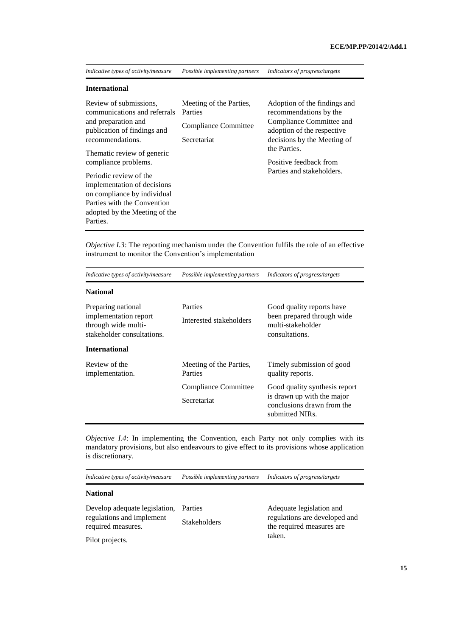| Indicative types of activity/measure                                                                                                                             | Possible implementing partners                                                   | Indicators of progress/targets                                                                                                                  |
|------------------------------------------------------------------------------------------------------------------------------------------------------------------|----------------------------------------------------------------------------------|-------------------------------------------------------------------------------------------------------------------------------------------------|
| <b>International</b>                                                                                                                                             |                                                                                  |                                                                                                                                                 |
| Review of submissions,<br>communications and referrals<br>and preparation and<br>publication of findings and<br>recommendations.                                 | Meeting of the Parties,<br>Parties<br><b>Compliance Committee</b><br>Secretariat | Adoption of the findings and<br>recommendations by the<br>Compliance Committee and<br>adoption of the respective<br>decisions by the Meeting of |
| Thematic review of generic<br>compliance problems.                                                                                                               |                                                                                  | the Parties.<br>Positive feedback from                                                                                                          |
| Periodic review of the<br>implementation of decisions<br>on compliance by individual<br>Parties with the Convention<br>adopted by the Meeting of the<br>Parties. |                                                                                  | Parties and stakeholders.                                                                                                                       |

*Objective I.3*: The reporting mechanism under the Convention fulfils the role of an effective instrument to monitor the Convention's implementation

| Indicative types of activity/measure                                                             | Possible implementing partners      | Indicators of progress/targets                                                                               |
|--------------------------------------------------------------------------------------------------|-------------------------------------|--------------------------------------------------------------------------------------------------------------|
| <b>National</b>                                                                                  |                                     |                                                                                                              |
| Preparing national<br>implementation report<br>through wide multi-<br>stakeholder consultations. | Parties<br>Interested stakeholders  | Good quality reports have<br>been prepared through wide<br>multi-stakeholder<br>consultations.               |
| <b>International</b>                                                                             |                                     |                                                                                                              |
| Review of the<br>implementation.                                                                 | Meeting of the Parties,<br>Parties  | Timely submission of good<br>quality reports.                                                                |
|                                                                                                  | Compliance Committee<br>Secretariat | Good quality synthesis report<br>is drawn up with the major<br>conclusions drawn from the<br>submitted NIRs. |

*Objective I.4*: In implementing the Convention, each Party not only complies with its mandatory provisions, but also endeavours to give effect to its provisions whose application is discretionary.

*Indicative types of activity/measure Possible implementing partners Indicators of progress/targets*

#### **National**

| Develop adequate legislation, Parties           |                     |
|-------------------------------------------------|---------------------|
| regulations and implement<br>required measures. | <b>Stakeholders</b> |
|                                                 |                     |

Adequate legislation and regulations are developed and the required measures are taken.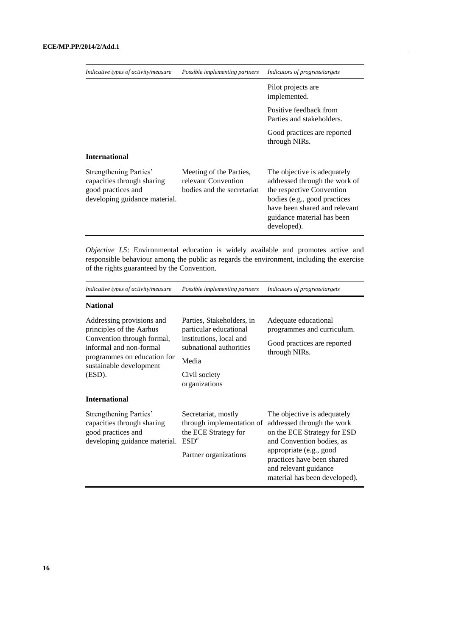| Indicative types of activity/measure                                                                        | Possible implementing partners                                               | Indicators of progress/targets                                                                                                                                                                          |
|-------------------------------------------------------------------------------------------------------------|------------------------------------------------------------------------------|---------------------------------------------------------------------------------------------------------------------------------------------------------------------------------------------------------|
|                                                                                                             |                                                                              | Pilot projects are<br>implemented.                                                                                                                                                                      |
|                                                                                                             |                                                                              | Positive feedback from<br>Parties and stakeholders.                                                                                                                                                     |
|                                                                                                             |                                                                              | Good practices are reported<br>through NIRs.                                                                                                                                                            |
| <b>International</b>                                                                                        |                                                                              |                                                                                                                                                                                                         |
| Strengthening Parties'<br>capacities through sharing<br>good practices and<br>developing guidance material. | Meeting of the Parties,<br>relevant Convention<br>bodies and the secretariat | The objective is adequately<br>addressed through the work of<br>the respective Convention<br>bodies (e.g., good practices<br>have been shared and relevant<br>guidance material has been<br>developed). |

*Objective I.5*: Environmental education is widely available and promotes active and responsible behaviour among the public as regards the environment, including the exercise of the rights guaranteed by the Convention.

| Indicative types of activity/measure                                                                                                                                               | Possible implementing partners                                                                                                                       | Indicators of progress/targets                                                                                                                                                                                                           |
|------------------------------------------------------------------------------------------------------------------------------------------------------------------------------------|------------------------------------------------------------------------------------------------------------------------------------------------------|------------------------------------------------------------------------------------------------------------------------------------------------------------------------------------------------------------------------------------------|
| <b>National</b>                                                                                                                                                                    |                                                                                                                                                      |                                                                                                                                                                                                                                          |
| Addressing provisions and<br>principles of the Aarhus<br>Convention through formal,<br>informal and non-formal<br>programmes on education for<br>sustainable development<br>(ESD). | Parties, Stakeholders, in<br>particular educational<br>institutions, local and<br>subnational authorities<br>Media<br>Civil society<br>organizations | Adequate educational<br>programmes and curriculum.<br>Good practices are reported<br>through NIRs.                                                                                                                                       |
| <b>International</b>                                                                                                                                                               |                                                                                                                                                      |                                                                                                                                                                                                                                          |
| Strengthening Parties'<br>capacities through sharing<br>good practices and<br>developing guidance material.                                                                        | Secretariat, mostly<br>through implementation of<br>the ECE Strategy for<br>$ESD^a$<br>Partner organizations                                         | The objective is adequately<br>addressed through the work<br>on the ECE Strategy for ESD<br>and Convention bodies, as<br>appropriate (e.g., good<br>practices have been shared<br>and relevant guidance<br>material has been developed). |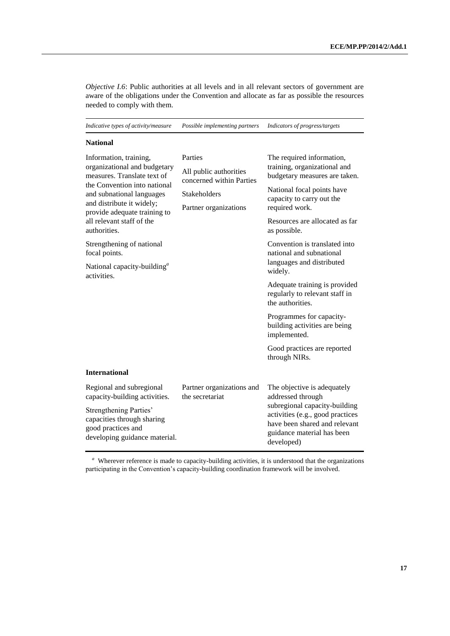*Objective I.6*: Public authorities at all levels and in all relevant sectors of government are aware of the obligations under the Convention and allocate as far as possible the resources needed to comply with them.

| Indicative types of activity/measure                                                                                                                                                                                                                                                                                                                                        | Possible implementing partners                                                                                | Indicators of progress/targets                                                                                                                                                                                                                                                                                                                                                                                        |
|-----------------------------------------------------------------------------------------------------------------------------------------------------------------------------------------------------------------------------------------------------------------------------------------------------------------------------------------------------------------------------|---------------------------------------------------------------------------------------------------------------|-----------------------------------------------------------------------------------------------------------------------------------------------------------------------------------------------------------------------------------------------------------------------------------------------------------------------------------------------------------------------------------------------------------------------|
| <b>National</b>                                                                                                                                                                                                                                                                                                                                                             |                                                                                                               |                                                                                                                                                                                                                                                                                                                                                                                                                       |
| Information, training,<br>organizational and budgetary<br>measures. Translate text of<br>the Convention into national<br>and subnational languages<br>and distribute it widely;<br>provide adequate training to<br>all relevant staff of the<br>authorities.<br>Strengthening of national<br>focal points.<br>National capacity-building <sup><i>a</i></sup><br>activities. | Parties<br>All public authorities<br>concerned within Parties<br><b>Stakeholders</b><br>Partner organizations | The required information,<br>training, organizational and<br>budgetary measures are taken.<br>National focal points have<br>capacity to carry out the<br>required work.<br>Resources are allocated as far<br>as possible.<br>Convention is translated into<br>national and subnational<br>languages and distributed<br>widely.<br>Adequate training is provided<br>regularly to relevant staff in<br>the authorities. |
|                                                                                                                                                                                                                                                                                                                                                                             |                                                                                                               | Programmes for capacity-<br>building activities are being<br>implemented.<br>Good practices are reported<br>through NIRs.                                                                                                                                                                                                                                                                                             |
| <b>International</b>                                                                                                                                                                                                                                                                                                                                                        |                                                                                                               |                                                                                                                                                                                                                                                                                                                                                                                                                       |
| Regional and subregional<br>capacity-building activities.<br><b>Strengthening Parties'</b><br>capacities through sharing<br>good practices and<br>developing guidance material.                                                                                                                                                                                             | Partner organizations and<br>the secretariat                                                                  | The objective is adequately<br>addressed through<br>subregional capacity-building<br>activities (e.g., good practices<br>have been shared and relevant<br>guidance material has been<br>developed)                                                                                                                                                                                                                    |

<sup>a</sup> Wherever reference is made to capacity-building activities, it is understood that the organizations participating in the Convention's capacity-building coordination framework will be involved.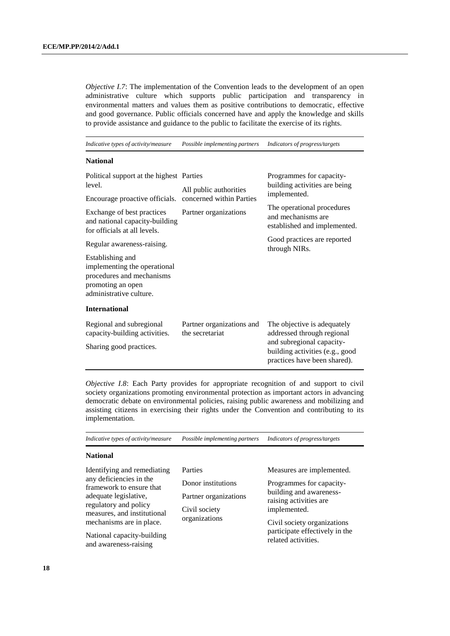*Objective I.7*: The implementation of the Convention leads to the development of an open administrative culture which supports public participation and transparency in environmental matters and values them as positive contributions to democratic, effective and good governance. Public officials concerned have and apply the knowledge and skills to provide assistance and guidance to the public to facilitate the exercise of its rights.

*Indicative types of activity/measure Possible implementing partners Indicators of progress/targets*

#### **National**

| Political support at the highest Parties<br>level.<br>Encourage proactive officials.                                          | All public authorities<br>concerned within Parties | Programmes for capacity-<br>building activities are being<br>implemented.                    |
|-------------------------------------------------------------------------------------------------------------------------------|----------------------------------------------------|----------------------------------------------------------------------------------------------|
| Exchange of best practices<br>and national capacity-building<br>for officials at all levels.                                  | Partner organizations                              | The operational procedures<br>and mechanisms are<br>established and implemented.             |
| Regular awareness-raising.                                                                                                    |                                                    | Good practices are reported<br>through NIRs.                                                 |
| Establishing and<br>implementing the operational<br>procedures and mechanisms<br>promoting an open<br>administrative culture. |                                                    |                                                                                              |
| <b>International</b>                                                                                                          |                                                    |                                                                                              |
| Regional and subregional<br>capacity-building activities.                                                                     | Partner organizations and<br>the secretariat       | The objective is adequately<br>addressed through regional                                    |
| Sharing good practices.                                                                                                       |                                                    | and subregional capacity-<br>building activities (e.g., good<br>practices have been shared). |

*Objective I.8*: Each Party provides for appropriate recognition of and support to civil society organizations promoting environmental protection as important actors in advancing democratic debate on environmental policies, raising public awareness and mobilizing and assisting citizens in exercising their rights under the Convention and contributing to its implementation.

| Indicative types of activity/measure                                                                                                                                                                                                                   | Possible implementing partners                                                           | Indicators of progress/targets                                                                                                                                                                                     |
|--------------------------------------------------------------------------------------------------------------------------------------------------------------------------------------------------------------------------------------------------------|------------------------------------------------------------------------------------------|--------------------------------------------------------------------------------------------------------------------------------------------------------------------------------------------------------------------|
| <b>National</b>                                                                                                                                                                                                                                        |                                                                                          |                                                                                                                                                                                                                    |
| Identifying and remediating<br>any deficiencies in the<br>framework to ensure that<br>adequate legislative,<br>regulatory and policy<br>measures, and institutional<br>mechanisms are in place.<br>National capacity-building<br>and awareness-raising | Parties<br>Donor institutions<br>Partner organizations<br>Civil society<br>organizations | Measures are implemented.<br>Programmes for capacity-<br>building and awareness-<br>raising activities are<br>implemented.<br>Civil society organizations<br>participate effectively in the<br>related activities. |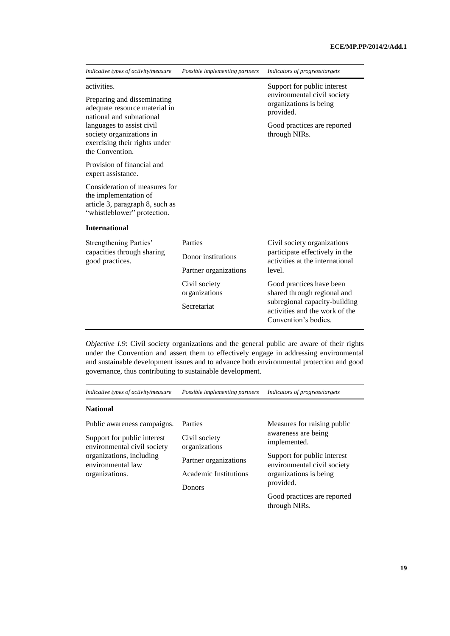| Indicative types of activity/measure                                                                                     | Possible implementing partners                         | Indicators of progress/targets                                                                                                                     |
|--------------------------------------------------------------------------------------------------------------------------|--------------------------------------------------------|----------------------------------------------------------------------------------------------------------------------------------------------------|
| activities.<br>Preparing and disseminating<br>adequate resource material in<br>national and subnational                  |                                                        | Support for public interest<br>environmental civil society<br>organizations is being<br>provided.                                                  |
| languages to assist civil<br>society organizations in<br>exercising their rights under<br>the Convention.                |                                                        | Good practices are reported<br>through NIRs.                                                                                                       |
| Provision of financial and<br>expert assistance.                                                                         |                                                        |                                                                                                                                                    |
| Consideration of measures for<br>the implementation of<br>article 3, paragraph 8, such as<br>"whistleblower" protection. |                                                        |                                                                                                                                                    |
| <b>International</b>                                                                                                     |                                                        |                                                                                                                                                    |
| Strengthening Parties'<br>capacities through sharing<br>good practices.                                                  | Parties<br>Donor institutions<br>Partner organizations | Civil society organizations<br>participate effectively in the<br>activities at the international<br>level.                                         |
|                                                                                                                          | Civil society<br>organizations<br>Secretariat          | Good practices have been<br>shared through regional and<br>subregional capacity-building<br>activities and the work of the<br>Convention's bodies. |

*Objective I.9*: Civil society organizations and the general public are aware of their rights under the Convention and assert them to effectively engage in addressing environmental and sustainable development issues and to advance both environmental protection and good governance, thus contributing to sustainable development.

*Indicative types of activity/measure Possible implementing partners Indicators of progress/targets*

| Public awareness campaigns.                                | Parties                        | Measures for raising public<br>awareness are being<br>implemented. |
|------------------------------------------------------------|--------------------------------|--------------------------------------------------------------------|
| Support for public interest<br>environmental civil society | Civil society<br>organizations |                                                                    |
| organizations, including<br>environmental law              | Partner organizations          | Support for public interest<br>environmental civil society         |
| organizations.                                             | Academic Institutions          | organizations is being                                             |
|                                                            | <b>Donors</b>                  | provided.                                                          |
|                                                            |                                | Good practices are reported<br>through NIRs.                       |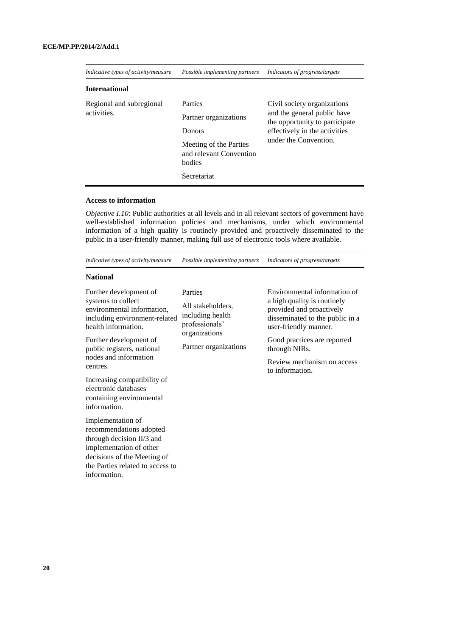| Indicative types of activity/measure | Possible implementing partners                              | Indicators of progress/targets                                |
|--------------------------------------|-------------------------------------------------------------|---------------------------------------------------------------|
| <b>International</b>                 |                                                             |                                                               |
| Regional and subregional             | Parties                                                     | Civil society organizations                                   |
| activities.                          | Partner organizations                                       | and the general public have<br>the opportunity to participate |
|                                      | Donors                                                      | effectively in the activities                                 |
|                                      | Meeting of the Parties<br>and relevant Convention<br>bodies | under the Convention.                                         |
|                                      | Secretariat                                                 |                                                               |

#### **Access to information**

*Objective I.10*: Public authorities at all levels and in all relevant sectors of government have well-established information policies and mechanisms, under which environmental information of a high quality is routinely provided and proactively disseminated to the public in a user-friendly manner, making full use of electronic tools where available.

*Indicative types of activity/measure Possible implementing partners Indicators of progress/targets*

| Further development of                                                                                   | Parties                                                                  | Environmental information of                                                                                        |
|----------------------------------------------------------------------------------------------------------|--------------------------------------------------------------------------|---------------------------------------------------------------------------------------------------------------------|
| systems to collect<br>environmental information,<br>including environment-related<br>health information. | All stakeholders,<br>including health<br>professionals'<br>organizations | a high quality is routinely<br>provided and proactively<br>disseminated to the public in a<br>user-friendly manner. |
| Further development of<br>public registers, national                                                     | Partner organizations                                                    | Good practices are reported<br>through NIRs.                                                                        |
| nodes and information<br>centres.                                                                        |                                                                          | Review mechanism on access<br>to information.                                                                       |
| Increasing compatibility of<br>electronic databases<br>containing environmental<br>information.          |                                                                          |                                                                                                                     |
| Implementation of<br>recommendations adopted<br>through decision II/3 and<br>implementation of other     |                                                                          |                                                                                                                     |
| decisions of the Meeting of                                                                              |                                                                          |                                                                                                                     |
| the Parties related to access to                                                                         |                                                                          |                                                                                                                     |
| information.                                                                                             |                                                                          |                                                                                                                     |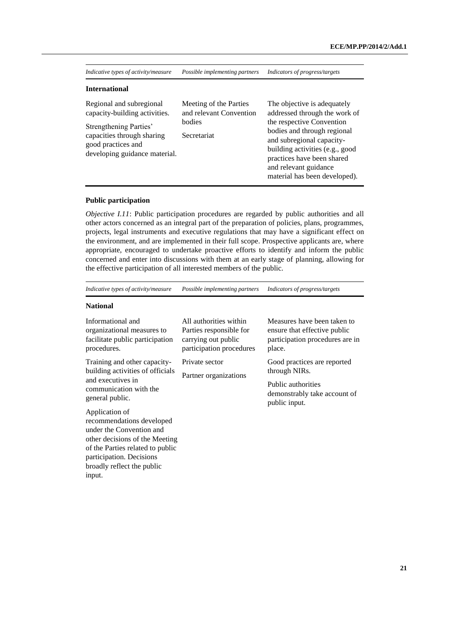| Indicative types of activity/measure                                                                                                                                     | Possible implementing partners                                             | Indicators of progress/targets                                                                                                                                                                                                                                                   |
|--------------------------------------------------------------------------------------------------------------------------------------------------------------------------|----------------------------------------------------------------------------|----------------------------------------------------------------------------------------------------------------------------------------------------------------------------------------------------------------------------------------------------------------------------------|
| <b>International</b>                                                                                                                                                     |                                                                            |                                                                                                                                                                                                                                                                                  |
| Regional and subregional<br>capacity-building activities.<br>Strengthening Parties'<br>capacities through sharing<br>good practices and<br>developing guidance material. | Meeting of the Parties<br>and relevant Convention<br>bodies<br>Secretariat | The objective is adequately<br>addressed through the work of<br>the respective Convention<br>bodies and through regional<br>and subregional capacity-<br>building activities (e.g., good<br>practices have been shared<br>and relevant guidance<br>material has been developed). |

#### **Public participation**

*Objective I.11*: Public participation procedures are regarded by public authorities and all other actors concerned as an integral part of the preparation of policies, plans, programmes, projects, legal instruments and executive regulations that may have a significant effect on the environment, and are implemented in their full scope. Prospective applicants are, where appropriate, encouraged to undertake proactive efforts to identify and inform the public concerned and enter into discussions with them at an early stage of planning, allowing for the effective participation of all interested members of the public.

*Indicative types of activity/measure Possible implementing partners Indicators of progress/targets*

| Informational and<br>organizational measures to<br>facilitate public participation<br>procedures.                                                                                                                 | All authorities within<br>Parties responsible for<br>carrying out public<br>participation procedures | Measures have been taken to<br>ensure that effective public<br>participation procedures are in<br>place. |
|-------------------------------------------------------------------------------------------------------------------------------------------------------------------------------------------------------------------|------------------------------------------------------------------------------------------------------|----------------------------------------------------------------------------------------------------------|
| Training and other capacity-<br>building activities of officials                                                                                                                                                  | Private sector                                                                                       | Good practices are reported<br>through NIRs.                                                             |
| and executives in<br>communication with the<br>general public.                                                                                                                                                    | Partner organizations                                                                                | Public authorities<br>demonstrably take account of<br>public input.                                      |
| Application of<br>recommendations developed<br>under the Convention and<br>other decisions of the Meeting<br>of the Parties related to public<br>participation. Decisions<br>broadly reflect the public<br>input. |                                                                                                      |                                                                                                          |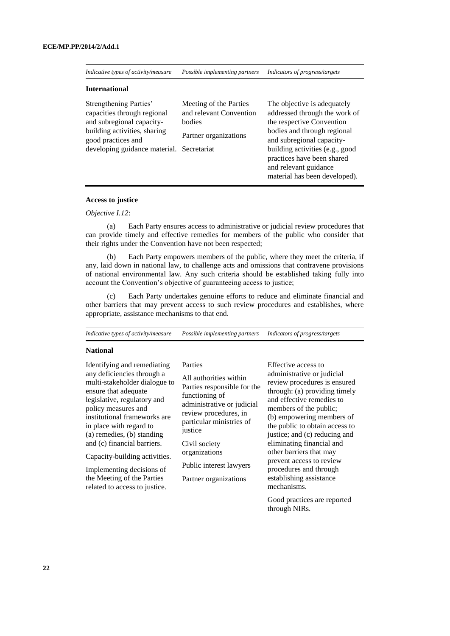*Indicative types of activity/measure Possible implementing partners Indicators of progress/targets*

#### **International**

| Strengthening Parties'<br>capacities through regional<br>and subregional capacity-<br>building activities, sharing<br>good practices and<br>developing guidance material. Secretariat | Meeting of the Parties<br>and relevant Convention<br>bodies<br>Partner organizations | The objective is adequately<br>addressed through the work of<br>the respective Convention<br>bodies and through regional<br>and subregional capacity-<br>building activities (e.g., good<br>practices have been shared<br>and relevant guidance |
|---------------------------------------------------------------------------------------------------------------------------------------------------------------------------------------|--------------------------------------------------------------------------------------|-------------------------------------------------------------------------------------------------------------------------------------------------------------------------------------------------------------------------------------------------|
|                                                                                                                                                                                       |                                                                                      | material has been developed).                                                                                                                                                                                                                   |

#### **Access to justice**

#### *Objective I.12*:

(a) Each Party ensures access to administrative or judicial review procedures that can provide timely and effective remedies for members of the public who consider that their rights under the Convention have not been respected;

(b) Each Party empowers members of the public, where they meet the criteria, if any, laid down in national law, to challenge acts and omissions that contravene provisions of national environmental law. Any such criteria should be established taking fully into account the Convention's objective of guaranteeing access to justice;

(c) Each Party undertakes genuine efforts to reduce and eliminate financial and other barriers that may prevent access to such review procedures and establishes, where appropriate, assistance mechanisms to that end.

| Indicative types of activity/measure                                                                                                                                                                                                                                                                                                                                                                                          | Possible implementing partners                                                                                                                                                                                                                                         | Indicators of progress/targets                                                                                                                                                                                                                                                                                                                                                                                                    |
|-------------------------------------------------------------------------------------------------------------------------------------------------------------------------------------------------------------------------------------------------------------------------------------------------------------------------------------------------------------------------------------------------------------------------------|------------------------------------------------------------------------------------------------------------------------------------------------------------------------------------------------------------------------------------------------------------------------|-----------------------------------------------------------------------------------------------------------------------------------------------------------------------------------------------------------------------------------------------------------------------------------------------------------------------------------------------------------------------------------------------------------------------------------|
| <b>National</b>                                                                                                                                                                                                                                                                                                                                                                                                               |                                                                                                                                                                                                                                                                        |                                                                                                                                                                                                                                                                                                                                                                                                                                   |
| Identifying and remediating<br>any deficiencies through a<br>multi-stakeholder dialogue to<br>ensure that adequate<br>legislative, regulatory and<br>policy measures and<br>institutional frameworks are<br>in place with regard to<br>(a) remedies, (b) standing<br>and (c) financial barriers.<br>Capacity-building activities.<br>Implementing decisions of<br>the Meeting of the Parties<br>related to access to justice. | Parties<br>All authorities within<br>Parties responsible for the<br>functioning of<br>administrative or judicial<br>review procedures, in<br>particular ministries of<br>justice<br>Civil society<br>organizations<br>Public interest lawyers<br>Partner organizations | Effective access to<br>administrative or judicial<br>review procedures is ensured<br>through: (a) providing timely<br>and effective remedies to<br>members of the public;<br>(b) empowering members of<br>the public to obtain access to<br>justice; and (c) reducing and<br>eliminating financial and<br>other barriers that may<br>prevent access to review<br>procedures and through<br>establishing assistance<br>mechanisms. |
|                                                                                                                                                                                                                                                                                                                                                                                                                               |                                                                                                                                                                                                                                                                        | Good practices are reported<br>through NIRs.                                                                                                                                                                                                                                                                                                                                                                                      |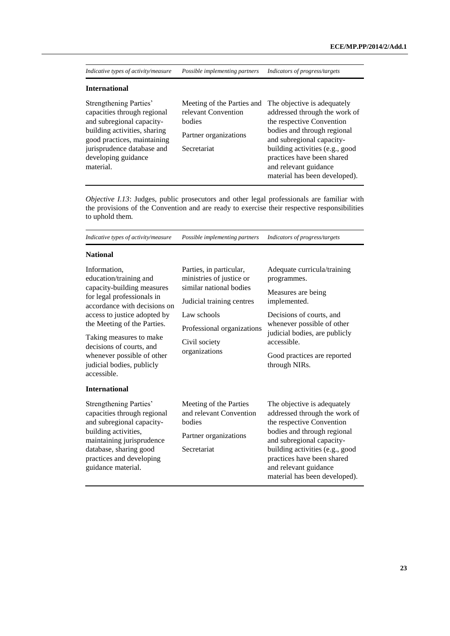*Indicative types of activity/measure Possible implementing partners Indicators of progress/targets*

#### **International**

| Strengthening Parties'       |                       | Meeting of the Parties and The objective is adequately |
|------------------------------|-----------------------|--------------------------------------------------------|
| capacities through regional  | relevant Convention   | addressed through the work of                          |
| and subregional capacity-    | bodies                | the respective Convention                              |
| building activities, sharing | Partner organizations | bodies and through regional                            |
| good practices, maintaining  |                       | and subregional capacity-                              |
| jurisprudence database and   | Secretariat           | building activities (e.g., good                        |
| developing guidance          |                       | practices have been shared                             |
| material.                    |                       | and relevant guidance                                  |
|                              |                       | material has been developed).                          |

*Objective I.13*: Judges, public prosecutors and other legal professionals are familiar with the provisions of the Convention and are ready to exercise their respective responsibilities to uphold them.

| Indicative types of activity/measure                                                                                                                                                                                                                                                                                               | Possible implementing partners                                                                                                                                                             | Indicators of progress/targets                                                                                                                                                                                                                                                   |
|------------------------------------------------------------------------------------------------------------------------------------------------------------------------------------------------------------------------------------------------------------------------------------------------------------------------------------|--------------------------------------------------------------------------------------------------------------------------------------------------------------------------------------------|----------------------------------------------------------------------------------------------------------------------------------------------------------------------------------------------------------------------------------------------------------------------------------|
| <b>National</b>                                                                                                                                                                                                                                                                                                                    |                                                                                                                                                                                            |                                                                                                                                                                                                                                                                                  |
| Information,<br>education/training and<br>capacity-building measures<br>for legal professionals in<br>accordance with decisions on<br>access to justice adopted by<br>the Meeting of the Parties.<br>Taking measures to make<br>decisions of courts, and<br>whenever possible of other<br>judicial bodies, publicly<br>accessible. | Parties, in particular,<br>ministries of justice or<br>similar national bodies<br>Judicial training centres<br>Law schools<br>Professional organizations<br>Civil society<br>organizations | Adequate curricula/training<br>programmes.<br>Measures are being<br>implemented.<br>Decisions of courts, and<br>whenever possible of other<br>judicial bodies, are publicly<br>accessible.<br>Good practices are reported<br>through NIRs.                                       |
| <b>International</b>                                                                                                                                                                                                                                                                                                               |                                                                                                                                                                                            |                                                                                                                                                                                                                                                                                  |
| Strengthening Parties'<br>capacities through regional<br>and subregional capacity-<br>building activities,<br>maintaining jurisprudence<br>database, sharing good<br>practices and developing<br>guidance material.                                                                                                                | Meeting of the Parties<br>and relevant Convention<br>bodies<br>Partner organizations<br>Secretariat                                                                                        | The objective is adequately<br>addressed through the work of<br>the respective Convention<br>bodies and through regional<br>and subregional capacity-<br>building activities (e.g., good<br>practices have been shared<br>and relevant guidance<br>material has been developed). |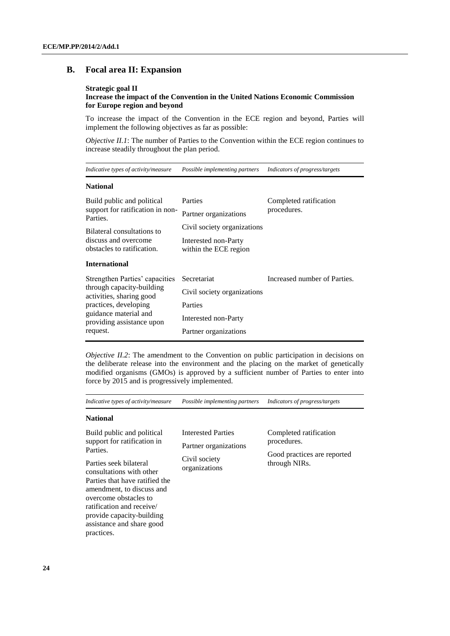### **B. Focal area II: Expansion**

#### **Strategic goal II**

#### **Increase the impact of the Convention in the United Nations Economic Commission for Europe region and beyond**

To increase the impact of the Convention in the ECE region and beyond, Parties will implement the following objectives as far as possible:

*Objective II.1*: The number of Parties to the Convention within the ECE region continues to increase steadily throughout the plan period.

*Indicative types of activity/measure Possible implementing partners Indicators of progress/targets*

#### **National**

| Build public and political<br>support for ratification in non-<br>Parties.<br>Bilateral consultations to<br>discuss and overcome<br>obstacles to ratification. | Parties<br>Partner organizations<br>Civil society organizations<br>Interested non-Party<br>within the ECE region | Completed ratification<br>procedures. |
|----------------------------------------------------------------------------------------------------------------------------------------------------------------|------------------------------------------------------------------------------------------------------------------|---------------------------------------|
| <b>International</b>                                                                                                                                           |                                                                                                                  |                                       |
| Strengthen Parties' capacities                                                                                                                                 | Secretariat                                                                                                      | Increased number of Parties.          |
| through capacity-building<br>activities, sharing good                                                                                                          | Civil society organizations                                                                                      |                                       |
| practices, developing                                                                                                                                          | Parties                                                                                                          |                                       |
| guidance material and<br>providing assistance upon                                                                                                             | Interested non-Party                                                                                             |                                       |
| request.                                                                                                                                                       | Partner organizations                                                                                            |                                       |

*Objective II.2*: The amendment to the Convention on public participation in decisions on the deliberate release into the environment and the placing on the market of genetically modified organisms (GMOs) is approved by a sufficient number of Parties to enter into force by 2015 and is progressively implemented.

| Indicative types of activity/measure                                                                                                                                                                                                                                                                                     | Possible implementing partners                                                | Indicators of progress/targets                                                        |
|--------------------------------------------------------------------------------------------------------------------------------------------------------------------------------------------------------------------------------------------------------------------------------------------------------------------------|-------------------------------------------------------------------------------|---------------------------------------------------------------------------------------|
| <b>National</b>                                                                                                                                                                                                                                                                                                          |                                                                               |                                                                                       |
| Build public and political<br>support for ratification in<br>Parties.<br>Parties seek bilateral<br>consultations with other<br>Parties that have ratified the<br>amendment, to discuss and<br>overcome obstacles to<br>ratification and receive/<br>provide capacity-building<br>assistance and share good<br>practices. | Interested Parties<br>Partner organizations<br>Civil society<br>organizations | Completed ratification<br>procedures.<br>Good practices are reported<br>through NIRs. |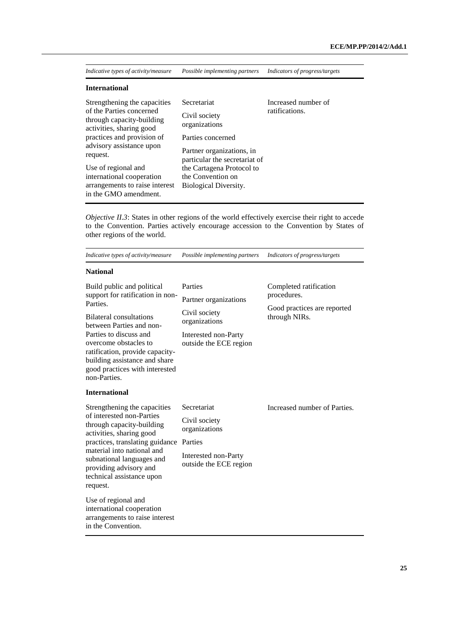| Indicative types of activity/measure | Possible implementing partners | Indicators of progress/targets |  |
|--------------------------------------|--------------------------------|--------------------------------|--|
| <b>International</b>                 |                                |                                |  |

| Strengthening the capacities                                                      | Secretariat                                                | Increased number of |
|-----------------------------------------------------------------------------------|------------------------------------------------------------|---------------------|
| of the Parties concerned<br>through capacity-building<br>activities, sharing good | Civil society<br>organizations                             | ratifications.      |
| practices and provision of                                                        | Parties concerned                                          |                     |
| advisory assistance upon<br>request.                                              | Partner organizations, in<br>particular the secretariat of |                     |
| Use of regional and                                                               | the Cartagena Protocol to                                  |                     |
| international cooperation                                                         | the Convention on                                          |                     |
| arrangements to raise interest<br>in the GMO amendment.                           | Biological Diversity.                                      |                     |

*Objective II.3*: States in other regions of the world effectively exercise their right to accede to the Convention. Parties actively encourage accession to the Convention by States of other regions of the world.

| Indicative types of activity/measure                                                                                                                                                                                                                                                                              | Possible implementing partners                                                                                       | Indicators of progress/targets                                                        |
|-------------------------------------------------------------------------------------------------------------------------------------------------------------------------------------------------------------------------------------------------------------------------------------------------------------------|----------------------------------------------------------------------------------------------------------------------|---------------------------------------------------------------------------------------|
| <b>National</b>                                                                                                                                                                                                                                                                                                   |                                                                                                                      |                                                                                       |
| Build public and political<br>support for ratification in non-<br>Parties.<br><b>Bilateral consultations</b><br>between Parties and non-<br>Parties to discuss and<br>overcome obstacles to<br>ratification, provide capacity-<br>building assistance and share<br>good practices with interested<br>non-Parties. | Parties<br>Partner organizations<br>Civil society<br>organizations<br>Interested non-Party<br>outside the ECE region | Completed ratification<br>procedures.<br>Good practices are reported<br>through NIRs. |
| <b>International</b>                                                                                                                                                                                                                                                                                              |                                                                                                                      |                                                                                       |
| Strengthening the capacities<br>of interested non-Parties<br>through capacity-building<br>activities, sharing good<br>practices, translating guidance<br>material into national and<br>subnational languages and<br>providing advisory and<br>technical assistance upon<br>request.                               | Secretariat<br>Civil society<br>organizations<br>Parties<br>Interested non-Party<br>outside the ECE region           | Increased number of Parties.                                                          |
| Use of regional and<br>international cooperation<br>arrangements to raise interest<br>in the Convention.                                                                                                                                                                                                          |                                                                                                                      |                                                                                       |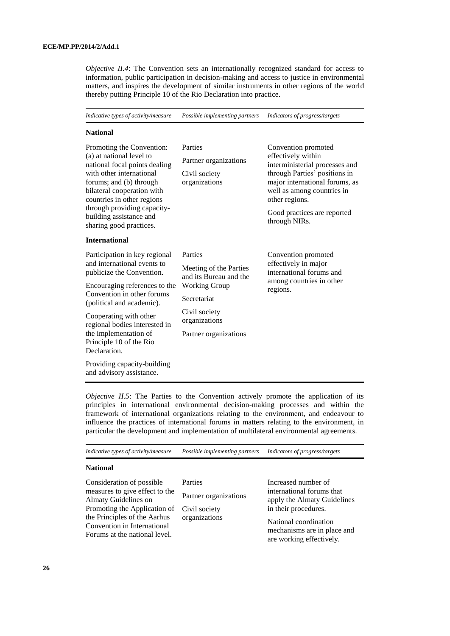*Objective II.4*: The Convention sets an internationally recognized standard for access to information, public participation in decision-making and access to justice in environmental matters, and inspires the development of similar instruments in other regions of the world thereby putting Principle 10 of the Rio Declaration into practice.

*Indicative types of activity/measure Possible implementing partners Indicators of progress/targets*

#### **National**

| Promoting the Convention:<br>(a) at national level to<br>national focal points dealing<br>with other international<br>forums; and (b) through<br>bilateral cooperation with<br>countries in other regions<br>through providing capacity-<br>building assistance and<br>sharing good practices. | Parties<br>Partner organizations<br>Civil society<br>organizations | Convention promoted<br>effectively within<br>interministerial processes and<br>through Parties' positions in<br>major international forums, as<br>well as among countries in<br>other regions.<br>Good practices are reported<br>through NIRs. |
|------------------------------------------------------------------------------------------------------------------------------------------------------------------------------------------------------------------------------------------------------------------------------------------------|--------------------------------------------------------------------|------------------------------------------------------------------------------------------------------------------------------------------------------------------------------------------------------------------------------------------------|
| <b>International</b>                                                                                                                                                                                                                                                                           |                                                                    |                                                                                                                                                                                                                                                |
| Participation in key regional                                                                                                                                                                                                                                                                  | Parties                                                            | Convention promoted                                                                                                                                                                                                                            |
| and international events to<br>publicize the Convention.                                                                                                                                                                                                                                       | Meeting of the Parties<br>and its Bureau and the                   | effectively in major<br>international forums and                                                                                                                                                                                               |
| Encouraging references to the                                                                                                                                                                                                                                                                  | <b>Working Group</b>                                               | among countries in other<br>regions.                                                                                                                                                                                                           |
| Convention in other forums<br>(political and academic).                                                                                                                                                                                                                                        | Secretariat                                                        |                                                                                                                                                                                                                                                |
| Cooperating with other<br>regional bodies interested in                                                                                                                                                                                                                                        | Civil society<br>organizations                                     |                                                                                                                                                                                                                                                |
| the implementation of<br>Principle 10 of the Rio<br>Declaration.                                                                                                                                                                                                                               | Partner organizations                                              |                                                                                                                                                                                                                                                |
| Providing capacity-building<br>and advisory assistance.                                                                                                                                                                                                                                        |                                                                    |                                                                                                                                                                                                                                                |

*Objective II.5*: The Parties to the Convention actively promote the application of its principles in international environmental decision-making processes and within the framework of international organizations relating to the environment, and endeavour to influence the practices of international forums in matters relating to the environment, in particular the development and implementation of multilateral environmental agreements.

| Indicative types of activity/measure                                                                                                                                                                                | Possible implementing partners                                     | Indicators of progress/targets                                                                                                                                                              |
|---------------------------------------------------------------------------------------------------------------------------------------------------------------------------------------------------------------------|--------------------------------------------------------------------|---------------------------------------------------------------------------------------------------------------------------------------------------------------------------------------------|
| <b>National</b>                                                                                                                                                                                                     |                                                                    |                                                                                                                                                                                             |
| Consideration of possible<br>measures to give effect to the<br>Almaty Guidelines on<br>Promoting the Application of<br>the Principles of the Aarhus<br>Convention in International<br>Forums at the national level. | Parties<br>Partner organizations<br>Civil society<br>organizations | Increased number of<br>international forums that<br>apply the Almaty Guidelines<br>in their procedures.<br>National coordination<br>mechanisms are in place and<br>are working effectively. |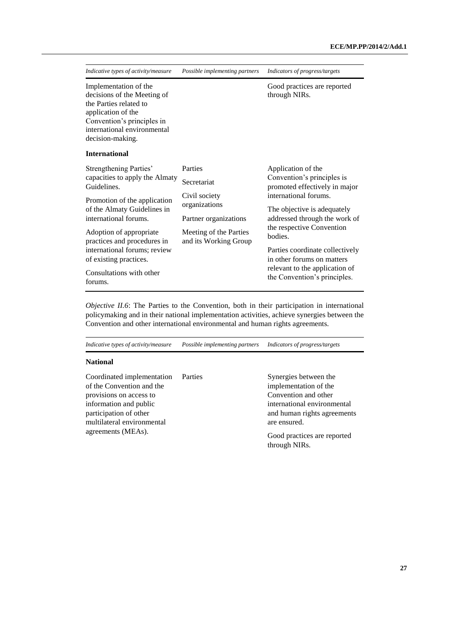| Indicative types of activity/measure                                                                                                                                                                                      | Possible implementing partners                                                                                                       | Indicators of progress/targets                                                                                                                                                                                     |
|---------------------------------------------------------------------------------------------------------------------------------------------------------------------------------------------------------------------------|--------------------------------------------------------------------------------------------------------------------------------------|--------------------------------------------------------------------------------------------------------------------------------------------------------------------------------------------------------------------|
| Implementation of the<br>decisions of the Meeting of<br>the Parties related to<br>application of the<br>Convention's principles in<br>international environmental<br>decision-making.                                     |                                                                                                                                      | Good practices are reported<br>through NIRs.                                                                                                                                                                       |
| <b>International</b>                                                                                                                                                                                                      |                                                                                                                                      |                                                                                                                                                                                                                    |
| Strengthening Parties'<br>capacities to apply the Almaty<br>Guidelines.<br>Promotion of the application<br>of the Almaty Guidelines in<br>international forums.<br>Adoption of appropriate<br>practices and procedures in | Parties<br>Secretariat<br>Civil society<br>organizations<br>Partner organizations<br>Meeting of the Parties<br>and its Working Group | Application of the<br>Convention's principles is<br>promoted effectively in major<br>international forums.<br>The objective is adequately<br>addressed through the work of<br>the respective Convention<br>bodies. |
| international forums; review<br>of existing practices.<br>Consultations with other<br>forums.                                                                                                                             |                                                                                                                                      | Parties coordinate collectively<br>in other forums on matters<br>relevant to the application of<br>the Convention's principles.                                                                                    |

*Objective II.6*: The Parties to the Convention, both in their participation in international policymaking and in their national implementation activities, achieve synergies between the Convention and other international environmental and human rights agreements.

| Indicative types of activity/measure                                                                                                                                 | Possible implementing partners | Indicators of progress/targets                                                                                                                       |
|----------------------------------------------------------------------------------------------------------------------------------------------------------------------|--------------------------------|------------------------------------------------------------------------------------------------------------------------------------------------------|
| <b>National</b>                                                                                                                                                      |                                |                                                                                                                                                      |
| Coordinated implementation<br>of the Convention and the<br>provisions on access to<br>information and public<br>participation of other<br>multilateral environmental | Parties                        | Synergies between the<br>implementation of the<br>Convention and other<br>international environmental<br>and human rights agreements<br>are ensured. |
| agreements (MEAs).                                                                                                                                                   |                                | Good practices are reported<br>through NIRs.                                                                                                         |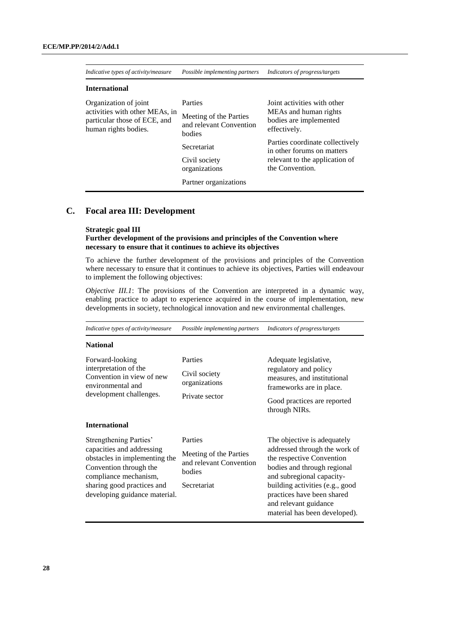| Indicative types of activity/measure                                                                            | Possible implementing partners                                                                                                                   | Indicators of progress/targets                                                                                                                                                                                       |
|-----------------------------------------------------------------------------------------------------------------|--------------------------------------------------------------------------------------------------------------------------------------------------|----------------------------------------------------------------------------------------------------------------------------------------------------------------------------------------------------------------------|
| <b>International</b>                                                                                            |                                                                                                                                                  |                                                                                                                                                                                                                      |
| Organization of joint<br>activities with other MEAs, in<br>particular those of ECE, and<br>human rights bodies. | Parties<br>Meeting of the Parties<br>and relevant Convention<br>bodies<br>Secretariat<br>Civil society<br>organizations<br>Partner organizations | Joint activities with other<br>MEAs and human rights<br>bodies are implemented<br>effectively.<br>Parties coordinate collectively<br>in other forums on matters<br>relevant to the application of<br>the Convention. |

## **C. Focal area III: Development**

#### **Strategic goal III**

#### **Further development of the provisions and principles of the Convention where necessary to ensure that it continues to achieve its objectives**

To achieve the further development of the provisions and principles of the Convention where necessary to ensure that it continues to achieve its objectives, Parties will endeavour to implement the following objectives:

*Objective III.1*: The provisions of the Convention are interpreted in a dynamic way, enabling practice to adapt to experience acquired in the course of implementation, new developments in society, technological innovation and new environmental challenges.

| Indicative types of activity/measure                                                                                                                                                                   | Possible implementing partners                                                        | Indicators of progress/targets                                                                                                                                                                                                                                                   |
|--------------------------------------------------------------------------------------------------------------------------------------------------------------------------------------------------------|---------------------------------------------------------------------------------------|----------------------------------------------------------------------------------------------------------------------------------------------------------------------------------------------------------------------------------------------------------------------------------|
| <b>National</b>                                                                                                                                                                                        |                                                                                       |                                                                                                                                                                                                                                                                                  |
| Forward-looking<br>interpretation of the<br>Convention in view of new<br>environmental and<br>development challenges.                                                                                  | Parties<br>Civil society<br>organizations<br>Private sector                           | Adequate legislative,<br>regulatory and policy<br>measures, and institutional<br>frameworks are in place.<br>Good practices are reported<br>through NIRs.                                                                                                                        |
| <b>International</b>                                                                                                                                                                                   |                                                                                       |                                                                                                                                                                                                                                                                                  |
| Strengthening Parties'<br>capacities and addressing<br>obstacles in implementing the<br>Convention through the<br>compliance mechanism,<br>sharing good practices and<br>developing guidance material. | Parties<br>Meeting of the Parties<br>and relevant Convention<br>bodies<br>Secretariat | The objective is adequately<br>addressed through the work of<br>the respective Convention<br>bodies and through regional<br>and subregional capacity-<br>building activities (e.g., good<br>practices have been shared<br>and relevant guidance<br>material has been developed). |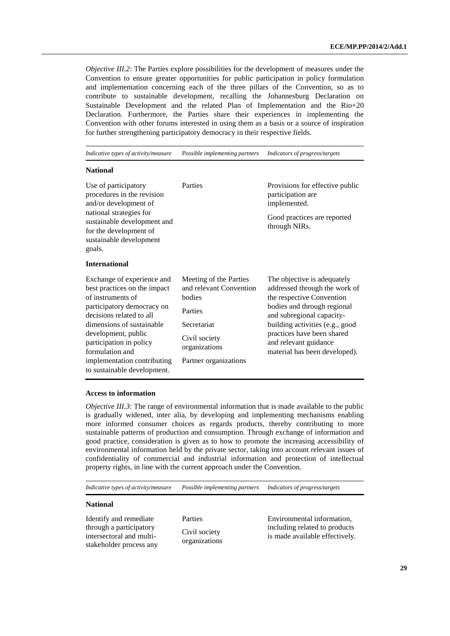*Objective III.2*: The Parties explore possibilities for the development of measures under the Convention to ensure greater opportunities for public participation in policy formulation and implementation concerning each of the three pillars of the Convention, so as to contribute to sustainable development, recalling the Johannesburg Declaration on Sustainable Development and the related Plan of Implementation and the Rio+20 Declaration. Furthermore, the Parties share their experiences in implementing the Convention with other forums interested in using them as a basis or a source of inspiration for further strengthening participatory democracy in their respective fields.

*Indicative types of activity/measure Possible implementing partners Indicators of progress/targets*

#### **National**

| Use of participatory<br>procedures in the revision<br>and/or development of<br>national strategies for<br>sustainable development and<br>for the development of<br>sustainable development<br>goals.                                                                                                      | Parties                                                                                                                                          | Provisions for effective public<br>participation are<br>implemented.<br>Good practices are reported<br>through NIRs.                                                                                                                                                             |
|-----------------------------------------------------------------------------------------------------------------------------------------------------------------------------------------------------------------------------------------------------------------------------------------------------------|--------------------------------------------------------------------------------------------------------------------------------------------------|----------------------------------------------------------------------------------------------------------------------------------------------------------------------------------------------------------------------------------------------------------------------------------|
| <b>International</b>                                                                                                                                                                                                                                                                                      |                                                                                                                                                  |                                                                                                                                                                                                                                                                                  |
| Exchange of experience and<br>best practices on the impact<br>of instruments of<br>participatory democracy on<br>decisions related to all<br>dimensions of sustainable<br>development, public<br>participation in policy<br>formulation and<br>implementation contributing<br>to sustainable development. | Meeting of the Parties<br>and relevant Convention<br>bodies<br>Parties<br>Secretariat<br>Civil society<br>organizations<br>Partner organizations | The objective is adequately<br>addressed through the work of<br>the respective Convention<br>bodies and through regional<br>and subregional capacity-<br>building activities (e.g., good<br>practices have been shared<br>and relevant guidance<br>material has been developed). |

#### **Access to information**

*Objective III.3*: The range of environmental information that is made available to the public is gradually widened, inter alia, by developing and implementing mechanisms enabling more informed consumer choices as regards products, thereby contributing to more sustainable patterns of production and consumption. Through exchange of information and good practice, consideration is given as to how to promote the increasing accessibility of environmental information held by the private sector, taking into account relevant issues of confidentiality of commercial and industrial information and protection of intellectual property rights, in line with the current approach under the Convention.

*Indicative types of activity/measure Possible implementing partners Indicators of progress/targets*

#### **National**

Identify and remediate through a participatory intersectoral and multistakeholder process any Parties Civil society organizations Environmental information, including related to products is made available effectively.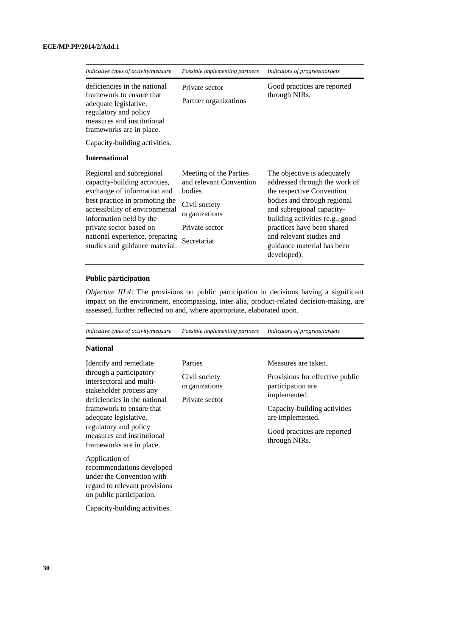| Indicative types of activity/measure                                                                                                                                                                                                                                                   | Possible implementing partners                                                                                                 | Indicators of progress/targets                                                                                                                                                                                                                                                                  |
|----------------------------------------------------------------------------------------------------------------------------------------------------------------------------------------------------------------------------------------------------------------------------------------|--------------------------------------------------------------------------------------------------------------------------------|-------------------------------------------------------------------------------------------------------------------------------------------------------------------------------------------------------------------------------------------------------------------------------------------------|
| deficiencies in the national<br>framework to ensure that<br>adequate legislative,<br>regulatory and policy<br>measures and institutional<br>frameworks are in place.                                                                                                                   | Private sector<br>Partner organizations                                                                                        | Good practices are reported<br>through NIRs.                                                                                                                                                                                                                                                    |
| Capacity-building activities.                                                                                                                                                                                                                                                          |                                                                                                                                |                                                                                                                                                                                                                                                                                                 |
| <b>International</b>                                                                                                                                                                                                                                                                   |                                                                                                                                |                                                                                                                                                                                                                                                                                                 |
| Regional and subregional<br>capacity-building activities,<br>exchange of information and<br>best practice in promoting the<br>accessibility of environmental<br>information held by the<br>private sector based on<br>national experience, preparing<br>studies and guidance material. | Meeting of the Parties<br>and relevant Convention<br>bodies<br>Civil society<br>organizations<br>Private sector<br>Secretariat | The objective is adequately<br>addressed through the work of<br>the respective Convention<br>bodies and through regional<br>and subregional capacity-<br>building activities (e.g., good<br>practices have been shared<br>and relevant studies and<br>guidance material has been<br>developed). |

## **Public participation**

*Objective III.4*: The provisions on public participation in decisions having a significant impact on the environment, encompassing, inter alia, product-related decision-making, are assessed, further reflected on and, where appropriate, elaborated upon.

| Indicative types of activity/measure                                                                                                                                                                                                                                                                                                                                                          | Possible implementing partners                              | Indicators of progress/targets                                                                                                                                                                  |
|-----------------------------------------------------------------------------------------------------------------------------------------------------------------------------------------------------------------------------------------------------------------------------------------------------------------------------------------------------------------------------------------------|-------------------------------------------------------------|-------------------------------------------------------------------------------------------------------------------------------------------------------------------------------------------------|
| <b>National</b>                                                                                                                                                                                                                                                                                                                                                                               |                                                             |                                                                                                                                                                                                 |
| Identify and remediate<br>through a participatory<br>intersectoral and multi-<br>stakeholder process any<br>deficiencies in the national<br>framework to ensure that<br>adequate legislative,<br>regulatory and policy<br>measures and institutional<br>frameworks are in place.<br>Application of<br>recommendations developed<br>under the Convention with<br>regard to relevant provisions | Parties<br>Civil society<br>organizations<br>Private sector | Measures are taken.<br>Provisions for effective public<br>participation are<br>implemented.<br>Capacity-building activities<br>are implemented.<br>Good practices are reported<br>through NIRs. |
| on public participation.<br>Capacity-building activities.                                                                                                                                                                                                                                                                                                                                     |                                                             |                                                                                                                                                                                                 |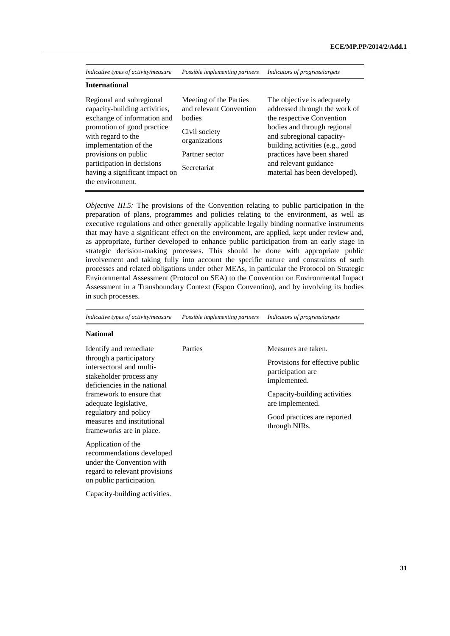| Indicative types of activity/measure                                                                                                                                                                                                                                              | Possible implementing partners                                                                                                 | Indicators of progress/targets                                                                                                                                                                                                                                                   |
|-----------------------------------------------------------------------------------------------------------------------------------------------------------------------------------------------------------------------------------------------------------------------------------|--------------------------------------------------------------------------------------------------------------------------------|----------------------------------------------------------------------------------------------------------------------------------------------------------------------------------------------------------------------------------------------------------------------------------|
| <b>International</b>                                                                                                                                                                                                                                                              |                                                                                                                                |                                                                                                                                                                                                                                                                                  |
| Regional and subregional<br>capacity-building activities,<br>exchange of information and<br>promotion of good practice<br>with regard to the<br>implementation of the<br>provisions on public<br>participation in decisions<br>having a significant impact on<br>the environment. | Meeting of the Parties<br>and relevant Convention<br>bodies<br>Civil society<br>organizations<br>Partner sector<br>Secretariat | The objective is adequately<br>addressed through the work of<br>the respective Convention<br>bodies and through regional<br>and subregional capacity-<br>building activities (e.g., good<br>practices have been shared<br>and relevant guidance<br>material has been developed). |

*Objective III.5:* The provisions of the Convention relating to public participation in the preparation of plans, programmes and policies relating to the environment, as well as executive regulations and other generally applicable legally binding normative instruments that may have a significant effect on the environment, are applied, kept under review and, as appropriate, further developed to enhance public participation from an early stage in strategic decision-making processes. This should be done with appropriate public involvement and taking fully into account the specific nature and constraints of such processes and related obligations under other MEAs, in particular the Protocol on Strategic Environmental Assessment (Protocol on SEA) to the Convention on Environmental Impact Assessment in a Transboundary Context (Espoo Convention), and by involving its bodies in such processes.

*Indicative types of activity/measure Possible implementing partners Indicators of progress/targets*

| Identify and remediate                                                                                                                    | Parties | Measures are taken.                                                  |
|-------------------------------------------------------------------------------------------------------------------------------------------|---------|----------------------------------------------------------------------|
| through a participatory<br>intersectoral and multi-<br>stakeholder process any<br>deficiencies in the national                            |         | Provisions for effective public<br>participation are<br>implemented. |
| framework to ensure that<br>adequate legislative,                                                                                         |         | Capacity-building activities<br>are implemented.                     |
| regulatory and policy<br>measures and institutional<br>frameworks are in place.                                                           |         | Good practices are reported<br>through NIRs.                         |
| Application of the<br>recommendations developed<br>under the Convention with<br>regard to relevant provisions<br>on public participation. |         |                                                                      |
| Capacity-building activities.                                                                                                             |         |                                                                      |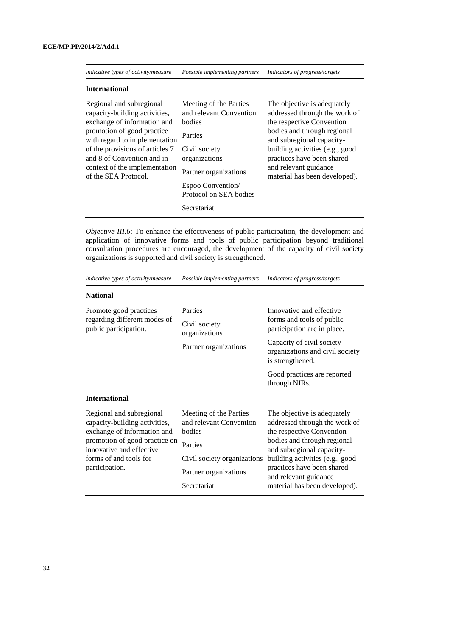*Indicative types of activity/measure Possible implementing partners Indicators of progress/targets*

#### **International**

| Regional and subregional<br>capacity-building activities,<br>exchange of information and<br>promotion of good practice<br>with regard to implementation<br>of the provisions of articles 7 | Meeting of the Parties<br>and relevant Convention<br>bodies<br>Parties<br>Civil society | The objective is adequately<br>addressed through the work of<br>the respective Convention<br>bodies and through regional<br>and subregional capacity-<br>building activities (e.g., good |
|--------------------------------------------------------------------------------------------------------------------------------------------------------------------------------------------|-----------------------------------------------------------------------------------------|------------------------------------------------------------------------------------------------------------------------------------------------------------------------------------------|
| and 8 of Convention and in                                                                                                                                                                 | organizations                                                                           | practices have been shared                                                                                                                                                               |
| context of the implementation<br>of the SEA Protocol.                                                                                                                                      | Partner organizations<br>Espoo Convention/                                              | and relevant guidance<br>material has been developed).                                                                                                                                   |
|                                                                                                                                                                                            | Protocol on SEA bodies                                                                  |                                                                                                                                                                                          |
|                                                                                                                                                                                            | Secretariat                                                                             |                                                                                                                                                                                          |

*Objective III.6*: To enhance the effectiveness of public participation, the development and application of innovative forms and tools of public participation beyond traditional consultation procedures are encouraged, the development of the capacity of civil society organizations is supported and civil society is strengthened.

| Indicative types of activity/measure                                                                                                                                                              | Possible implementing partners                                                                                                                | Indicators of progress/targets                                                                                                                                                                                                                                                   |
|---------------------------------------------------------------------------------------------------------------------------------------------------------------------------------------------------|-----------------------------------------------------------------------------------------------------------------------------------------------|----------------------------------------------------------------------------------------------------------------------------------------------------------------------------------------------------------------------------------------------------------------------------------|
| <b>National</b>                                                                                                                                                                                   |                                                                                                                                               |                                                                                                                                                                                                                                                                                  |
| Promote good practices<br>regarding different modes of<br>public participation.                                                                                                                   | Parties<br>Civil society<br>organizations<br>Partner organizations                                                                            | Innovative and effective<br>forms and tools of public<br>participation are in place.<br>Capacity of civil society<br>organizations and civil society<br>is strengthened.<br>Good practices are reported<br>through NIRs.                                                         |
| <b>International</b>                                                                                                                                                                              |                                                                                                                                               |                                                                                                                                                                                                                                                                                  |
| Regional and subregional<br>capacity-building activities,<br>exchange of information and<br>promotion of good practice on<br>innovative and effective<br>forms of and tools for<br>participation. | Meeting of the Parties<br>and relevant Convention<br>bodies<br>Parties<br>Civil society organizations<br>Partner organizations<br>Secretariat | The objective is adequately<br>addressed through the work of<br>the respective Convention<br>bodies and through regional<br>and subregional capacity-<br>building activities (e.g., good<br>practices have been shared<br>and relevant guidance<br>material has been developed). |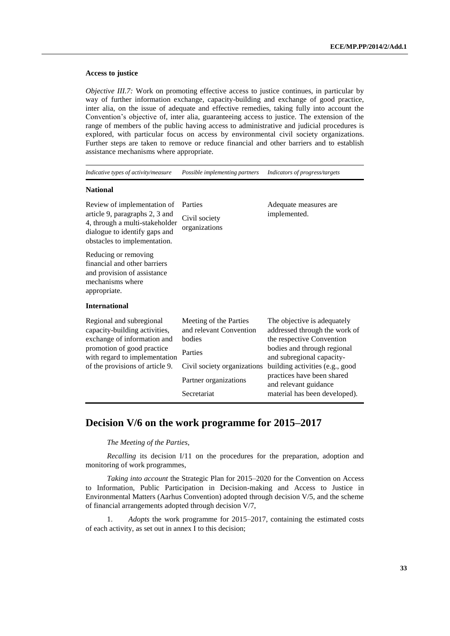#### **Access to justice**

*Objective III.7:* Work on promoting effective access to justice continues, in particular by way of further information exchange, capacity-building and exchange of good practice, inter alia, on the issue of adequate and effective remedies, taking fully into account the Convention's objective of, inter alia, guaranteeing access to justice. The extension of the range of members of the public having access to administrative and judicial procedures is explored, with particular focus on access by environmental civil society organizations. Further steps are taken to remove or reduce financial and other barriers and to establish assistance mechanisms where appropriate.

*Indicative types of activity/measure Possible implementing partners Indicators of progress/targets*

#### **National**

Review of implementation of article 9, paragraphs 2, 3 and 4, through a multi-stakeholder dialogue to identify gaps and obstacles to implementation.

Reducing or removing financial and other barriers and provision of assistance mechanisms where appropriate.

Parties Civil society organizations

Adequate measures are implemented.

#### **International**

| Regional and subregional<br>capacity-building activities,<br>exchange of information and | Meeting of the Parties<br>and relevant Convention<br>bodies | The objective is adequately<br>addressed through the work of<br>the respective Convention |
|------------------------------------------------------------------------------------------|-------------------------------------------------------------|-------------------------------------------------------------------------------------------|
| promotion of good practice<br>with regard to implementation                              | Parties                                                     | bodies and through regional<br>and subregional capacity-                                  |
| of the provisions of article 9.                                                          | Civil society organizations                                 | building activities (e.g., good                                                           |
|                                                                                          | Partner organizations                                       | practices have been shared<br>and relevant guidance                                       |
|                                                                                          | Secretariat                                                 | material has been developed).                                                             |

# **Decision V/6 on the work programme for 2015–2017**

*The Meeting of the Parties*,

*Recalling* its decision I/11 on the procedures for the preparation, adoption and monitoring of work programmes,

*Taking into account* the Strategic Plan for 2015–2020 for the Convention on Access to Information, Public Participation in Decision-making and Access to Justice in Environmental Matters (Aarhus Convention) adopted through decision V/5, and the scheme of financial arrangements adopted through decision V/7,

1. *Adopts* the work programme for 2015–2017, containing the estimated costs of each activity, as set out in annex I to this decision;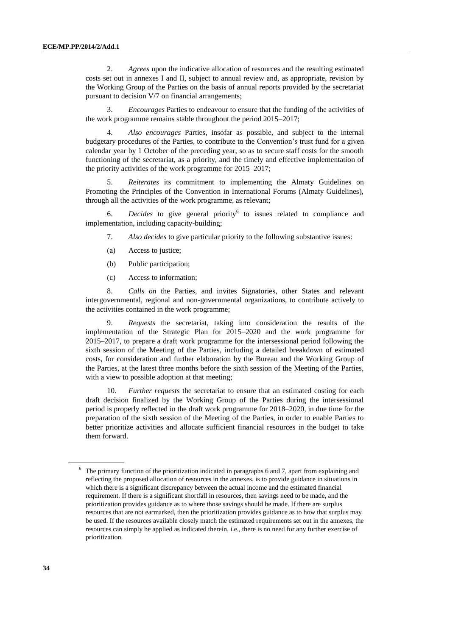2. *Agrees* upon the indicative allocation of resources and the resulting estimated costs set out in annexes I and II, subject to annual review and, as appropriate, revision by the Working Group of the Parties on the basis of annual reports provided by the secretariat pursuant to decision V/7 on financial arrangements;

3. *Encourages* Parties to endeavour to ensure that the funding of the activities of the work programme remains stable throughout the period 2015–2017;

4. *Also encourages* Parties, insofar as possible, and subject to the internal budgetary procedures of the Parties, to contribute to the Convention's trust fund for a given calendar year by 1 October of the preceding year, so as to secure staff costs for the smooth functioning of the secretariat, as a priority, and the timely and effective implementation of the priority activities of the work programme for 2015–2017;

5. *Reiterates* its commitment to implementing the Almaty Guidelines on Promoting the Principles of the Convention in International Forums (Almaty Guidelines), through all the activities of the work programme, as relevant;

6. *Decides* to give general priority<sup>6</sup> to issues related to compliance and implementation, including capacity-building;

- 7. *Also decides* to give particular priority to the following substantive issues:
- (a) Access to justice;
- (b) Public participation;
- (c) Access to information;

8. *Calls on* the Parties, and invites Signatories, other States and relevant intergovernmental, regional and non-governmental organizations, to contribute actively to the activities contained in the work programme;

9. *Requests* the secretariat, taking into consideration the results of the implementation of the Strategic Plan for 2015–2020 and the work programme for 2015–2017, to prepare a draft work programme for the intersessional period following the sixth session of the Meeting of the Parties, including a detailed breakdown of estimated costs, for consideration and further elaboration by the Bureau and the Working Group of the Parties, at the latest three months before the sixth session of the Meeting of the Parties, with a view to possible adoption at that meeting;

10. *Further requests* the secretariat to ensure that an estimated costing for each draft decision finalized by the Working Group of the Parties during the intersessional period is properly reflected in the draft work programme for 2018–2020, in due time for the preparation of the sixth session of the Meeting of the Parties, in order to enable Parties to better prioritize activities and allocate sufficient financial resources in the budget to take them forward.

<sup>&</sup>lt;sup>6</sup> The primary function of the prioritization indicated in paragraphs 6 and 7, apart from explaining and reflecting the proposed allocation of resources in the annexes, is to provide guidance in situations in which there is a significant discrepancy between the actual income and the estimated financial requirement. If there is a significant shortfall in resources, then savings need to be made, and the prioritization provides guidance as to where those savings should be made. If there are surplus resources that are not earmarked, then the prioritization provides guidance as to how that surplus may be used. If the resources available closely match the estimated requirements set out in the annexes, the resources can simply be applied as indicated therein, i.e., there is no need for any further exercise of prioritization.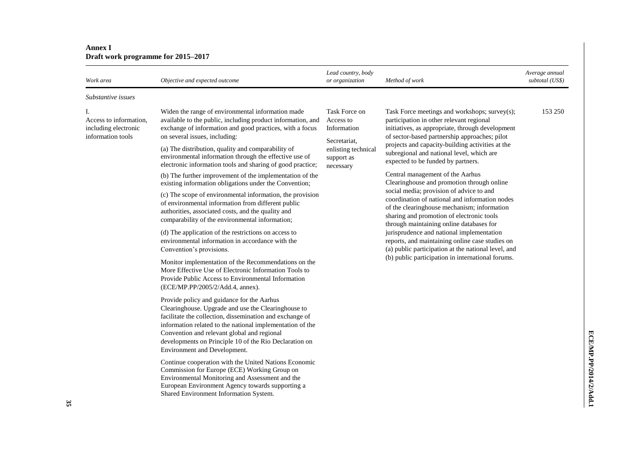| Work area                                                                 | Objective and expected outcome                                                                                                                                                                                                                                                                                                                                                                                                                                                                                                                                                                                                                                                                                                                                                                                                                                                                                                                                                                                                                                                                                                                 | Lead country, body<br>or organization                                                                       | Method of work                                                                                                                                                                                                                                                                                                                                                                                                                                                                                                                                                                                                                                                                                                                                                                                                                                                            | Average annual<br>subtotal (US\$) |
|---------------------------------------------------------------------------|------------------------------------------------------------------------------------------------------------------------------------------------------------------------------------------------------------------------------------------------------------------------------------------------------------------------------------------------------------------------------------------------------------------------------------------------------------------------------------------------------------------------------------------------------------------------------------------------------------------------------------------------------------------------------------------------------------------------------------------------------------------------------------------------------------------------------------------------------------------------------------------------------------------------------------------------------------------------------------------------------------------------------------------------------------------------------------------------------------------------------------------------|-------------------------------------------------------------------------------------------------------------|---------------------------------------------------------------------------------------------------------------------------------------------------------------------------------------------------------------------------------------------------------------------------------------------------------------------------------------------------------------------------------------------------------------------------------------------------------------------------------------------------------------------------------------------------------------------------------------------------------------------------------------------------------------------------------------------------------------------------------------------------------------------------------------------------------------------------------------------------------------------------|-----------------------------------|
| Substantive issues                                                        |                                                                                                                                                                                                                                                                                                                                                                                                                                                                                                                                                                                                                                                                                                                                                                                                                                                                                                                                                                                                                                                                                                                                                |                                                                                                             |                                                                                                                                                                                                                                                                                                                                                                                                                                                                                                                                                                                                                                                                                                                                                                                                                                                                           |                                   |
| Ι.<br>Access to information,<br>including electronic<br>information tools | Widen the range of environmental information made<br>available to the public, including product information, and<br>exchange of information and good practices, with a focus<br>on several issues, including:<br>(a) The distribution, quality and comparability of<br>environmental information through the effective use of<br>electronic information tools and sharing of good practice;<br>(b) The further improvement of the implementation of the<br>existing information obligations under the Convention;<br>(c) The scope of environmental information, the provision<br>of environmental information from different public<br>authorities, associated costs, and the quality and<br>comparability of the environmental information;<br>(d) The application of the restrictions on access to<br>environmental information in accordance with the<br>Convention's provisions.<br>Monitor implementation of the Recommendations on the<br>More Effective Use of Electronic Information Tools to<br>Provide Public Access to Environmental Information<br>(ECE/MP.PP/2005/2/Add.4, annex).<br>Provide policy and guidance for the Aarhus | Task Force on<br>Access to<br>Information<br>Secretariat,<br>enlisting technical<br>support as<br>necessary | Task Force meetings and workshops; survey(s);<br>participation in other relevant regional<br>initiatives, as appropriate, through development<br>of sector-based partnership approaches; pilot<br>projects and capacity-building activities at the<br>subregional and national level, which are<br>expected to be funded by partners.<br>Central management of the Aarhus<br>Clearinghouse and promotion through online<br>social media; provision of advice to and<br>coordination of national and information nodes<br>of the clearinghouse mechanism; information<br>sharing and promotion of electronic tools<br>through maintaining online databases for<br>jurisprudence and national implementation<br>reports, and maintaining online case studies on<br>(a) public participation at the national level, and<br>(b) public participation in international forums. | 153 250                           |
|                                                                           | Clearinghouse. Upgrade and use the Clearinghouse to<br>facilitate the collection, dissemination and exchange of<br>information related to the national implementation of the<br>Convention and relevant global and regional<br>developments on Principle 10 of the Rio Declaration on<br>Environment and Development.                                                                                                                                                                                                                                                                                                                                                                                                                                                                                                                                                                                                                                                                                                                                                                                                                          |                                                                                                             |                                                                                                                                                                                                                                                                                                                                                                                                                                                                                                                                                                                                                                                                                                                                                                                                                                                                           |                                   |
|                                                                           | Continue cooperation with the United Nations Economic<br>Commission for Europe (ECE) Working Group on<br>Environmental Monitoring and Assessment and the<br>European Environment Agency towards supporting a<br>Shared Environment Information System.                                                                                                                                                                                                                                                                                                                                                                                                                                                                                                                                                                                                                                                                                                                                                                                                                                                                                         |                                                                                                             |                                                                                                                                                                                                                                                                                                                                                                                                                                                                                                                                                                                                                                                                                                                                                                                                                                                                           |                                   |

#### **Annex I Draft work programme for 2015–2017**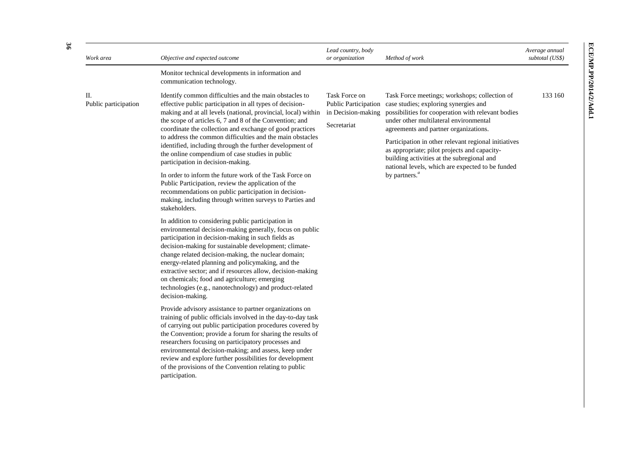| Objective and expected outcome                                                                                                                                                                                                                                                                                                                                                                                                                                                                                                                                                                                                                                                                                                                                                                                                                                                                                                                                                                                                                                                                                                                                                                                                                                                                                                                                                                                                                                                                                                                                                                                                                                                                      | Lead country, body<br>or organization                                                                                                | Method of work                                                                                                                                                                                                                                                                                                                                                                                                                                                         | Average annual<br>subtotal (US\$) |
|-----------------------------------------------------------------------------------------------------------------------------------------------------------------------------------------------------------------------------------------------------------------------------------------------------------------------------------------------------------------------------------------------------------------------------------------------------------------------------------------------------------------------------------------------------------------------------------------------------------------------------------------------------------------------------------------------------------------------------------------------------------------------------------------------------------------------------------------------------------------------------------------------------------------------------------------------------------------------------------------------------------------------------------------------------------------------------------------------------------------------------------------------------------------------------------------------------------------------------------------------------------------------------------------------------------------------------------------------------------------------------------------------------------------------------------------------------------------------------------------------------------------------------------------------------------------------------------------------------------------------------------------------------------------------------------------------------|--------------------------------------------------------------------------------------------------------------------------------------|------------------------------------------------------------------------------------------------------------------------------------------------------------------------------------------------------------------------------------------------------------------------------------------------------------------------------------------------------------------------------------------------------------------------------------------------------------------------|-----------------------------------|
| Monitor technical developments in information and<br>communication technology.                                                                                                                                                                                                                                                                                                                                                                                                                                                                                                                                                                                                                                                                                                                                                                                                                                                                                                                                                                                                                                                                                                                                                                                                                                                                                                                                                                                                                                                                                                                                                                                                                      |                                                                                                                                      |                                                                                                                                                                                                                                                                                                                                                                                                                                                                        |                                   |
| Identify common difficulties and the main obstacles to<br>effective public participation in all types of decision-<br>making and at all levels (national, provincial, local) within<br>the scope of articles 6, 7 and 8 of the Convention; and<br>coordinate the collection and exchange of good practices<br>to address the common difficulties and the main obstacles<br>identified, including through the further development of<br>the online compendium of case studies in public<br>participation in decision-making.<br>In order to inform the future work of the Task Force on<br>Public Participation, review the application of the<br>recommendations on public participation in decision-<br>making, including through written surveys to Parties and<br>stakeholders.<br>In addition to considering public participation in<br>environmental decision-making generally, focus on public<br>participation in decision-making in such fields as<br>decision-making for sustainable development; climate-<br>change related decision-making, the nuclear domain;<br>energy-related planning and policymaking, and the<br>extractive sector; and if resources allow, decision-making<br>on chemicals; food and agriculture; emerging<br>technologies (e.g., nanotechnology) and product-related<br>decision-making.<br>Provide advisory assistance to partner organizations on<br>training of public officials involved in the day-to-day task<br>of carrying out public participation procedures covered by<br>the Convention; provide a forum for sharing the results of<br>researchers focusing on participatory processes and<br>environmental decision-making; and assess, keep under | Task Force on<br><b>Public Participation</b><br>in Decision-making<br>Secretariat                                                    | Task Force meetings; workshops; collection of<br>case studies; exploring synergies and<br>possibilities for cooperation with relevant bodies<br>under other multilateral environmental<br>agreements and partner organizations.<br>Participation in other relevant regional initiatives<br>as appropriate; pilot projects and capacity-<br>building activities at the subregional and<br>national levels, which are expected to be funded<br>by partners. <sup>a</sup> | 133 160                           |
|                                                                                                                                                                                                                                                                                                                                                                                                                                                                                                                                                                                                                                                                                                                                                                                                                                                                                                                                                                                                                                                                                                                                                                                                                                                                                                                                                                                                                                                                                                                                                                                                                                                                                                     | review and explore further possibilities for development<br>of the provisions of the Convention relating to public<br>participation. |                                                                                                                                                                                                                                                                                                                                                                                                                                                                        |                                   |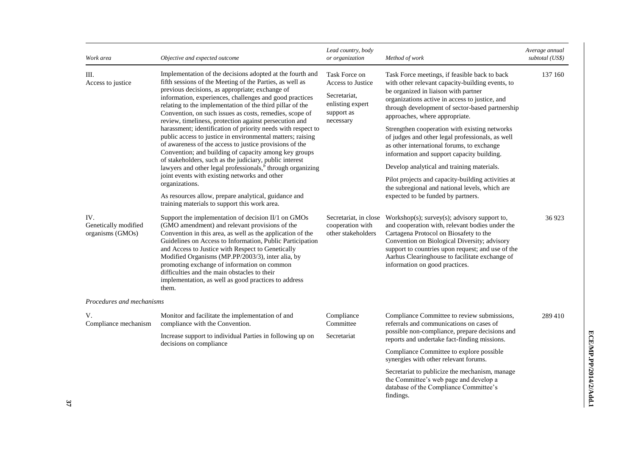| Work area                                       | Objective and expected outcome                                                                                                                                                                                                                                                                                                                                                                                                                                                                                                                                                                                                                                                                                                     | Lead country, body<br>or organization                                                                    | Method of work                                                                                                                                                                                                                                                                                                                                                                                                                                                                    | Average annual<br>subtotal (US\$) |
|-------------------------------------------------|------------------------------------------------------------------------------------------------------------------------------------------------------------------------------------------------------------------------------------------------------------------------------------------------------------------------------------------------------------------------------------------------------------------------------------------------------------------------------------------------------------------------------------------------------------------------------------------------------------------------------------------------------------------------------------------------------------------------------------|----------------------------------------------------------------------------------------------------------|-----------------------------------------------------------------------------------------------------------------------------------------------------------------------------------------------------------------------------------------------------------------------------------------------------------------------------------------------------------------------------------------------------------------------------------------------------------------------------------|-----------------------------------|
| Ш.<br>Access to justice                         | Implementation of the decisions adopted at the fourth and<br>fifth sessions of the Meeting of the Parties, as well as<br>previous decisions, as appropriate; exchange of<br>information, experiences, challenges and good practices<br>relating to the implementation of the third pillar of the<br>Convention, on such issues as costs, remedies, scope of<br>review, timeliness, protection against persecution and<br>harassment; identification of priority needs with respect to<br>public access to justice in environmental matters; raising<br>of awareness of the access to justice provisions of the<br>Convention; and building of capacity among key groups<br>of stakeholders, such as the judiciary, public interest | Task Force on<br><b>Access to Justice</b><br>Secretariat,<br>enlisting expert<br>support as<br>necessary | Task Force meetings, if feasible back to back<br>with other relevant capacity-building events, to<br>be organized in liaison with partner<br>organizations active in access to justice, and<br>through development of sector-based partnership<br>approaches, where appropriate.<br>Strengthen cooperation with existing networks<br>of judges and other legal professionals, as well<br>as other international forums, to exchange<br>information and support capacity building. | 137 160                           |
|                                                 | lawyers and other legal professionals, <sup>b</sup> through organizing<br>joint events with existing networks and other                                                                                                                                                                                                                                                                                                                                                                                                                                                                                                                                                                                                            |                                                                                                          | Develop analytical and training materials.<br>Pilot projects and capacity-building activities at                                                                                                                                                                                                                                                                                                                                                                                  |                                   |
|                                                 | organizations.<br>As resources allow, prepare analytical, guidance and<br>training materials to support this work area.                                                                                                                                                                                                                                                                                                                                                                                                                                                                                                                                                                                                            |                                                                                                          | the subregional and national levels, which are<br>expected to be funded by partners.                                                                                                                                                                                                                                                                                                                                                                                              |                                   |
| IV.<br>Genetically modified<br>organisms (GMOs) | Support the implementation of decision II/1 on GMOs<br>(GMO amendment) and relevant provisions of the<br>Convention in this area, as well as the application of the<br>Guidelines on Access to Information, Public Participation<br>and Access to Justice with Respect to Genetically<br>Modified Organisms (MP.PP/2003/3), inter alia, by<br>promoting exchange of information on common<br>difficulties and the main obstacles to their<br>implementation, as well as good practices to address<br>them.                                                                                                                                                                                                                         | Secretariat, in close<br>cooperation with<br>other stakeholders                                          | Workshop(s); survey(s); advisory support to,<br>and cooperation with, relevant bodies under the<br>Cartagena Protocol on Biosafety to the<br>Convention on Biological Diversity; advisory<br>support to countries upon request; and use of the<br>Aarhus Clearinghouse to facilitate exchange of<br>information on good practices.                                                                                                                                                | 36923                             |
| Procedures and mechanisms                       |                                                                                                                                                                                                                                                                                                                                                                                                                                                                                                                                                                                                                                                                                                                                    |                                                                                                          |                                                                                                                                                                                                                                                                                                                                                                                                                                                                                   |                                   |
| V.<br>Compliance mechanism                      | Monitor and facilitate the implementation of and<br>compliance with the Convention.                                                                                                                                                                                                                                                                                                                                                                                                                                                                                                                                                                                                                                                | Compliance<br>Committee                                                                                  | Compliance Committee to review submissions,<br>referrals and communications on cases of                                                                                                                                                                                                                                                                                                                                                                                           | 289 410                           |
|                                                 | Increase support to individual Parties in following up on<br>decisions on compliance                                                                                                                                                                                                                                                                                                                                                                                                                                                                                                                                                                                                                                               | Secretariat                                                                                              | possible non-compliance, prepare decisions and<br>reports and undertake fact-finding missions.                                                                                                                                                                                                                                                                                                                                                                                    |                                   |
|                                                 |                                                                                                                                                                                                                                                                                                                                                                                                                                                                                                                                                                                                                                                                                                                                    |                                                                                                          | Compliance Committee to explore possible<br>synergies with other relevant forums.                                                                                                                                                                                                                                                                                                                                                                                                 |                                   |
|                                                 |                                                                                                                                                                                                                                                                                                                                                                                                                                                                                                                                                                                                                                                                                                                                    |                                                                                                          | Secretariat to publicize the mechanism, manage<br>the Committee's web page and develop a<br>database of the Compliance Committee's<br>findings.                                                                                                                                                                                                                                                                                                                                   |                                   |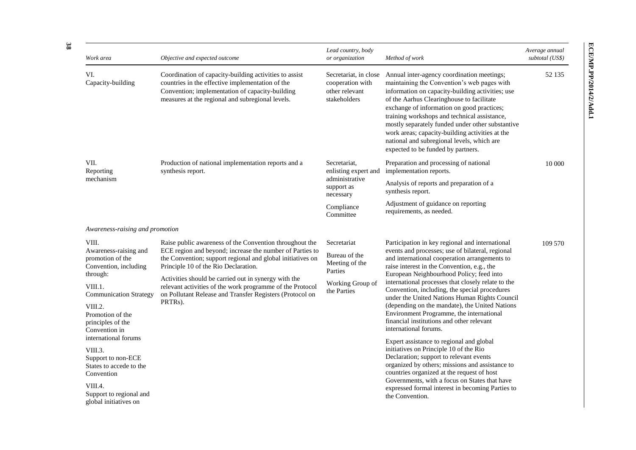| Work area                                                                                                                                                                                                | Objective and expected outcome                                                                                                                                                                                                                                                                                                                                                                                        | Lead country, body<br>or organization                                                        | Method of work                                                                                                                                                                                                                                                                                                                                                                                                                                                                                                                                                              | Average annual<br>subtotal (US\$) |
|----------------------------------------------------------------------------------------------------------------------------------------------------------------------------------------------------------|-----------------------------------------------------------------------------------------------------------------------------------------------------------------------------------------------------------------------------------------------------------------------------------------------------------------------------------------------------------------------------------------------------------------------|----------------------------------------------------------------------------------------------|-----------------------------------------------------------------------------------------------------------------------------------------------------------------------------------------------------------------------------------------------------------------------------------------------------------------------------------------------------------------------------------------------------------------------------------------------------------------------------------------------------------------------------------------------------------------------------|-----------------------------------|
| VI.<br>Capacity-building                                                                                                                                                                                 | Coordination of capacity-building activities to assist<br>countries in the effective implementation of the<br>Convention; implementation of capacity-building<br>measures at the regional and subregional levels.                                                                                                                                                                                                     | Secretariat, in close<br>cooperation with<br>other relevant<br>stakeholders                  | Annual inter-agency coordination meetings;<br>maintaining the Convention's web pages with<br>information on capacity-building activities; use<br>of the Aarhus Clearinghouse to facilitate<br>exchange of information on good practices;<br>training workshops and technical assistance,<br>mostly separately funded under other substantive<br>work areas; capacity-building activities at the<br>national and subregional levels, which are<br>expected to be funded by partners.                                                                                         | 52 135                            |
| VII.<br>Reporting                                                                                                                                                                                        | Production of national implementation reports and a<br>synthesis report.                                                                                                                                                                                                                                                                                                                                              | Secretariat,<br>enlisting expert and                                                         | Preparation and processing of national<br>implementation reports.                                                                                                                                                                                                                                                                                                                                                                                                                                                                                                           | 10 000                            |
| mechanism                                                                                                                                                                                                |                                                                                                                                                                                                                                                                                                                                                                                                                       | administrative<br>support as<br>necessary                                                    | Analysis of reports and preparation of a<br>synthesis report.                                                                                                                                                                                                                                                                                                                                                                                                                                                                                                               |                                   |
|                                                                                                                                                                                                          |                                                                                                                                                                                                                                                                                                                                                                                                                       | Compliance<br>Committee                                                                      | Adjustment of guidance on reporting<br>requirements, as needed.                                                                                                                                                                                                                                                                                                                                                                                                                                                                                                             |                                   |
| Awareness-raising and promotion                                                                                                                                                                          |                                                                                                                                                                                                                                                                                                                                                                                                                       |                                                                                              |                                                                                                                                                                                                                                                                                                                                                                                                                                                                                                                                                                             |                                   |
| VIII.<br>Awareness-raising and<br>promotion of the<br>Convention, including<br>through:<br>VIII.1.<br><b>Communication Strategy</b><br>VIII.2.<br>Promotion of the<br>principles of the<br>Convention in | Raise public awareness of the Convention throughout the<br>ECE region and beyond; increase the number of Parties to<br>the Convention; support regional and global initiatives on<br>Principle 10 of the Rio Declaration.<br>Activities should be carried out in synergy with the<br>relevant activities of the work programme of the Protocol<br>on Pollutant Release and Transfer Registers (Protocol on<br>PRTRs). | Secretariat<br>Bureau of the<br>Meeting of the<br>Parties<br>Working Group of<br>the Parties | Participation in key regional and international<br>events and processes; use of bilateral, regional<br>and international cooperation arrangements to<br>raise interest in the Convention, e.g., the<br>European Neighbourhood Policy; feed into<br>international processes that closely relate to the<br>Convention, including, the special procedures<br>under the United Nations Human Rights Council<br>(depending on the mandate), the United Nations<br>Environment Programme, the international<br>financial institutions and other relevant<br>international forums. | 109 570                           |
| international forums<br>VIII.3.<br>Support to non-ECE<br>States to accede to the<br>Convention<br>VIII.4.<br>Support to regional and<br>global initiatives on                                            |                                                                                                                                                                                                                                                                                                                                                                                                                       |                                                                                              | Expert assistance to regional and global<br>initiatives on Principle 10 of the Rio<br>Declaration; support to relevant events<br>organized by others; missions and assistance to<br>countries organized at the request of host<br>Governments, with a focus on States that have<br>expressed formal interest in becoming Parties to<br>the Convention.                                                                                                                                                                                                                      |                                   |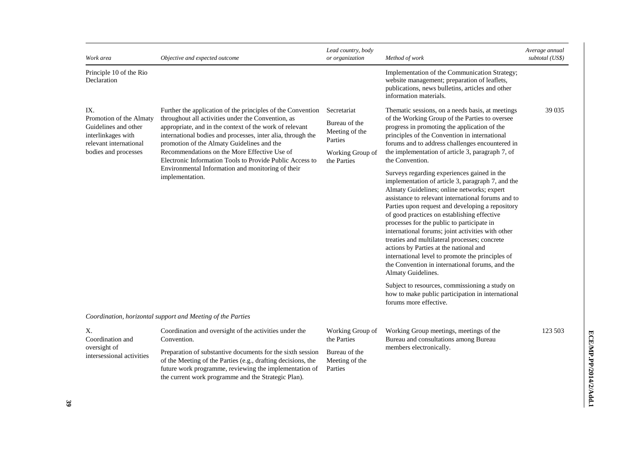| Work area                                                                                                                      | Objective and expected outcome                                                                                                                                                                                                                                                                                                                                                                                                                                                | Lead country, body<br>or organization                                                        | Method of work                                                                                                                                                                                                                                                                                                                                                                                                                                                                                                                                                                                                                                                                                                                                                                                                                                                                                                                                                                                                                                                                                       | Average annual<br>subtotal (US\$) |
|--------------------------------------------------------------------------------------------------------------------------------|-------------------------------------------------------------------------------------------------------------------------------------------------------------------------------------------------------------------------------------------------------------------------------------------------------------------------------------------------------------------------------------------------------------------------------------------------------------------------------|----------------------------------------------------------------------------------------------|------------------------------------------------------------------------------------------------------------------------------------------------------------------------------------------------------------------------------------------------------------------------------------------------------------------------------------------------------------------------------------------------------------------------------------------------------------------------------------------------------------------------------------------------------------------------------------------------------------------------------------------------------------------------------------------------------------------------------------------------------------------------------------------------------------------------------------------------------------------------------------------------------------------------------------------------------------------------------------------------------------------------------------------------------------------------------------------------------|-----------------------------------|
| Principle 10 of the Rio<br>Declaration                                                                                         |                                                                                                                                                                                                                                                                                                                                                                                                                                                                               |                                                                                              | Implementation of the Communication Strategy;<br>website management; preparation of leaflets,<br>publications, news bulletins, articles and other<br>information materials.                                                                                                                                                                                                                                                                                                                                                                                                                                                                                                                                                                                                                                                                                                                                                                                                                                                                                                                          |                                   |
| IX.<br>Promotion of the Almaty<br>Guidelines and other<br>interlinkages with<br>relevant international<br>bodies and processes | Further the application of the principles of the Convention<br>throughout all activities under the Convention, as<br>appropriate, and in the context of the work of relevant<br>international bodies and processes, inter alia, through the<br>promotion of the Almaty Guidelines and the<br>Recommendations on the More Effective Use of<br>Electronic Information Tools to Provide Public Access to<br>Environmental Information and monitoring of their<br>implementation. | Secretariat<br>Bureau of the<br>Meeting of the<br>Parties<br>Working Group of<br>the Parties | Thematic sessions, on a needs basis, at meetings<br>of the Working Group of the Parties to oversee<br>progress in promoting the application of the<br>principles of the Convention in international<br>forums and to address challenges encountered in<br>the implementation of article 3, paragraph 7, of<br>the Convention.<br>Surveys regarding experiences gained in the<br>implementation of article 3, paragraph 7, and the<br>Almaty Guidelines; online networks; expert<br>assistance to relevant international forums and to<br>Parties upon request and developing a repository<br>of good practices on establishing effective<br>processes for the public to participate in<br>international forums; joint activities with other<br>treaties and multilateral processes; concrete<br>actions by Parties at the national and<br>international level to promote the principles of<br>the Convention in international forums, and the<br>Almaty Guidelines.<br>Subject to resources, commissioning a study on<br>how to make public participation in international<br>forums more effective. | 39 0 35                           |
|                                                                                                                                | Coordination, horizontal support and Meeting of the Parties                                                                                                                                                                                                                                                                                                                                                                                                                   |                                                                                              |                                                                                                                                                                                                                                                                                                                                                                                                                                                                                                                                                                                                                                                                                                                                                                                                                                                                                                                                                                                                                                                                                                      |                                   |
| Χ.<br>Coordination and<br>oversight of<br>intersessional activities                                                            | Coordination and oversight of the activities under the<br>Convention.                                                                                                                                                                                                                                                                                                                                                                                                         | Working Group of<br>the Parties                                                              | Working Group meetings, meetings of the<br>Bureau and consultations among Bureau                                                                                                                                                                                                                                                                                                                                                                                                                                                                                                                                                                                                                                                                                                                                                                                                                                                                                                                                                                                                                     | 123 503                           |
|                                                                                                                                | Preparation of substantive documents for the sixth session<br>of the Meeting of the Parties (e.g., drafting decisions, the<br>future work programme, reviewing the implementation of<br>the current work programme and the Strategic Plan).                                                                                                                                                                                                                                   | Bureau of the<br>Meeting of the<br>Parties                                                   | members electronically.                                                                                                                                                                                                                                                                                                                                                                                                                                                                                                                                                                                                                                                                                                                                                                                                                                                                                                                                                                                                                                                                              |                                   |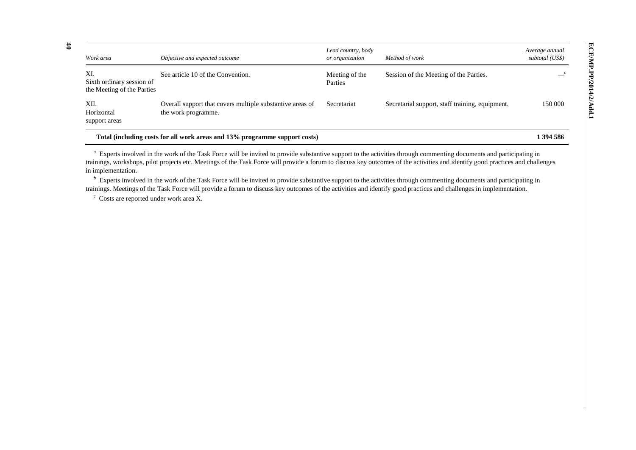| Work area                                                      | Objective and expected outcome                                                   | Lead country, body<br>or organization | Method of work                                  | Average annual<br>subtotal (US\$) |
|----------------------------------------------------------------|----------------------------------------------------------------------------------|---------------------------------------|-------------------------------------------------|-----------------------------------|
| XI.<br>Sixth ordinary session of<br>the Meeting of the Parties | See article 10 of the Convention.                                                | Meeting of the<br>Parties             | Session of the Meeting of the Parties.          |                                   |
| XII.<br>Horizontal<br>support areas                            | Overall support that covers multiple substantive areas of<br>the work programme. | Secretariat                           | Secretarial support, staff training, equipment. | 150 000                           |
|                                                                | Total (including costs for all work areas and 13% programme support costs)       |                                       |                                                 | 1 394 586                         |

<sup>a</sup> Experts involved in the work of the Task Force will be invited to provide substantive support to the activities through commenting documents and participating in trainings, workshops, pilot projects etc. Meetings of the Task Force will provide a forum to discuss key outcomes of the activities and identify good practices and challenges in implementation.

<sup>*b*</sup> Experts involved in the work of the Task Force will be invited to provide substantive support to the activities through commenting documents and participating in trainings. Meetings of the Task Force will provide a forum to discuss key outcomes of the activities and identify good practices and challenges in implementation.

*c* Costs are reported under work area X.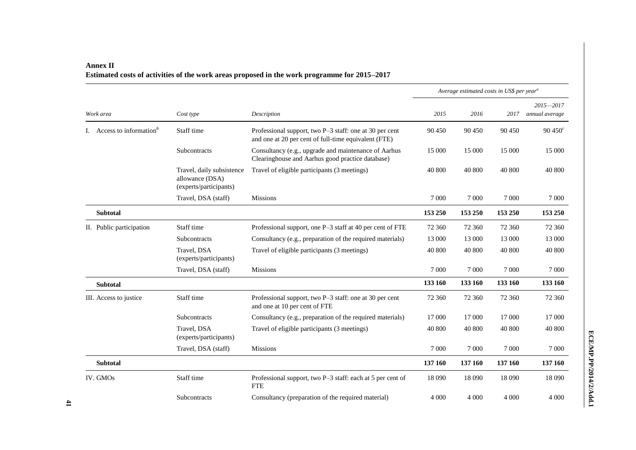|                                       |                                                                        |                                                                                                                 | Average estimated costs in US\$ per year <sup>a</sup> |         |         |                                 |
|---------------------------------------|------------------------------------------------------------------------|-----------------------------------------------------------------------------------------------------------------|-------------------------------------------------------|---------|---------|---------------------------------|
| Work area                             | Cost type                                                              | Description                                                                                                     | 2015                                                  | 2016    | 2017    | $2015 - 2017$<br>annual average |
| I. Access to information <sup>b</sup> | Staff time                                                             | Professional support, two P-3 staff: one at 30 per cent<br>and one at 20 per cent of full-time equivalent (FTE) | 90 450                                                | 90 450  | 90 450  | $90\,450^c$                     |
|                                       | Subcontracts                                                           | Consultancy (e.g., upgrade and maintenance of Aarhus<br>Clearinghouse and Aarhus good practice database)        | 15 000                                                | 15 000  | 15 000  | 15 000                          |
|                                       | Travel, daily subsistence<br>allowance (DSA)<br>(experts/participants) | Travel of eligible participants (3 meetings)                                                                    | 40 800                                                | 40 800  | 40 800  | 40 800                          |
|                                       | Travel, DSA (staff)                                                    | <b>Missions</b>                                                                                                 | 7 0 0 0                                               | 7 0 0 0 | 7 0 0 0 | 7 0 0 0                         |
| <b>Subtotal</b>                       |                                                                        |                                                                                                                 | 153 250                                               | 153 250 | 153 250 | 153 250                         |
| II. Public participation              | Staff time                                                             | Professional support, one P-3 staff at 40 per cent of FTE                                                       | 72 360                                                | 72 360  | 72 360  | 72 360                          |
|                                       | Subcontracts                                                           | Consultancy (e.g., preparation of the required materials)                                                       | 13 000                                                | 13 000  | 13 000  | 13 000                          |
|                                       | Travel, DSA<br>(experts/participants)                                  | Travel of eligible participants (3 meetings)                                                                    | 40 800                                                | 40 800  | 40 800  | 40 800                          |
|                                       | Travel, DSA (staff)                                                    | <b>Missions</b>                                                                                                 | 7 000                                                 | 7 0 0 0 | 7 0 0 0 | 7 0 0 0                         |
| <b>Subtotal</b>                       |                                                                        |                                                                                                                 | 133 160                                               | 133 160 | 133 160 | 133 160                         |
| III. Access to justice                | Staff time                                                             | Professional support, two P-3 staff: one at 30 per cent<br>and one at 10 per cent of FTE                        | 72 360                                                | 72 360  | 72 360  | 72 360                          |
|                                       | Subcontracts                                                           | Consultancy (e.g., preparation of the required materials)                                                       | 17 000                                                | 17 000  | 17 000  | 17 000                          |
|                                       | Travel, DSA<br>(experts/participants)                                  | Travel of eligible participants (3 meetings)                                                                    | 40 800                                                | 40 800  | 40 800  | 40 800                          |
|                                       | Travel, DSA (staff)                                                    | <b>Missions</b>                                                                                                 | 7 000                                                 | 7 000   | 7 0 0 0 | 7 0 0 0                         |
| <b>Subtotal</b>                       |                                                                        |                                                                                                                 | 137 160                                               | 137 160 | 137 160 | 137 160                         |
| IV. GMOs                              | Staff time                                                             | Professional support, two P-3 staff: each at 5 per cent of<br><b>FTE</b>                                        | 18 090                                                | 18 090  | 18 090  | 18 0 9 0                        |
|                                       | Subcontracts                                                           | Consultancy (preparation of the required material)                                                              | 4 0 0 0                                               | 4 0 0 0 | 4 0 0 0 | 4 0 0 0                         |

### **Annex II Estimated costs of activities of the work areas proposed in the work programme for 2015–2017**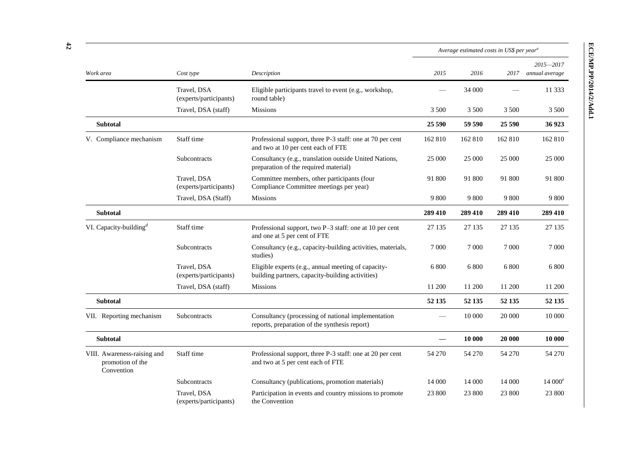|                                                               |                                       |                                                                                                         | Average estimated costs in US\$ per year <sup>a</sup> |         |         |                                 |
|---------------------------------------------------------------|---------------------------------------|---------------------------------------------------------------------------------------------------------|-------------------------------------------------------|---------|---------|---------------------------------|
| Work area                                                     | Cost type                             | Description                                                                                             | 2015                                                  | 2016    | 2017    | $2015 - 2017$<br>annual average |
|                                                               | Travel, DSA<br>(experts/participants) | Eligible participants travel to event (e.g., workshop,<br>round table)                                  |                                                       | 34 000  |         | 11 3 3 3                        |
|                                                               | Travel, DSA (staff)                   | <b>Missions</b>                                                                                         | 3 500                                                 | 3 500   | 3 500   | 3 500                           |
| <b>Subtotal</b>                                               |                                       |                                                                                                         | 25 5 9 0                                              | 59 590  | 25 590  | 36923                           |
| V. Compliance mechanism                                       | Staff time                            | Professional support, three P-3 staff: one at 70 per cent<br>and two at 10 per cent each of FTE         | 162 810                                               | 162 810 | 162 810 | 162 810                         |
|                                                               | Subcontracts                          | Consultancy (e.g., translation outside United Nations,<br>preparation of the required material)         | 25 000                                                | 25 000  | 25 000  | 25 000                          |
|                                                               | Travel, DSA<br>(experts/participants) | Committee members, other participants (four<br>Compliance Committee meetings per year)                  | 91 800                                                | 91 800  | 91 800  | 91 800                          |
|                                                               | Travel, DSA (Staff)                   | <b>Missions</b>                                                                                         | 9 800                                                 | 9 800   | 9 800   | 9 800                           |
| <b>Subtotal</b>                                               |                                       |                                                                                                         | 289 410                                               | 289 410 | 289 410 | 289 410                         |
| VI. Capacity-building <sup>d</sup>                            | Staff time                            | Professional support, two P-3 staff: one at 10 per cent<br>and one at 5 per cent of FTE                 | 27 135                                                | 27 135  | 27 135  | 27 135                          |
|                                                               | Subcontracts                          | Consultancy (e.g., capacity-building activities, materials,<br>studies)                                 | 7 0 0 0                                               | 7 0 0 0 | 7 0 0 0 | 7 0 0 0                         |
|                                                               | Travel, DSA<br>(experts/participants) | Eligible experts (e.g., annual meeting of capacity-<br>building partners, capacity-building activities) | 6 800                                                 | 6 800   | 6 800   | 6 800                           |
|                                                               | Travel, DSA (staff)                   | <b>Missions</b>                                                                                         | 11 200                                                | 11 200  | 11 200  | 11 200                          |
| Subtotal                                                      |                                       |                                                                                                         | 52 135                                                | 52 135  | 52 135  | 52 135                          |
| VII. Reporting mechanism                                      | Subcontracts                          | Consultancy (processing of national implementation<br>reports, preparation of the synthesis report)     |                                                       | 10 000  | 20 000  | 10 000                          |
| <b>Subtotal</b>                                               |                                       |                                                                                                         |                                                       | 10 000  | 20 000  | 10 000                          |
| VIII. Awareness-raising and<br>promotion of the<br>Convention | Staff time                            | Professional support, three P-3 staff: one at 20 per cent<br>and two at 5 per cent each of FTE          | 54 270                                                | 54 270  | 54 270  | 54 270                          |
|                                                               | Subcontracts                          | Consultancy (publications, promotion materials)                                                         | 14 000                                                | 14 000  | 14 000  | $14000^e$                       |
|                                                               | Travel, DSA                           | Participation in events and country missions to promote                                                 | 23 800                                                | 23 800  | 23 800  | 23 800                          |

(experts/participants)

the Convention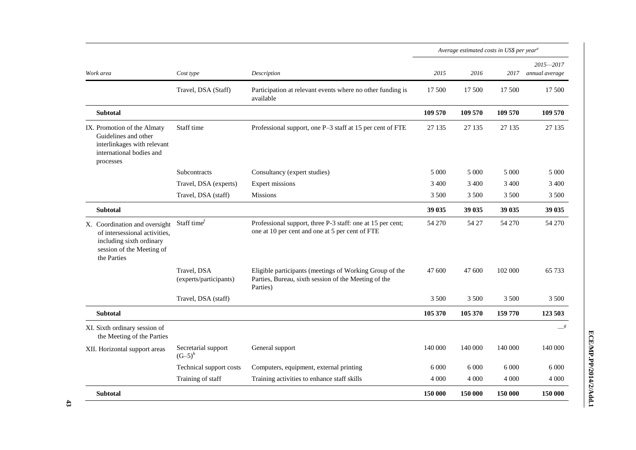|                                                                                                                                        |                                       |                                                                                                                             | Average estimated costs in US\$ per year <sup>a</sup> |         |         |                                 |
|----------------------------------------------------------------------------------------------------------------------------------------|---------------------------------------|-----------------------------------------------------------------------------------------------------------------------------|-------------------------------------------------------|---------|---------|---------------------------------|
| Work area                                                                                                                              | Cost type                             | Description                                                                                                                 | 2015                                                  | 2016    | 2017    | $2015 - 2017$<br>annual average |
|                                                                                                                                        | Travel, DSA (Staff)                   | Participation at relevant events where no other funding is<br>available                                                     | 17 500                                                | 17 500  | 17 500  | 17 500                          |
| <b>Subtotal</b>                                                                                                                        |                                       |                                                                                                                             | 109 570                                               | 109 570 | 109 570 | 109 570                         |
| IX. Promotion of the Almaty<br>Guidelines and other<br>interlinkages with relevant<br>international bodies and<br>processes            | Staff time                            | Professional support, one P-3 staff at 15 per cent of FTE                                                                   | 27 135                                                | 27 135  | 27 135  | 27 135                          |
|                                                                                                                                        | Subcontracts                          | Consultancy (expert studies)                                                                                                | 5 0 0 0                                               | 5 0 0 0 | 5 0 0 0 | 5 0 0 0                         |
|                                                                                                                                        | Travel, DSA (experts)                 | <b>Expert missions</b>                                                                                                      | 3 4 0 0                                               | 3 4 0 0 | 3 4 0 0 | 3 4 0 0                         |
|                                                                                                                                        | Travel, DSA (staff)                   | <b>Missions</b>                                                                                                             | 3 500                                                 | 3 500   | 3 500   | 3 500                           |
| <b>Subtotal</b>                                                                                                                        |                                       |                                                                                                                             | 39 035                                                | 39 035  | 39 035  | 39 035                          |
| X. Coordination and oversight<br>of intersessional activities,<br>including sixth ordinary<br>session of the Meeting of<br>the Parties | Staff time $\ell$                     | Professional support, three P-3 staff: one at 15 per cent;<br>one at 10 per cent and one at 5 per cent of FTE               | 54 270                                                | 54 27   | 54 270  | 54 270                          |
|                                                                                                                                        | Travel, DSA<br>(experts/participants) | Eligible participants (meetings of Working Group of the<br>Parties, Bureau, sixth session of the Meeting of the<br>Parties) | 47 600                                                | 47 600  | 102 000 | 65 7 33                         |
|                                                                                                                                        | Travel, DSA (staff)                   |                                                                                                                             | 3 500                                                 | 3 500   | 3 500   | 3 500                           |
| <b>Subtotal</b>                                                                                                                        |                                       |                                                                                                                             | 105 370                                               | 105 370 | 159 770 | 123 503                         |
| XI. Sixth ordinary session of<br>the Meeting of the Parties                                                                            |                                       |                                                                                                                             |                                                       |         |         | $\frac{g}{g}$                   |
| XII. Horizontal support areas                                                                                                          | Secretarial support<br>$(G-5)^h$      | General support                                                                                                             | 140 000                                               | 140 000 | 140 000 | 140 000                         |
|                                                                                                                                        | Technical support costs               | Computers, equipment, external printing                                                                                     | 6 0 0 0                                               | 6 0 0 0 | 6 0 0 0 | 6.000                           |
|                                                                                                                                        | Training of staff                     | Training activities to enhance staff skills                                                                                 | 4 0 0 0                                               | 4 0 0 0 | 4 0 0 0 | 4 0 0 0                         |
| <b>Subtotal</b>                                                                                                                        |                                       |                                                                                                                             | 150 000                                               | 150 000 | 150 000 | 150 000                         |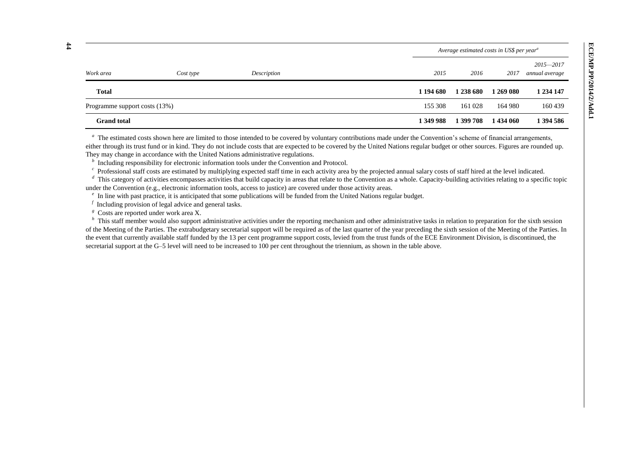|                               |           |             |           | Average estimated costs in US\$ per year <sup>a</sup> |           |                                 |
|-------------------------------|-----------|-------------|-----------|-------------------------------------------------------|-----------|---------------------------------|
| Work area                     | Cost type | Description | 2015      | 2016                                                  | 2017      | $2015 - 2017$<br>annual average |
| <b>Total</b>                  |           |             | 1 194 680 | 1 238 680                                             | 1 269 080 | 1 234 147                       |
| Programme support costs (13%) |           |             | 155 308   | 161 028                                               | 164 980   | 160439                          |
| <b>Grand</b> total            |           |             | 1 349 988 | 1 399 708                                             | 1434 060  | 1 394 586                       |

<sup>a</sup> The estimated costs shown here are limited to those intended to be covered by voluntary contributions made under the Convention's scheme of financial arrangements, either through its trust fund or in kind. They do not include costs that are expected to be covered by the United Nations regular budget or other sources. Figures are rounded up. They may change in accordance with the United Nations administrative regulations.

*b* Including responsibility for electronic information tools under the Convention and Protocol.

<sup>c</sup> Professional staff costs are estimated by multiplying expected staff time in each activity area by the projected annual salary costs of staff hired at the level indicated.

<sup>d</sup> This category of activities encompasses activities that build capacity in areas that relate to the Convention as a whole. Capacity-building activities relating to a specific topic under the Convention (e.g., electronic information tools, access to justice) are covered under those activity areas.

*e* In line with past practice, it is anticipated that some publications will be funded from the United Nations regular budget.

*f* Including provision of legal advice and general tasks.

<sup>g</sup> Costs are reported under work area X.

<sup>*h*</sup> This staff member would also support administrative activities under the reporting mechanism and other administrative tasks in relation to preparation for the sixth session of the Meeting of the Parties. The extrabudgetary secretarial support will be required as of the last quarter of the year preceding the sixth session of the Meeting of the Parties. In the event that currently available staff funded by the 13 per cent programme support costs, levied from the trust funds of the ECE Environment Division, is discontinued, the secretarial support at the G–5 level will need to be increased to 100 per cent throughout the triennium, as shown in the table above.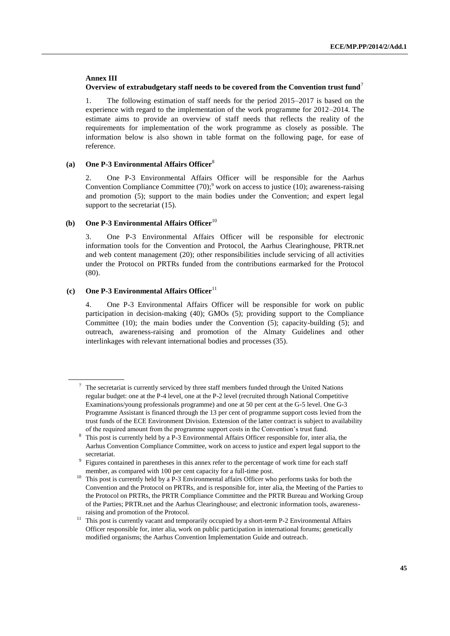#### **Annex III**

### **Overview of extrabudgetary staff needs to be covered from the Convention trust fund**<sup>7</sup>

1. The following estimation of staff needs for the period 2015–2017 is based on the experience with regard to the implementation of the work programme for 2012–2014. The estimate aims to provide an overview of staff needs that reflects the reality of the requirements for implementation of the work programme as closely as possible. The information below is also shown in table format on the following page, for ease of reference.

### **(a) One P-3 Environmental Affairs Officer**<sup>8</sup>

2. One P-3 Environmental Affairs Officer will be responsible for the Aarhus Convention Compliance Committee  $(70)$ ;<sup>9</sup> work on access to justice (10); awareness-raising and promotion (5); support to the main bodies under the Convention; and expert legal support to the secretariat  $(15)$ .

### **(b)** One P-3 Environmental Affairs Officer<sup>10</sup>

3. One P-3 Environmental Affairs Officer will be responsible for electronic information tools for the Convention and Protocol, the Aarhus Clearinghouse, PRTR.net and web content management (20); other responsibilities include servicing of all activities under the Protocol on PRTRs funded from the contributions earmarked for the Protocol (80).

### **(c)** One P-3 Environmental Affairs Officer<sup>11</sup>

4. One P-3 Environmental Affairs Officer will be responsible for work on public participation in decision-making (40); GMOs (5); providing support to the Compliance Committee (10); the main bodies under the Convention (5); capacity-building (5); and outreach, awareness-raising and promotion of the Almaty Guidelines and other interlinkages with relevant international bodies and processes (35).

<sup>7</sup> The secretariat is currently serviced by three staff members funded through the United Nations regular budget: one at the P-4 level, one at the P-2 level (recruited through National Competitive Examinations/young professionals programme) and one at 50 per cent at the G-5 level. One G-3 Programme Assistant is financed through the 13 per cent of programme support costs levied from the trust funds of the ECE Environment Division. Extension of the latter contract is subject to availability of the required amount from the programme support costs in the Convention's trust fund.

<sup>&</sup>lt;sup>8</sup> This post is currently held by a P-3 Environmental Affairs Officer responsible for, inter alia, the Aarhus Convention Compliance Committee, work on access to justice and expert legal support to the secretariat.

<sup>&</sup>lt;sup>9</sup> Figures contained in parentheses in this annex refer to the percentage of work time for each staff member, as compared with 100 per cent capacity for a full-time post.

<sup>&</sup>lt;sup>10</sup> This post is currently held by a P-3 Environmental affairs Officer who performs tasks for both the Convention and the Protocol on PRTRs, and is responsible for, inter alia, the Meeting of the Parties to the Protocol on PRTRs, the PRTR Compliance Committee and the PRTR Bureau and Working Group of the Parties; PRTR.net and the Aarhus Clearinghouse; and electronic information tools, awarenessraising and promotion of the Protocol.

<sup>&</sup>lt;sup>11</sup> This post is currently vacant and temporarily occupied by a short-term P-2 Environmental Affairs Officer responsible for, inter alia, work on public participation in international forums; genetically modified organisms; the Aarhus Convention Implementation Guide and outreach.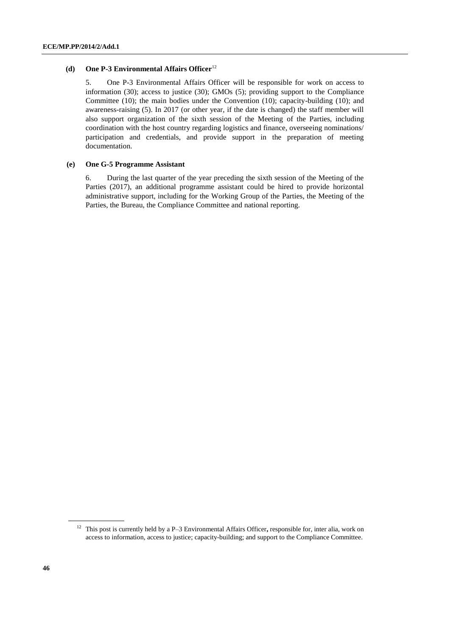### **(d) One P-3 Environmental Affairs Officer**<sup>12</sup>

5. One P-3 Environmental Affairs Officer will be responsible for work on access to information (30); access to justice (30); GMOs (5); providing support to the Compliance Committee (10); the main bodies under the Convention (10); capacity-building (10); and awareness-raising (5). In 2017 (or other year, if the date is changed) the staff member will also support organization of the sixth session of the Meeting of the Parties, including coordination with the host country regarding logistics and finance, overseeing nominations/ participation and credentials, and provide support in the preparation of meeting documentation.

### **(e) One G-5 Programme Assistant**

6. During the last quarter of the year preceding the sixth session of the Meeting of the Parties (2017), an additional programme assistant could be hired to provide horizontal administrative support, including for the Working Group of the Parties, the Meeting of the Parties, the Bureau, the Compliance Committee and national reporting.

<sup>12</sup> This post is currently held by a P–3 Environmental Affairs Officer**,** responsible for, inter alia, work on access to information, access to justice; capacity-building; and support to the Compliance Committee.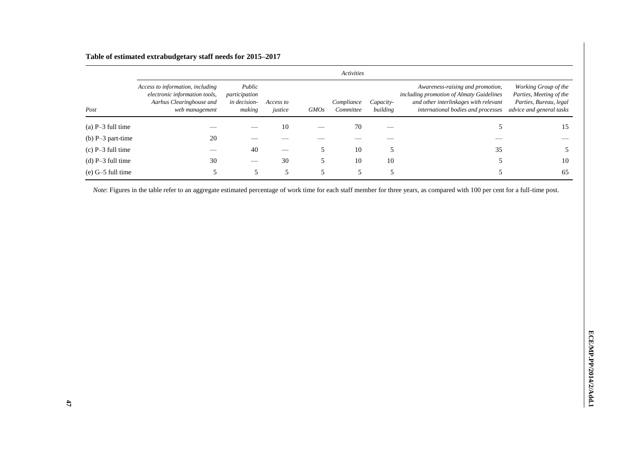# **Table of estimated extrabudgetary staff needs for 2015–2017**

|                     |                                                                                                                 |                                                   |                      |             | Activities              |                       |                                                                                                                                                             |                                                                                                       |
|---------------------|-----------------------------------------------------------------------------------------------------------------|---------------------------------------------------|----------------------|-------------|-------------------------|-----------------------|-------------------------------------------------------------------------------------------------------------------------------------------------------------|-------------------------------------------------------------------------------------------------------|
| Post                | Access to information, including<br>electronic information tools,<br>Aarhus Clearinghouse and<br>web management | Public<br>participation<br>in decision-<br>making | Access to<br>justice | <b>GMOs</b> | Compliance<br>Committee | Capacity-<br>building | Awareness-raising and promotion,<br>including promotion of Almaty Guidelines<br>and other interlinkages with relevant<br>international bodies and processes | Working Group of the<br>Parties, Meeting of the<br>Parties, Bureau, legal<br>advice and general tasks |
| $(a)$ P-3 full time |                                                                                                                 |                                                   | 10                   |             | 70                      |                       |                                                                                                                                                             | 15                                                                                                    |
| (b) $P-3$ part-time | 20                                                                                                              |                                                   |                      |             |                         |                       |                                                                                                                                                             |                                                                                                       |
| $(c)$ P-3 full time |                                                                                                                 | 40                                                |                      |             | 10                      |                       | 35                                                                                                                                                          |                                                                                                       |
| (d) $P-3$ full time | 30                                                                                                              |                                                   | 30                   |             | 10                      | 10                    |                                                                                                                                                             | 10                                                                                                    |
| $(e)$ G-5 full time |                                                                                                                 |                                                   |                      |             |                         |                       |                                                                                                                                                             | 65                                                                                                    |

*Note*: Figures in the table refer to an aggregate estimated percentage of work time for each staff member for three years, as compared with 100 per cent for a full-time post.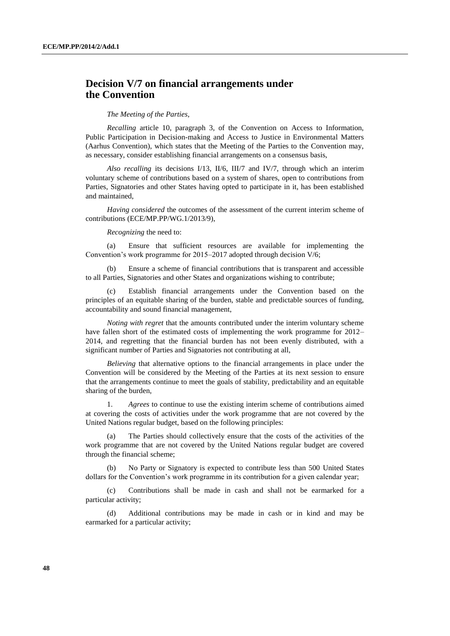## **Decision V/7 on financial arrangements under the Convention**

#### *The Meeting of the Parties*,

*Recalling* article 10, paragraph 3, of the Convention on Access to Information, Public Participation in Decision-making and Access to Justice in Environmental Matters (Aarhus Convention), which states that the Meeting of the Parties to the Convention may, as necessary, consider establishing financial arrangements on a consensus basis,

*Also recalling* its decisions I/13, II/6, III/7 and IV/7, through which an interim voluntary scheme of contributions based on a system of shares, open to contributions from Parties, Signatories and other States having opted to participate in it, has been established and maintained,

*Having considered* the outcomes of the assessment of the current interim scheme of contributions (ECE/MP.PP/WG.1/2013/9),

*Recognizing* the need to:

(a) Ensure that sufficient resources are available for implementing the Convention's work programme for 2015–2017 adopted through decision V/6;

(b) Ensure a scheme of financial contributions that is transparent and accessible to all Parties, Signatories and other States and organizations wishing to contribute;

(c) Establish financial arrangements under the Convention based on the principles of an equitable sharing of the burden, stable and predictable sources of funding, accountability and sound financial management,

*Noting with regret* that the amounts contributed under the interim voluntary scheme have fallen short of the estimated costs of implementing the work programme for 2012– 2014, and regretting that the financial burden has not been evenly distributed, with a significant number of Parties and Signatories not contributing at all,

*Believing* that alternative options to the financial arrangements in place under the Convention will be considered by the Meeting of the Parties at its next session to ensure that the arrangements continue to meet the goals of stability, predictability and an equitable sharing of the burden,

1. *Agrees* to continue to use the existing interim scheme of contributions aimed at covering the costs of activities under the work programme that are not covered by the United Nations regular budget, based on the following principles:

The Parties should collectively ensure that the costs of the activities of the work programme that are not covered by the United Nations regular budget are covered through the financial scheme;

(b) No Party or Signatory is expected to contribute less than 500 United States dollars for the Convention's work programme in its contribution for a given calendar year;

(c) Contributions shall be made in cash and shall not be earmarked for a particular activity;

(d) Additional contributions may be made in cash or in kind and may be earmarked for a particular activity;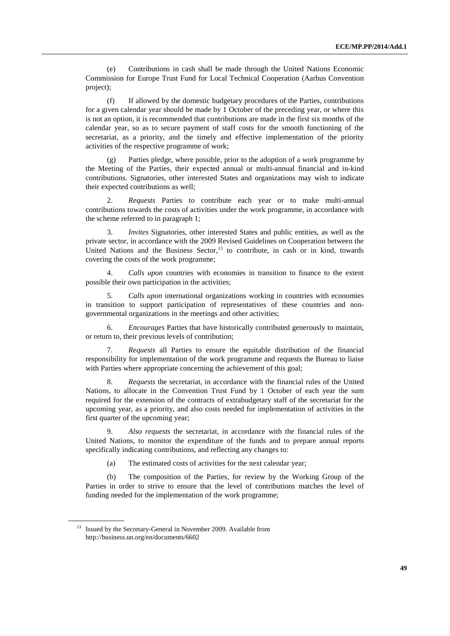(e) Contributions in cash shall be made through the United Nations Economic Commission for Europe Trust Fund for Local Technical Cooperation (Aarhus Convention project);

(f) If allowed by the domestic budgetary procedures of the Parties, contributions for a given calendar year should be made by 1 October of the preceding year, or where this is not an option, it is recommended that contributions are made in the first six months of the calendar year, so as to secure payment of staff costs for the smooth functioning of the secretariat, as a priority, and the timely and effective implementation of the priority activities of the respective programme of work;

(g) Parties pledge, where possible, prior to the adoption of a work programme by the Meeting of the Parties, their expected annual or multi-annual financial and in-kind contributions. Signatories, other interested States and organizations may wish to indicate their expected contributions as well;

2. *Requests* Parties to contribute each year or to make multi-annual contributions towards the costs of activities under the work programme, in accordance with the scheme referred to in paragraph 1;

3. *Invites* Signatories, other interested States and public entities, as well as the private sector, in accordance with the 2009 Revised Guidelines on Cooperation between the United Nations and the Business Sector, $13$  to contribute, in cash or in kind, towards covering the costs of the work programme;

4. *Calls upon* countries with economies in transition to finance to the extent possible their own participation in the activities;

5. *Calls upon* international organizations working in countries with economies in transition to support participation of representatives of these countries and nongovernmental organizations in the meetings and other activities;

6. *Encourages* Parties that have historically contributed generously to maintain, or return to, their previous levels of contribution;

7. *Requests* all Parties to ensure the equitable distribution of the financial responsibility for implementation of the work programme and requests the Bureau to liaise with Parties where appropriate concerning the achievement of this goal;

8. *Requests* the secretariat, in accordance with the financial rules of the United Nations, to allocate in the Convention Trust Fund by 1 October of each year the sum required for the extension of the contracts of extrabudgetary staff of the secretariat for the upcoming year, as a priority, and also costs needed for implementation of activities in the first quarter of the upcoming year;

Also requests the secretariat, in accordance with the financial rules of the United Nations, to monitor the expenditure of the funds and to prepare annual reports specifically indicating contributions, and reflecting any changes to:

(a) The estimated costs of activities for the next calendar year;

(b) The composition of the Parties, for review by the Working Group of the Parties in order to strive to ensure that the level of contributions matches the level of funding needed for the implementation of the work programme;

<sup>&</sup>lt;sup>13</sup> Issued by the Secretary-General in November 2009. Available from http://business.un.org/en/documents/6602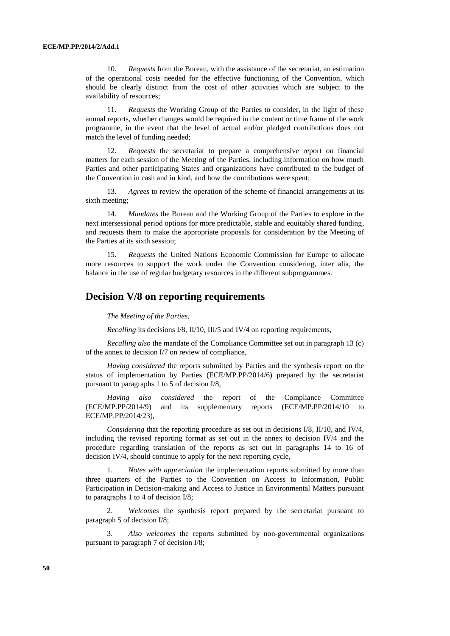10. *Requests* from the Bureau, with the assistance of the secretariat, an estimation of the operational costs needed for the effective functioning of the Convention, which should be clearly distinct from the cost of other activities which are subject to the availability of resources;

11. *Requests* the Working Group of the Parties to consider, in the light of these annual reports, whether changes would be required in the content or time frame of the work programme, in the event that the level of actual and/or pledged contributions does not match the level of funding needed;

12. *Requests* the secretariat to prepare a comprehensive report on financial matters for each session of the Meeting of the Parties, including information on how much Parties and other participating States and organizations have contributed to the budget of the Convention in cash and in kind, and how the contributions were spent;

13. *Agrees* to review the operation of the scheme of financial arrangements at its sixth meeting;

14. *Mandates* the Bureau and the Working Group of the Parties to explore in the next intersessional period options for more predictable, stable and equitably shared funding, and requests them to make the appropriate proposals for consideration by the Meeting of the Parties at its sixth session;

15. *Requests* the United Nations Economic Commission for Europe to allocate more resources to support the work under the Convention considering, inter alia, the balance in the use of regular budgetary resources in the different subprogrammes.

## **Decision V/8 on reporting requirements**

*The Meeting of the Parties*,

*Recalling* its decisions I/8, II/10, III/5 and IV/4 on reporting requirements,

*Recalling also* the mandate of the Compliance Committee set out in paragraph 13 (c) of the annex to decision I/7 on review of compliance,

*Having considered* the reports submitted by Parties and the synthesis report on the status of implementation by Parties (ECE/MP.PP/2014/6) prepared by the secretariat pursuant to paragraphs 1 to 5 of decision I/8,

*Having also considered* the report of the Compliance Committee (ECE/MP.PP/2014/9) and its supplementary reports (ECE/MP.PP/2014/10 to ECE/MP.PP/2014/23),

*Considering* that the reporting procedure as set out in decisions I/8, II/10, and IV/4, including the revised reporting format as set out in the annex to decision IV/4 and the procedure regarding translation of the reports as set out in paragraphs 14 to 16 of decision IV/4, should continue to apply for the next reporting cycle,

1. *Notes with appreciation* the implementation reports submitted by more than three quarters of the Parties to the Convention on Access to Information, Public Participation in Decision-making and Access to Justice in Environmental Matters pursuant to paragraphs 1 to 4 of decision I/8;

2. *Welcomes* the synthesis report prepared by the secretariat pursuant to paragraph 5 of decision I/8;

3. *Also welcomes* the reports submitted by non-governmental organizations pursuant to paragraph 7 of decision I/8;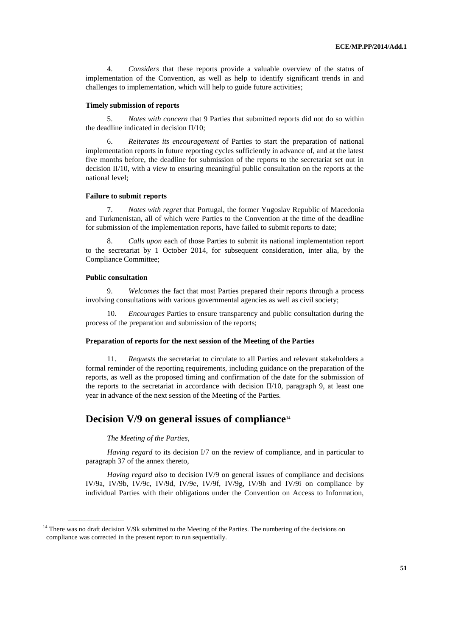4. *Considers* that these reports provide a valuable overview of the status of implementation of the Convention, as well as help to identify significant trends in and challenges to implementation, which will help to guide future activities;

### **Timely submission of reports**

5. *Notes with concern* that 9 Parties that submitted reports did not do so within the deadline indicated in decision II/10;

6. *Reiterates its encouragement* of Parties to start the preparation of national implementation reports in future reporting cycles sufficiently in advance of, and at the latest five months before, the deadline for submission of the reports to the secretariat set out in decision II/10, with a view to ensuring meaningful public consultation on the reports at the national level;

### **Failure to submit reports**

7. *Notes with regret* that Portugal, the former Yugoslav Republic of Macedonia and Turkmenistan, all of which were Parties to the Convention at the time of the deadline for submission of the implementation reports, have failed to submit reports to date;

8. *Calls upon* each of those Parties to submit its national implementation report to the secretariat by 1 October 2014, for subsequent consideration, inter alia, by the Compliance Committee;

### **Public consultation**

9. *Welcomes* the fact that most Parties prepared their reports through a process involving consultations with various governmental agencies as well as civil society;

10. *Encourages* Parties to ensure transparency and public consultation during the process of the preparation and submission of the reports;

#### **Preparation of reports for the next session of the Meeting of the Parties**

11. *Requests* the secretariat to circulate to all Parties and relevant stakeholders a formal reminder of the reporting requirements, including guidance on the preparation of the reports, as well as the proposed timing and confirmation of the date for the submission of the reports to the secretariat in accordance with decision  $II/10$ , paragraph 9, at least one year in advance of the next session of the Meeting of the Parties.

## **Decision V/9 on general issues of compliance<sup>14</sup>**

### *The Meeting of the Parties*,

*Having regard* to its decision I/7 on the review of compliance, and in particular to paragraph 37 of the annex thereto,

*Having regard also* to decision IV/9 on general issues of compliance and decisions IV/9a, IV/9b, IV/9c, IV/9d, IV/9e, IV/9f, IV/9g, IV/9h and IV/9i on compliance by individual Parties with their obligations under the Convention on Access to Information,

<sup>&</sup>lt;sup>14</sup> There was no draft decision V/9k submitted to the Meeting of the Parties. The numbering of the decisions on compliance was corrected in the present report to run sequentially.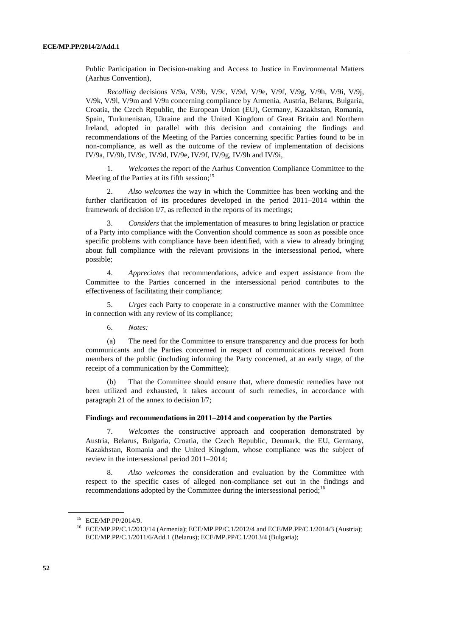Public Participation in Decision-making and Access to Justice in Environmental Matters (Aarhus Convention),

*Recalling* decisions V/9a, V/9b, V/9c, V/9d, V/9e, V/9f, V/9g, V/9h, V/9i, V/9j, V/9k, V/9l, V/9m and V/9n concerning compliance by Armenia, Austria, Belarus, Bulgaria, Croatia, the Czech Republic, the European Union (EU), Germany, Kazakhstan, Romania, Spain, Turkmenistan, Ukraine and the United Kingdom of Great Britain and Northern Ireland, adopted in parallel with this decision and containing the findings and recommendations of the Meeting of the Parties concerning specific Parties found to be in non-compliance, as well as the outcome of the review of implementation of decisions IV/9a, IV/9b, IV/9c, IV/9d, IV/9e, IV/9f, IV/9g, IV/9h and IV/9i,

1. *Welcomes* the report of the Aarhus Convention Compliance Committee to the Meeting of the Parties at its fifth session;  $15$ 

2. *Also welcomes* the way in which the Committee has been working and the further clarification of its procedures developed in the period 2011–2014 within the framework of decision I/7, as reflected in the reports of its meetings;

3. *Considers* that the implementation of measures to bring legislation or practice of a Party into compliance with the Convention should commence as soon as possible once specific problems with compliance have been identified, with a view to already bringing about full compliance with the relevant provisions in the intersessional period, where possible;

4. *Appreciates* that recommendations, advice and expert assistance from the Committee to the Parties concerned in the intersessional period contributes to the effectiveness of facilitating their compliance;

5. *Urges* each Party to cooperate in a constructive manner with the Committee in connection with any review of its compliance;

6. *Notes:*

(a) The need for the Committee to ensure transparency and due process for both communicants and the Parties concerned in respect of communications received from members of the public (including informing the Party concerned, at an early stage, of the receipt of a communication by the Committee);

(b) That the Committee should ensure that, where domestic remedies have not been utilized and exhausted, it takes account of such remedies, in accordance with paragraph 21 of the annex to decision I/7;

### **Findings and recommendations in 2011–2014 and cooperation by the Parties**

7. *Welcomes* the constructive approach and cooperation demonstrated by Austria, Belarus, Bulgaria, Croatia, the Czech Republic, Denmark, the EU, Germany, Kazakhstan, Romania and the United Kingdom, whose compliance was the subject of review in the intersessional period 2011–2014;

8. *Also welcomes* the consideration and evaluation by the Committee with respect to the specific cases of alleged non-compliance set out in the findings and recommendations adopted by the Committee during the intersessional period;<sup>16</sup>

<sup>15</sup> ECE/MP.PP/2014/9.

<sup>16</sup> ECE/MP.PP/C.1/2013/14 (Armenia); ECE/MP.PP/C.1/2012/4 and ECE/MP.PP/C.1/2014/3 (Austria); ECE/MP.PP/C.1/2011/6/Add.1 (Belarus); ECE/MP.PP/C.1/2013/4 (Bulgaria);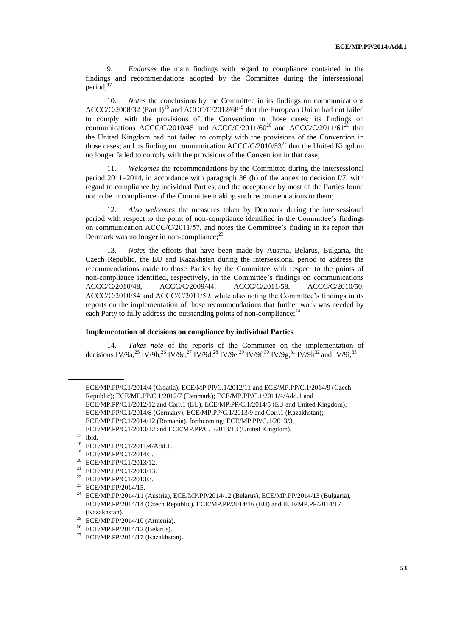9. *Endorses* the main findings with regard to compliance contained in the findings and recommendations adopted by the Committee during the intersessional period; $17$ 

10. *Notes* the conclusions by the Committee in its findings on communications ACCC/C/2008/32 (Part I)<sup>18</sup> and ACCC/C/2012/68<sup>19</sup> that the European Union had not failed to comply with the provisions of the Convention in those cases; its findings on communications ACCC/C/2010/45 and ACCC/C/2011/60<sup>20</sup> and ACCC/C/2011/61<sup>21</sup> that the United Kingdom had not failed to comply with the provisions of the Convention in those cases; and its finding on communication  $ACCC/C/2010/53^{22}$  that the United Kingdom no longer failed to comply with the provisions of the Convention in that case;

11. *Welcomes* the recommendations by the Committee during the intersessional period 2011–2014, in accordance with paragraph 36 (b) of the annex to decision I/7, with regard to compliance by individual Parties, and the acceptance by most of the Parties found not to be in compliance of the Committee making such recommendations to them;

12. *Also welcomes* the measures taken by Denmark during the intersessional period with respect to the point of non-compliance identified in the Committee's findings on communication ACCC/C/2011/57, and notes the Committee's finding in its report that Denmark was no longer in non-compliance;<sup>23</sup>

13. *Notes* the efforts that have been made by Austria, Belarus, Bulgaria, the Czech Republic, the EU and Kazakhstan during the intersessional period to address the recommendations made to those Parties by the Committee with respect to the points of non-compliance identified, respectively, in the Committee's findings on communications ACCC/C/2010/48, ACCC/C/2009/44, ACCC/C/2011/58, ACCC/C/2010/50, ACCC/C/2010/54 and ACCC/C/2011/59, while also noting the Committee's findings in its reports on the implementation of those recommendations that further work was needed by each Party to fully address the outstanding points of non-compliance; $^{24}$ 

#### **Implementation of decisions on compliance by individual Parties**

14. *Takes note* of the reports of the Committee on the implementation of decisions IV/9a,<sup>25</sup> IV/9b,<sup>26</sup> IV/9c,<sup>27</sup> IV/9d,<sup>28</sup> IV/9e,<sup>29</sup> IV/9f,<sup>30</sup> IV/9g,<sup>31</sup> IV/9h<sup>32</sup> and IV/9i;<sup>33</sup>

- <sup>25</sup> ECE/MP.PP/2014/10 (Armenia).
- <sup>26</sup> ECE/MP.PP/2014/12 (Belarus).

ECE/MP.PP/C.1/2014/4 (Croatia); ECE/MP.PP/C.1/2012/11 and ECE/MP.PP/C.1/2014/9 (Czech Republic); ECE/MP.PP/C.1/2012/7 (Denmark); ECE/MP.PP/C.1/2011/4/Add.1 and ECE/MP.PP/C.1/2012/12 and Corr.1 (EU); ECE/MP.PP/C.1/2014/5 (EU and United Kingdom); ECE/MP.PP/C.1/2014/8 (Germany); ECE/MP.PP/C.1/2013/9 and Corr.1 (Kazakhstan); ECE/MP.PP/C.1/2014/12 (Romania), forthcoming; ECE/MP.PP/C.1/2013/3, ECE/MP.PP/C.1/2013/12 and ECE/MP.PP/C.1/2013/13 (United Kingdom).

 $\frac{17}{18}$  Ibid.

<sup>&</sup>lt;sup>18</sup> ECE/MP.PP/C.1/2011/4/Add.1.<br><sup>19</sup> ECE/MP.DD/C.1/2014/5

<sup>&</sup>lt;sup>19</sup> ECE/MP.PP/C.1/2014/5.<br><sup>20</sup> ECE/MD DD/C 1/2013/12

<sup>&</sup>lt;sup>20</sup> ECE/MP.PP/C.1/2013/12.<br><sup>21</sup> ECE/MP PP/C 1/2013/13

ECE/MP.PP/C.1/2013/13.

<sup>22</sup> ECE/MP.PP/C.1/2013/3.

<sup>23</sup> ECE/MP.PP/2014/15.

<sup>&</sup>lt;sup>24</sup> ECE/MP.PP/2014/11 (Austria), ECE/MP.PP/2014/12 (Belarus), ECE/MP.PP/2014/13 (Bulgaria), ECE/MP.PP/2014/14 (Czech Republic), ECE/MP.PP/2014/16 (EU) and ECE/MP.PP/2014/17 (Kazakhstan).

<sup>&</sup>lt;sup>27</sup> ECE/MP.PP/2014/17 (Kazakhstan).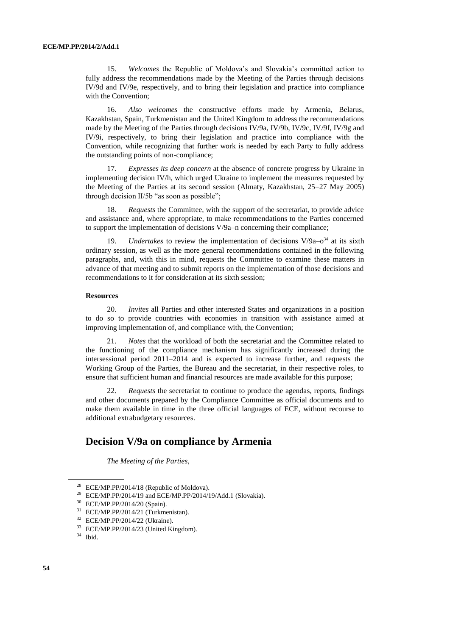15. *Welcomes* the Republic of Moldova's and Slovakia's committed action to fully address the recommendations made by the Meeting of the Parties through decisions IV/9d and IV/9e, respectively, and to bring their legislation and practice into compliance with the Convention;

16. *Also welcomes* the constructive efforts made by Armenia, Belarus, Kazakhstan, Spain, Turkmenistan and the United Kingdom to address the recommendations made by the Meeting of the Parties through decisions IV/9a, IV/9b, IV/9c, IV/9f, IV/9g and IV/9i, respectively, to bring their legislation and practice into compliance with the Convention, while recognizing that further work is needed by each Party to fully address the outstanding points of non-compliance;

17. *Expresses its deep concern* at the absence of concrete progress by Ukraine in implementing decision IV/h, which urged Ukraine to implement the measures requested by the Meeting of the Parties at its second session (Almaty, Kazakhstan, 25–27 May 2005) through decision II/5b "as soon as possible";

18. *Requests* the Committee, with the support of the secretariat, to provide advice and assistance and, where appropriate, to make recommendations to the Parties concerned to support the implementation of decisions V/9a–n concerning their compliance;

19. *Undertakes* to review the implementation of decisions  $V/9a-<sup>34</sup>$  at its sixth ordinary session, as well as the more general recommendations contained in the following paragraphs, and, with this in mind, requests the Committee to examine these matters in advance of that meeting and to submit reports on the implementation of those decisions and recommendations to it for consideration at its sixth session;

### **Resources**

20. *Invites* all Parties and other interested States and organizations in a position to do so to provide countries with economies in transition with assistance aimed at improving implementation of, and compliance with, the Convention;

21. *Notes* that the workload of both the secretariat and the Committee related to the functioning of the compliance mechanism has significantly increased during the intersessional period 2011–2014 and is expected to increase further, and requests the Working Group of the Parties, the Bureau and the secretariat, in their respective roles, to ensure that sufficient human and financial resources are made available for this purpose;

22. *Requests* the secretariat to continue to produce the agendas, reports, findings and other documents prepared by the Compliance Committee as official documents and to make them available in time in the three official languages of ECE, without recourse to additional extrabudgetary resources.

# **Decision V/9a on compliance by Armenia**

*The Meeting of the Parties*,

<sup>&</sup>lt;sup>28</sup> ECE/MP.PP/2014/18 (Republic of Moldova).

 $^{29}$  ECE/MP.PP/2014/19 and ECE/MP.PP/2014/19/Add.1 (Slovakia).

<sup>30</sup> ECE/MP.PP/2014/20 (Spain).

 $31$  ECE/MP.PP/2014/21 (Turkmenistan).

<sup>32</sup> ECE/MP.PP/2014/22 (Ukraine).

<sup>33</sup> ECE/MP.PP/2014/23 (United Kingdom).

<sup>34</sup> Ibid.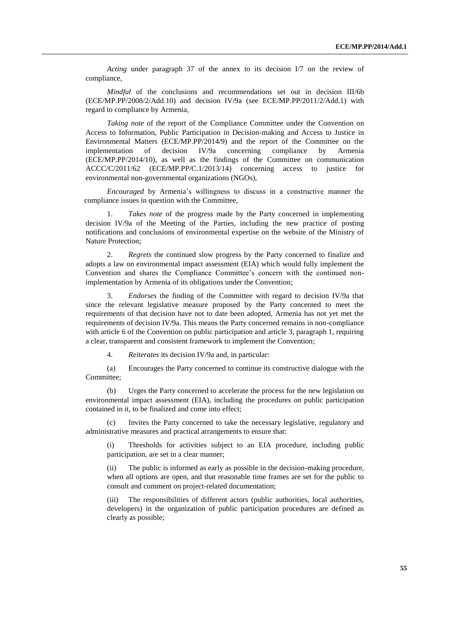*Acting* under paragraph 37 of the annex to its decision I/7 on the review of compliance,

*Mindful* of the conclusions and recommendations set out in decision III/6b (ECE/MP.PP/2008/2/Add.10) and decision IV/9a (see ECE/MP.PP/2011/2/Add.1) with regard to compliance by Armenia,

*Taking note* of the report of the Compliance Committee under the Convention on Access to Information, Public Participation in Decision-making and Access to Justice in Environmental Matters (ECE/MP.PP/2014/9) and the report of the Committee on the implementation of decision IV/9a concerning compliance by Armenia (ECE/MP.PP/2014/10), as well as the findings of the Committee on communication ACCC/C/2011/62 (ECE/MP.PP/C.1/2013/14) concerning access to justice for environmental non-governmental organizations (NGOs),

*Encouraged* by Armenia's willingness to discuss in a constructive manner the compliance issues in question with the Committee,

1. *Takes note* of the progress made by the Party concerned in implementing decision IV/9a of the Meeting of the Parties, including the new practice of posting notifications and conclusions of environmental expertise on the website of the Ministry of Nature Protection;

2. *Regrets* the continued slow progress by the Party concerned to finalize and adopts a law on environmental impact assessment (EIA) which would fully implement the Convention and shares the Compliance Committee's concern with the continued nonimplementation by Armenia of its obligations under the Convention;

3. *Endorses* the finding of the Committee with regard to decision IV/9a that since the relevant legislative measure proposed by the Party concerned to meet the requirements of that decision have not to date been adopted, Armenia has not yet met the requirements of decision IV/9a. This means the Party concerned remains in non-compliance with article 6 of the Convention on public participation and article 3, paragraph 1, requiring a clear, transparent and consistent framework to implement the Convention;

4. *Reiterates* its decision IV/9a and, in particular:

(a) Encourages the Party concerned to continue its constructive dialogue with the Committee;

(b) Urges the Party concerned to accelerate the process for the new legislation on environmental impact assessment (EIA), including the procedures on public participation contained in it, to be finalized and come into effect;

Invites the Party concerned to take the necessary legislative, regulatory and administrative measures and practical arrangements to ensure that:

(i) Thresholds for activities subject to an EIA procedure, including public participation, are set in a clear manner;

The public is informed as early as possible in the decision-making procedure, when all options are open, and that reasonable time frames are set for the public to consult and comment on project-related documentation;

The responsibilities of different actors (public authorities, local authorities, developers) in the organization of public participation procedures are defined as clearly as possible;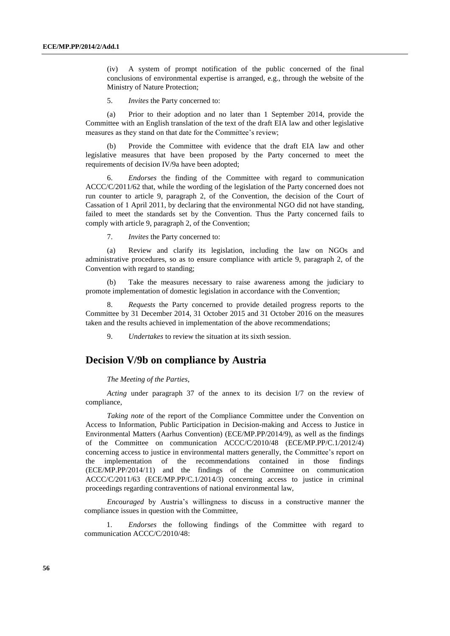(iv) A system of prompt notification of the public concerned of the final conclusions of environmental expertise is arranged, e.g., through the website of the Ministry of Nature Protection;

5. *Invites* the Party concerned to:

(a) Prior to their adoption and no later than 1 September 2014, provide the Committee with an English translation of the text of the draft EIA law and other legislative measures as they stand on that date for the Committee's review;

(b) Provide the Committee with evidence that the draft EIA law and other legislative measures that have been proposed by the Party concerned to meet the requirements of decision IV/9a have been adopted;

6. *Endorses* the finding of the Committee with regard to communication ACCC/C/2011/62 that, while the wording of the legislation of the Party concerned does not run counter to article 9, paragraph 2, of the Convention, the decision of the Court of Cassation of 1 April 2011, by declaring that the environmental NGO did not have standing, failed to meet the standards set by the Convention. Thus the Party concerned fails to comply with article 9, paragraph 2, of the Convention;

7. *Invites* the Party concerned to:

(a) Review and clarify its legislation, including the law on NGOs and administrative procedures, so as to ensure compliance with article 9, paragraph 2, of the Convention with regard to standing;

(b) Take the measures necessary to raise awareness among the judiciary to promote implementation of domestic legislation in accordance with the Convention;

8. *Requests* the Party concerned to provide detailed progress reports to the Committee by 31 December 2014, 31 October 2015 and 31 October 2016 on the measures taken and the results achieved in implementation of the above recommendations;

9. *Undertakes* to review the situation at its sixth session.

### **Decision V/9b on compliance by Austria**

*The Meeting of the Parties*,

*Acting* under paragraph 37 of the annex to its decision I/7 on the review of compliance,

*Taking note* of the report of the Compliance Committee under the Convention on Access to Information, Public Participation in Decision-making and Access to Justice in Environmental Matters (Aarhus Convention) (ECE/MP.PP/2014/9), as well as the findings of the Committee on communication ACCC/C/2010/48 (ECE/MP.PP/C.1/2012/4) concerning access to justice in environmental matters generally, the Committee's report on the implementation of the recommendations contained in those findings (ECE/MP.PP/2014/11) and the findings of the Committee on communication ACCC/C/2011/63 (ECE/MP.PP/C.1/2014/3) concerning access to justice in criminal proceedings regarding contraventions of national environmental law,

*Encouraged* by Austria's willingness to discuss in a constructive manner the compliance issues in question with the Committee,

1. *Endorses* the following findings of the Committee with regard to communication ACCC/C/2010/48: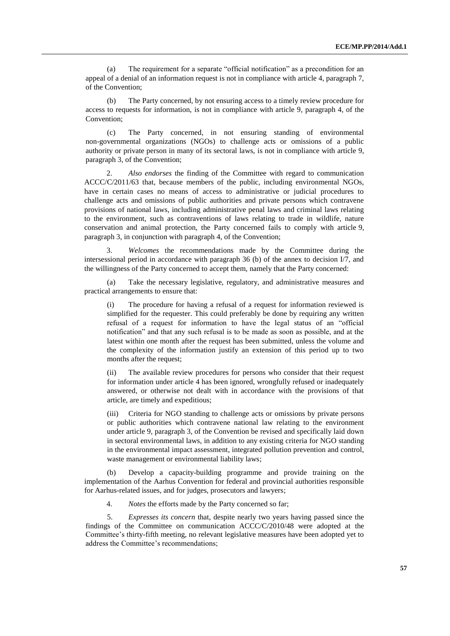(a) The requirement for a separate "official notification" as a precondition for an appeal of a denial of an information request is not in compliance with article 4, paragraph 7, of the Convention;

(b) The Party concerned, by not ensuring access to a timely review procedure for access to requests for information, is not in compliance with article 9, paragraph 4, of the Convention;

(c) The Party concerned, in not ensuring standing of environmental non-governmental organizations (NGOs) to challenge acts or omissions of a public authority or private person in many of its sectoral laws, is not in compliance with article 9, paragraph 3, of the Convention;

2. *Also endorses* the finding of the Committee with regard to communication ACCC/C/2011/63 that, because members of the public, including environmental NGOs, have in certain cases no means of access to administrative or judicial procedures to challenge acts and omissions of public authorities and private persons which contravene provisions of national laws, including administrative penal laws and criminal laws relating to the environment, such as contraventions of laws relating to trade in wildlife, nature conservation and animal protection, the Party concerned fails to comply with article 9, paragraph 3, in conjunction with paragraph 4, of the Convention;

3. *Welcomes* the recommendations made by the Committee during the intersessional period in accordance with paragraph 36 (b) of the annex to decision I/7, and the willingness of the Party concerned to accept them, namely that the Party concerned:

(a) Take the necessary legislative, regulatory, and administrative measures and practical arrangements to ensure that:

(i) The procedure for having a refusal of a request for information reviewed is simplified for the requester. This could preferably be done by requiring any written refusal of a request for information to have the legal status of an "official notification" and that any such refusal is to be made as soon as possible, and at the latest within one month after the request has been submitted, unless the volume and the complexity of the information justify an extension of this period up to two months after the request;

(ii) The available review procedures for persons who consider that their request for information under article 4 has been ignored, wrongfully refused or inadequately answered, or otherwise not dealt with in accordance with the provisions of that article, are timely and expeditious;

(iii) Criteria for NGO standing to challenge acts or omissions by private persons or public authorities which contravene national law relating to the environment under article 9, paragraph 3, of the Convention be revised and specifically laid down in sectoral environmental laws, in addition to any existing criteria for NGO standing in the environmental impact assessment, integrated pollution prevention and control, waste management or environmental liability laws;

(b) Develop a capacity-building programme and provide training on the implementation of the Aarhus Convention for federal and provincial authorities responsible for Aarhus-related issues, and for judges, prosecutors and lawyers;

4. *Notes* the efforts made by the Party concerned so far;

5. *Expresses its concern* that, despite nearly two years having passed since the findings of the Committee on communication ACCC/C/2010/48 were adopted at the Committee's thirty-fifth meeting, no relevant legislative measures have been adopted yet to address the Committee's recommendations;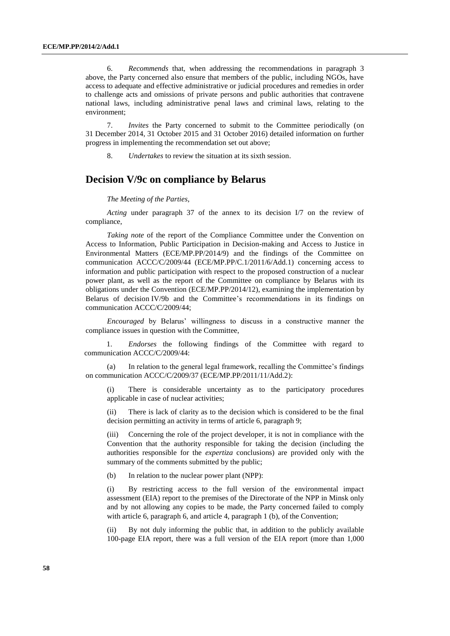6. *Recommends* that, when addressing the recommendations in paragraph 3 above, the Party concerned also ensure that members of the public, including NGOs, have access to adequate and effective administrative or judicial procedures and remedies in order to challenge acts and omissions of private persons and public authorities that contravene national laws, including administrative penal laws and criminal laws, relating to the environment;

7. *Invites* the Party concerned to submit to the Committee periodically (on 31 December 2014, 31 October 2015 and 31 October 2016) detailed information on further progress in implementing the recommendation set out above;

8. *Undertakes* to review the situation at its sixth session.

# **Decision V/9c on compliance by Belarus**

#### *The Meeting of the Parties*,

*Acting* under paragraph 37 of the annex to its decision I/7 on the review of compliance,

*Taking note* of the report of the Compliance Committee under the Convention on Access to Information, Public Participation in Decision-making and Access to Justice in Environmental Matters (ECE/MP.PP/2014/9) and the findings of the Committee on communication ACCC/C/2009/44 (ECE/MP.PP/C.1/2011/6/Add.1) concerning access to information and public participation with respect to the proposed construction of a nuclear power plant, as well as the report of the Committee on compliance by Belarus with its obligations under the Convention (ECE/MP.PP/2014/12), examining the implementation by Belarus of decision IV/9b and the Committee's recommendations in its findings on communication ACCC/C/2009/44;

*Encouraged* by Belarus' willingness to discuss in a constructive manner the compliance issues in question with the Committee,

1. *Endorses* the following findings of the Committee with regard to communication ACCC/C/2009/44:

(a) In relation to the general legal framework, recalling the Committee's findings on communication ACCC/C/2009/37 (ECE/MP.PP/2011/11/Add.2):

(i) There is considerable uncertainty as to the participatory procedures applicable in case of nuclear activities;

(ii) There is lack of clarity as to the decision which is considered to be the final decision permitting an activity in terms of article 6, paragraph 9;

(iii) Concerning the role of the project developer, it is not in compliance with the Convention that the authority responsible for taking the decision (including the authorities responsible for the *expertiza* conclusions) are provided only with the summary of the comments submitted by the public;

(b) In relation to the nuclear power plant (NPP):

(i) By restricting access to the full version of the environmental impact assessment (EIA) report to the premises of the Directorate of the NPP in Minsk only and by not allowing any copies to be made, the Party concerned failed to comply with article 6, paragraph 6, and article 4, paragraph 1 (b), of the Convention;

(ii) By not duly informing the public that, in addition to the publicly available 100-page EIA report, there was a full version of the EIA report (more than 1,000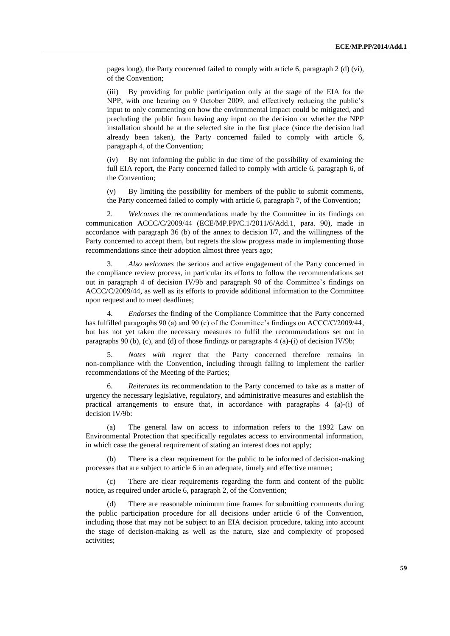pages long), the Party concerned failed to comply with article 6, paragraph 2 (d) (vi), of the Convention;

(iii) By providing for public participation only at the stage of the EIA for the NPP, with one hearing on 9 October 2009, and effectively reducing the public's input to only commenting on how the environmental impact could be mitigated, and precluding the public from having any input on the decision on whether the NPP installation should be at the selected site in the first place (since the decision had already been taken), the Party concerned failed to comply with article 6, paragraph 4, of the Convention;

(iv) By not informing the public in due time of the possibility of examining the full EIA report, the Party concerned failed to comply with article 6, paragraph 6, of the Convention;

(v) By limiting the possibility for members of the public to submit comments, the Party concerned failed to comply with article 6, paragraph 7, of the Convention;

2. *Welcomes* the recommendations made by the Committee in its findings on communication ACCC/C/2009/44 (ECE/MP.PP/C.1/2011/6/Add.1, para. 90), made in accordance with paragraph 36 (b) of the annex to decision  $I/7$ , and the willingness of the Party concerned to accept them, but regrets the slow progress made in implementing those recommendations since their adoption almost three years ago;

3. *Also welcomes* the serious and active engagement of the Party concerned in the compliance review process, in particular its efforts to follow the recommendations set out in paragraph 4 of decision IV/9b and paragraph 90 of the Committee's findings on ACCC/C/2009/44, as well as its efforts to provide additional information to the Committee upon request and to meet deadlines;

4. *Endorses* the finding of the Compliance Committee that the Party concerned has fulfilled paragraphs 90 (a) and 90 (e) of the Committee's findings on ACCC/C/2009/44, but has not yet taken the necessary measures to fulfil the recommendations set out in paragraphs 90 (b), (c), and (d) of those findings or paragraphs  $4$  (a)-(i) of decision IV/9b;

5. *Notes with regret* that the Party concerned therefore remains in non-compliance with the Convention, including through failing to implement the earlier recommendations of the Meeting of the Parties;

6. *Reiterates* its recommendation to the Party concerned to take as a matter of urgency the necessary legislative, regulatory, and administrative measures and establish the practical arrangements to ensure that, in accordance with paragraphs 4 (a)-(i) of decision IV/9b:

(a) The general law on access to information refers to the 1992 Law on Environmental Protection that specifically regulates access to environmental information, in which case the general requirement of stating an interest does not apply;

(b) There is a clear requirement for the public to be informed of decision-making processes that are subject to article 6 in an adequate, timely and effective manner;

(c) There are clear requirements regarding the form and content of the public notice, as required under article 6, paragraph 2, of the Convention;

There are reasonable minimum time frames for submitting comments during the public participation procedure for all decisions under article 6 of the Convention, including those that may not be subject to an EIA decision procedure, taking into account the stage of decision-making as well as the nature, size and complexity of proposed activities;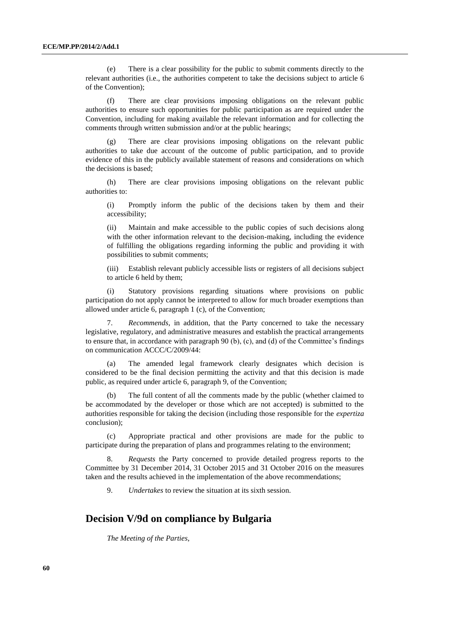(e) There is a clear possibility for the public to submit comments directly to the relevant authorities (i.e., the authorities competent to take the decisions subject to article 6 of the Convention);

(f) There are clear provisions imposing obligations on the relevant public authorities to ensure such opportunities for public participation as are required under the Convention, including for making available the relevant information and for collecting the comments through written submission and/or at the public hearings;

(g) There are clear provisions imposing obligations on the relevant public authorities to take due account of the outcome of public participation, and to provide evidence of this in the publicly available statement of reasons and considerations on which the decisions is based;

(h) There are clear provisions imposing obligations on the relevant public authorities to:

(i) Promptly inform the public of the decisions taken by them and their accessibility;

(ii) Maintain and make accessible to the public copies of such decisions along with the other information relevant to the decision-making, including the evidence of fulfilling the obligations regarding informing the public and providing it with possibilities to submit comments;

(iii) Establish relevant publicly accessible lists or registers of all decisions subject to article 6 held by them;

(i) Statutory provisions regarding situations where provisions on public participation do not apply cannot be interpreted to allow for much broader exemptions than allowed under article 6, paragraph 1 (c), of the Convention;

7. *Recommends*, in addition, that the Party concerned to take the necessary legislative, regulatory, and administrative measures and establish the practical arrangements to ensure that, in accordance with paragraph 90 (b), (c), and (d) of the Committee's findings on communication ACCC/C/2009/44:

(a) The amended legal framework clearly designates which decision is considered to be the final decision permitting the activity and that this decision is made public, as required under article 6, paragraph 9, of the Convention;

(b) The full content of all the comments made by the public (whether claimed to be accommodated by the developer or those which are not accepted) is submitted to the authorities responsible for taking the decision (including those responsible for the *expertiza* conclusion);

(c) Appropriate practical and other provisions are made for the public to participate during the preparation of plans and programmes relating to the environment;

8. *Requests* the Party concerned to provide detailed progress reports to the Committee by 31 December 2014, 31 October 2015 and 31 October 2016 on the measures taken and the results achieved in the implementation of the above recommendations;

9. *Undertakes* to review the situation at its sixth session.

# **Decision V/9d on compliance by Bulgaria**

*The Meeting of the Parties*,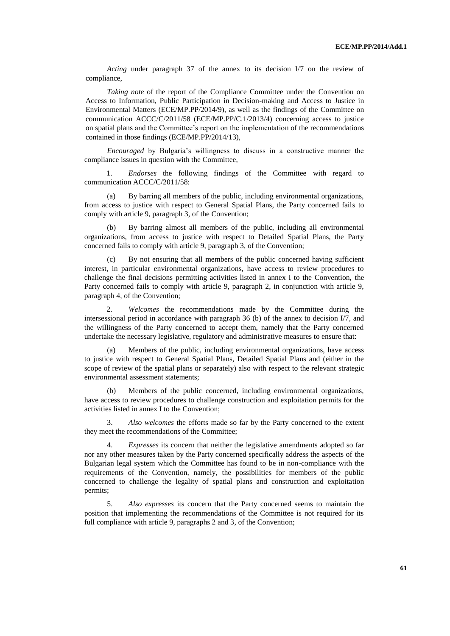*Acting* under paragraph 37 of the annex to its decision I/7 on the review of compliance,

*Taking note* of the report of the Compliance Committee under the Convention on Access to Information, Public Participation in Decision-making and Access to Justice in Environmental Matters (ECE/MP.PP/2014/9), as well as the findings of the Committee on communication ACCC/C/2011/58 (ECE/MP.PP/C.1/2013/4) concerning access to justice on spatial plans and the Committee's report on the implementation of the recommendations contained in those findings (ECE/MP.PP/2014/13),

*Encouraged* by Bulgaria's willingness to discuss in a constructive manner the compliance issues in question with the Committee,

1. *Endorses* the following findings of the Committee with regard to communication ACCC/C/2011/58:

(a) By barring all members of the public, including environmental organizations, from access to justice with respect to General Spatial Plans, the Party concerned fails to comply with article 9, paragraph 3, of the Convention;

(b) By barring almost all members of the public, including all environmental organizations, from access to justice with respect to Detailed Spatial Plans, the Party concerned fails to comply with article 9, paragraph 3, of the Convention;

(c) By not ensuring that all members of the public concerned having sufficient interest, in particular environmental organizations, have access to review procedures to challenge the final decisions permitting activities listed in annex I to the Convention, the Party concerned fails to comply with article 9, paragraph 2, in conjunction with article 9, paragraph 4, of the Convention;

2. *Welcomes* the recommendations made by the Committee during the intersessional period in accordance with paragraph 36 (b) of the annex to decision I/7, and the willingness of the Party concerned to accept them, namely that the Party concerned undertake the necessary legislative, regulatory and administrative measures to ensure that:

(a) Members of the public, including environmental organizations, have access to justice with respect to General Spatial Plans, Detailed Spatial Plans and (either in the scope of review of the spatial plans or separately) also with respect to the relevant strategic environmental assessment statements;

(b) Members of the public concerned, including environmental organizations, have access to review procedures to challenge construction and exploitation permits for the activities listed in annex I to the Convention;

3. *Also welcomes* the efforts made so far by the Party concerned to the extent they meet the recommendations of the Committee;

4. *Expresses* its concern that neither the legislative amendments adopted so far nor any other measures taken by the Party concerned specifically address the aspects of the Bulgarian legal system which the Committee has found to be in non-compliance with the requirements of the Convention, namely, the possibilities for members of the public concerned to challenge the legality of spatial plans and construction and exploitation permits;

5. *Also expresses* its concern that the Party concerned seems to maintain the position that implementing the recommendations of the Committee is not required for its full compliance with article 9, paragraphs 2 and 3, of the Convention;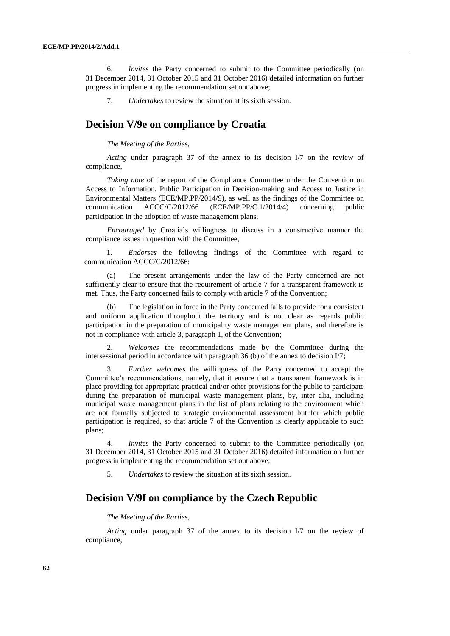6. *Invites* the Party concerned to submit to the Committee periodically (on 31 December 2014, 31 October 2015 and 31 October 2016) detailed information on further progress in implementing the recommendation set out above;

7. *Undertakes* to review the situation at its sixth session.

## **Decision V/9e on compliance by Croatia**

### *The Meeting of the Parties*,

*Acting* under paragraph 37 of the annex to its decision I/7 on the review of compliance,

*Taking note* of the report of the Compliance Committee under the Convention on Access to Information, Public Participation in Decision-making and Access to Justice in Environmental Matters (ECE/MP.PP/2014/9), as well as the findings of the Committee on communication ACCC/C/2012/66 (ECE/MP.PP/C.1/2014/4) concerning public participation in the adoption of waste management plans,

*Encouraged* by Croatia's willingness to discuss in a constructive manner the compliance issues in question with the Committee,

1. *Endorses* the following findings of the Committee with regard to communication ACCC/C/2012/66:

(a) The present arrangements under the law of the Party concerned are not sufficiently clear to ensure that the requirement of article 7 for a transparent framework is met. Thus, the Party concerned fails to comply with article 7 of the Convention;

(b) The legislation in force in the Party concerned fails to provide for a consistent and uniform application throughout the territory and is not clear as regards public participation in the preparation of municipality waste management plans, and therefore is not in compliance with article 3, paragraph 1, of the Convention;

2. *Welcomes* the recommendations made by the Committee during the intersessional period in accordance with paragraph 36 (b) of the annex to decision I/7;

3. *Further welcomes* the willingness of the Party concerned to accept the Committee's recommendations, namely, that it ensure that a transparent framework is in place providing for appropriate practical and/or other provisions for the public to participate during the preparation of municipal waste management plans, by, inter alia, including municipal waste management plans in the list of plans relating to the environment which are not formally subjected to strategic environmental assessment but for which public participation is required, so that article 7 of the Convention is clearly applicable to such plans;

4. *Invites* the Party concerned to submit to the Committee periodically (on 31 December 2014, 31 October 2015 and 31 October 2016) detailed information on further progress in implementing the recommendation set out above;

5. *Undertakes* to review the situation at its sixth session.

### **Decision V/9f on compliance by the Czech Republic**

### *The Meeting of the Parties*,

*Acting* under paragraph 37 of the annex to its decision I/7 on the review of compliance,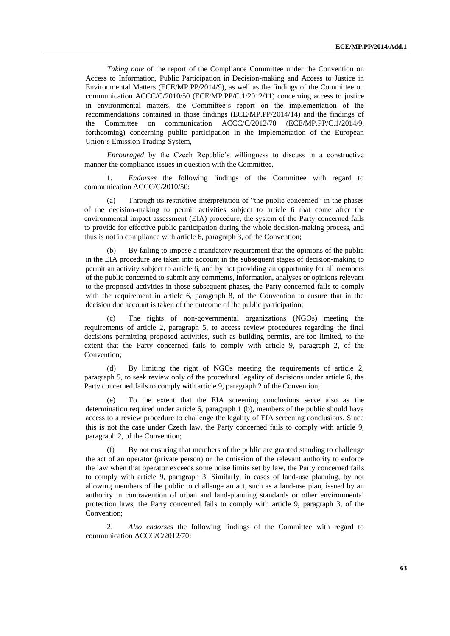*Taking note* of the report of the Compliance Committee under the Convention on Access to Information, Public Participation in Decision-making and Access to Justice in Environmental Matters (ECE/MP.PP/2014/9), as well as the findings of the Committee on communication ACCC/C/2010/50 (ECE/MP.PP/C.1/2012/11) concerning access to justice in environmental matters, the Committee's report on the implementation of the recommendations contained in those findings (ECE/MP.PP/2014/14) and the findings of the Committee on communication ACCC/C/2012/70 (ECE/MP.PP/C.1/2014/9, forthcoming) concerning public participation in the implementation of the European Union's Emission Trading System,

*Encouraged* by the Czech Republic's willingness to discuss in a constructive manner the compliance issues in question with the Committee,

1. *Endorses* the following findings of the Committee with regard to communication ACCC/C/2010/50:

(a) Through its restrictive interpretation of "the public concerned" in the phases of the decision-making to permit activities subject to article 6 that come after the environmental impact assessment (EIA) procedure, the system of the Party concerned fails to provide for effective public participation during the whole decision-making process, and thus is not in compliance with article 6, paragraph 3, of the Convention;

By failing to impose a mandatory requirement that the opinions of the public in the EIA procedure are taken into account in the subsequent stages of decision-making to permit an activity subject to article 6, and by not providing an opportunity for all members of the public concerned to submit any comments, information, analyses or opinions relevant to the proposed activities in those subsequent phases, the Party concerned fails to comply with the requirement in article 6, paragraph 8, of the Convention to ensure that in the decision due account is taken of the outcome of the public participation;

(c) The rights of non-governmental organizations (NGOs) meeting the requirements of article 2, paragraph 5, to access review procedures regarding the final decisions permitting proposed activities, such as building permits, are too limited, to the extent that the Party concerned fails to comply with article 9, paragraph 2, of the Convention;

(d) By limiting the right of NGOs meeting the requirements of article 2, paragraph 5, to seek review only of the procedural legality of decisions under article 6, the Party concerned fails to comply with article 9, paragraph 2 of the Convention;

To the extent that the EIA screening conclusions serve also as the determination required under article 6, paragraph 1 (b), members of the public should have access to a review procedure to challenge the legality of EIA screening conclusions. Since this is not the case under Czech law, the Party concerned fails to comply with article 9, paragraph 2, of the Convention;

(f) By not ensuring that members of the public are granted standing to challenge the act of an operator (private person) or the omission of the relevant authority to enforce the law when that operator exceeds some noise limits set by law, the Party concerned fails to comply with article 9, paragraph 3. Similarly, in cases of land-use planning, by not allowing members of the public to challenge an act, such as a land-use plan, issued by an authority in contravention of urban and land-planning standards or other environmental protection laws, the Party concerned fails to comply with article 9, paragraph 3, of the Convention;

2. *Also endorses* the following findings of the Committee with regard to communication ACCC/C/2012/70: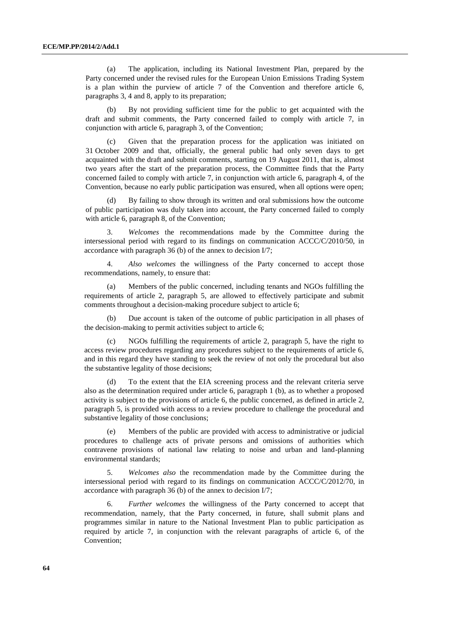(a) The application, including its National Investment Plan, prepared by the Party concerned under the revised rules for the European Union Emissions Trading System is a plan within the purview of article 7 of the Convention and therefore article 6, paragraphs 3, 4 and 8, apply to its preparation;

(b) By not providing sufficient time for the public to get acquainted with the draft and submit comments, the Party concerned failed to comply with article 7, in conjunction with article 6, paragraph 3, of the Convention;

(c) Given that the preparation process for the application was initiated on 31 October 2009 and that, officially, the general public had only seven days to get acquainted with the draft and submit comments, starting on 19 August 2011, that is, almost two years after the start of the preparation process, the Committee finds that the Party concerned failed to comply with article 7, in conjunction with article 6, paragraph 4, of the Convention, because no early public participation was ensured, when all options were open;

(d) By failing to show through its written and oral submissions how the outcome of public participation was duly taken into account, the Party concerned failed to comply with article 6, paragraph 8, of the Convention;

3. *Welcomes* the recommendations made by the Committee during the intersessional period with regard to its findings on communication ACCC/C/2010/50, in accordance with paragraph 36 (b) of the annex to decision I/7;

4. *Also welcomes* the willingness of the Party concerned to accept those recommendations, namely, to ensure that:

Members of the public concerned, including tenants and NGOs fulfilling the requirements of article 2, paragraph 5, are allowed to effectively participate and submit comments throughout a decision-making procedure subject to article 6;

(b) Due account is taken of the outcome of public participation in all phases of the decision-making to permit activities subject to article 6;

(c) NGOs fulfilling the requirements of article 2, paragraph 5, have the right to access review procedures regarding any procedures subject to the requirements of article 6, and in this regard they have standing to seek the review of not only the procedural but also the substantive legality of those decisions;

(d) To the extent that the EIA screening process and the relevant criteria serve also as the determination required under article 6, paragraph 1 (b), as to whether a proposed activity is subject to the provisions of article 6, the public concerned, as defined in article 2, paragraph 5, is provided with access to a review procedure to challenge the procedural and substantive legality of those conclusions;

(e) Members of the public are provided with access to administrative or judicial procedures to challenge acts of private persons and omissions of authorities which contravene provisions of national law relating to noise and urban and land-planning environmental standards;

5. *Welcomes also* the recommendation made by the Committee during the intersessional period with regard to its findings on communication ACCC/C/2012/70, in accordance with paragraph 36 (b) of the annex to decision I/7;

6. *Further welcomes* the willingness of the Party concerned to accept that recommendation, namely, that the Party concerned, in future, shall submit plans and programmes similar in nature to the National Investment Plan to public participation as required by article 7, in conjunction with the relevant paragraphs of article 6, of the Convention;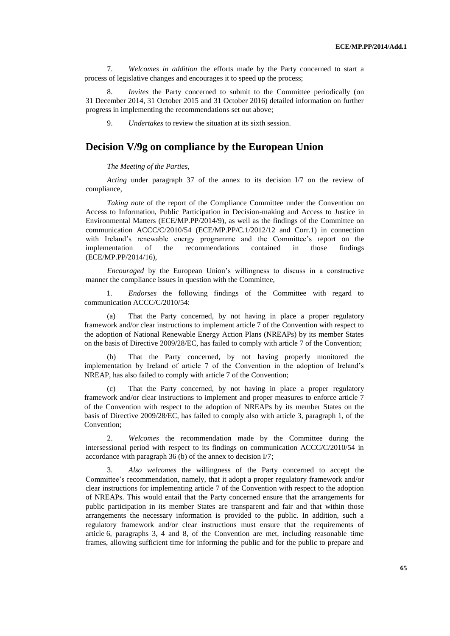7. *Welcomes in addition* the efforts made by the Party concerned to start a process of legislative changes and encourages it to speed up the process;

8. *Invites* the Party concerned to submit to the Committee periodically (on 31 December 2014, 31 October 2015 and 31 October 2016) detailed information on further progress in implementing the recommendations set out above;

9. *Undertakes* to review the situation at its sixth session.

# **Decision V/9g on compliance by the European Union**

*The Meeting of the Parties*,

*Acting* under paragraph 37 of the annex to its decision I/7 on the review of compliance,

*Taking note* of the report of the Compliance Committee under the Convention on Access to Information, Public Participation in Decision-making and Access to Justice in Environmental Matters (ECE/MP.PP/2014/9), as well as the findings of the Committee on communication ACCC/C/2010/54 (ECE/MP.PP/C.1/2012/12 and Corr.1) in connection with Ireland's renewable energy programme and the Committee's report on the implementation of the recommendations contained in those findings (ECE/MP.PP/2014/16),

*Encouraged* by the European Union's willingness to discuss in a constructive manner the compliance issues in question with the Committee,

1. *Endorses* the following findings of the Committee with regard to communication ACCC/C/2010/54:

That the Party concerned, by not having in place a proper regulatory framework and/or clear instructions to implement article 7 of the Convention with respect to the adoption of National Renewable Energy Action Plans (NREAPs) by its member States on the basis of Directive 2009/28/EC, has failed to comply with article 7 of the Convention;

(b) That the Party concerned, by not having properly monitored the implementation by Ireland of article 7 of the Convention in the adoption of Ireland's NREAP, has also failed to comply with article 7 of the Convention;

That the Party concerned, by not having in place a proper regulatory framework and/or clear instructions to implement and proper measures to enforce article 7 of the Convention with respect to the adoption of NREAPs by its member States on the basis of Directive 2009/28/EC, has failed to comply also with article 3, paragraph 1, of the Convention;

2. *Welcomes* the recommendation made by the Committee during the intersessional period with respect to its findings on communication ACCC/C/2010/54 in accordance with paragraph 36 (b) of the annex to decision I/7;

3. *Also welcomes* the willingness of the Party concerned to accept the Committee's recommendation, namely, that it adopt a proper regulatory framework and/or clear instructions for implementing article 7 of the Convention with respect to the adoption of NREAPs. This would entail that the Party concerned ensure that the arrangements for public participation in its member States are transparent and fair and that within those arrangements the necessary information is provided to the public. In addition, such a regulatory framework and/or clear instructions must ensure that the requirements of article 6, paragraphs 3, 4 and 8, of the Convention are met, including reasonable time frames, allowing sufficient time for informing the public and for the public to prepare and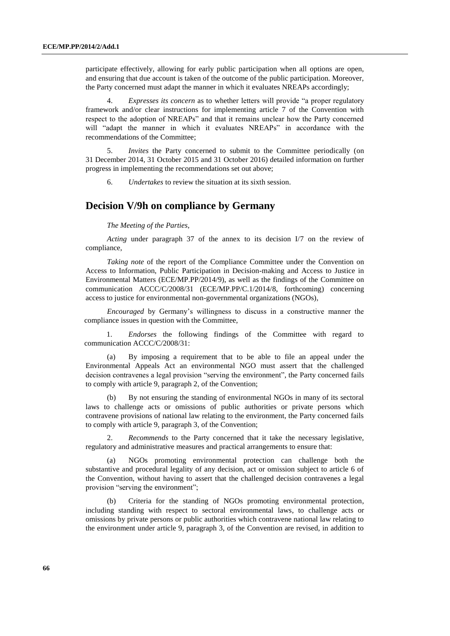participate effectively, allowing for early public participation when all options are open, and ensuring that due account is taken of the outcome of the public participation. Moreover, the Party concerned must adapt the manner in which it evaluates NREAPs accordingly;

4. *Expresses its concern* as to whether letters will provide "a proper regulatory framework and/or clear instructions for implementing article 7 of the Convention with respect to the adoption of NREAPs" and that it remains unclear how the Party concerned will "adapt the manner in which it evaluates NREAPs" in accordance with the recommendations of the Committee;

5. *Invites* the Party concerned to submit to the Committee periodically (on 31 December 2014, 31 October 2015 and 31 October 2016) detailed information on further progress in implementing the recommendations set out above;

6. *Undertakes* to review the situation at its sixth session.

### **Decision V/9h on compliance by Germany**

*The Meeting of the Parties*,

*Acting* under paragraph 37 of the annex to its decision I/7 on the review of compliance,

*Taking note* of the report of the Compliance Committee under the Convention on Access to Information, Public Participation in Decision-making and Access to Justice in Environmental Matters (ECE/MP.PP/2014/9), as well as the findings of the Committee on communication ACCC/C/2008/31 (ECE/MP.PP/C.1/2014/8, forthcoming) concerning access to justice for environmental non-governmental organizations (NGOs),

*Encouraged* by Germany's willingness to discuss in a constructive manner the compliance issues in question with the Committee,

1. *Endorses* the following findings of the Committee with regard to communication ACCC/C/2008/31:

(a) By imposing a requirement that to be able to file an appeal under the Environmental Appeals Act an environmental NGO must assert that the challenged decision contravenes a legal provision "serving the environment", the Party concerned fails to comply with article 9, paragraph 2, of the Convention;

By not ensuring the standing of environmental NGOs in many of its sectoral laws to challenge acts or omissions of public authorities or private persons which contravene provisions of national law relating to the environment, the Party concerned fails to comply with article 9, paragraph 3, of the Convention;

2. *Recommends* to the Party concerned that it take the necessary legislative, regulatory and administrative measures and practical arrangements to ensure that:

(a) NGOs promoting environmental protection can challenge both the substantive and procedural legality of any decision, act or omission subject to article 6 of the Convention, without having to assert that the challenged decision contravenes a legal provision "serving the environment";

(b) Criteria for the standing of NGOs promoting environmental protection, including standing with respect to sectoral environmental laws, to challenge acts or omissions by private persons or public authorities which contravene national law relating to the environment under article 9, paragraph 3, of the Convention are revised, in addition to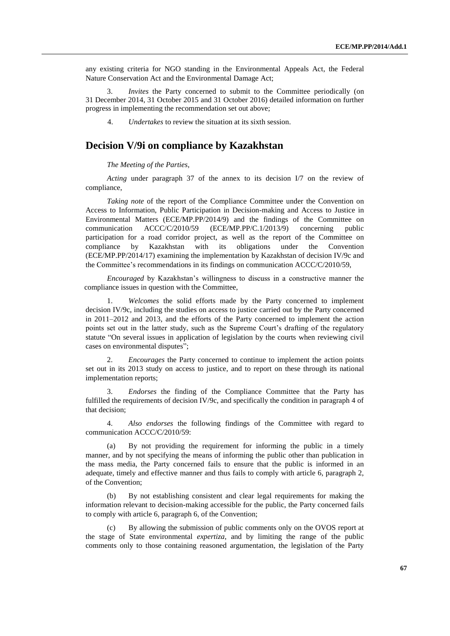any existing criteria for NGO standing in the Environmental Appeals Act, the Federal Nature Conservation Act and the Environmental Damage Act;

3. *Invites* the Party concerned to submit to the Committee periodically (on 31 December 2014, 31 October 2015 and 31 October 2016) detailed information on further progress in implementing the recommendation set out above;

4. *Undertakes* to review the situation at its sixth session.

# **Decision V/9i on compliance by Kazakhstan**

*The Meeting of the Parties*,

*Acting* under paragraph 37 of the annex to its decision I/7 on the review of compliance,

*Taking note* of the report of the Compliance Committee under the Convention on Access to Information, Public Participation in Decision-making and Access to Justice in Environmental Matters (ECE/MP.PP/2014/9) and the findings of the Committee on communication ACCC/C/2010/59 (ECE/MP.PP/C.1/2013/9) concerning public participation for a road corridor project, as well as the report of the Committee on compliance by Kazakhstan with its obligations under the Convention (ECE/MP.PP/2014/17) examining the implementation by Kazakhstan of decision IV/9c and the Committee's recommendations in its findings on communication ACCC/C/2010/59,

*Encouraged* by Kazakhstan's willingness to discuss in a constructive manner the compliance issues in question with the Committee,

1. *Welcomes* the solid efforts made by the Party concerned to implement decision IV/9c, including the studies on access to justice carried out by the Party concerned in 2011–2012 and 2013, and the efforts of the Party concerned to implement the action points set out in the latter study, such as the Supreme Court's drafting of the regulatory statute "On several issues in application of legislation by the courts when reviewing civil cases on environmental disputes";

2. *Encourages* the Party concerned to continue to implement the action points set out in its 2013 study on access to justice, and to report on these through its national implementation reports;

3. *Endorses* the finding of the Compliance Committee that the Party has fulfilled the requirements of decision IV/9c, and specifically the condition in paragraph 4 of that decision;

4. *Also endorses* the following findings of the Committee with regard to communication ACCC/C/2010/59:

(a) By not providing the requirement for informing the public in a timely manner, and by not specifying the means of informing the public other than publication in the mass media, the Party concerned fails to ensure that the public is informed in an adequate, timely and effective manner and thus fails to comply with article 6, paragraph 2, of the Convention;

(b) By not establishing consistent and clear legal requirements for making the information relevant to decision-making accessible for the public, the Party concerned fails to comply with article 6, paragraph 6, of the Convention;

By allowing the submission of public comments only on the OVOS report at the stage of State environmental *expertiza*, and by limiting the range of the public comments only to those containing reasoned argumentation, the legislation of the Party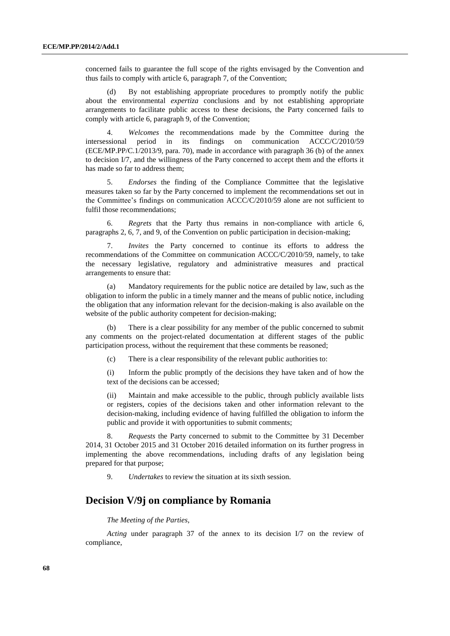concerned fails to guarantee the full scope of the rights envisaged by the Convention and thus fails to comply with article 6, paragraph 7, of the Convention;

(d) By not establishing appropriate procedures to promptly notify the public about the environmental *expertiza* conclusions and by not establishing appropriate arrangements to facilitate public access to these decisions, the Party concerned fails to comply with article 6, paragraph 9, of the Convention;

4. *Welcomes* the recommendations made by the Committee during the intersessional period in its findings on communication ACCC/C/2010/59 (ECE/MP.PP/C.1/2013/9, para. 70), made in accordance with paragraph 36 (b) of the annex to decision I/7, and the willingness of the Party concerned to accept them and the efforts it has made so far to address them;

5. *Endorses* the finding of the Compliance Committee that the legislative measures taken so far by the Party concerned to implement the recommendations set out in the Committee's findings on communication ACCC/C/2010/59 alone are not sufficient to fulfil those recommendations;

6. *Regrets* that the Party thus remains in non-compliance with article 6, paragraphs 2, 6, 7, and 9, of the Convention on public participation in decision-making;

7. *Invites* the Party concerned to continue its efforts to address the recommendations of the Committee on communication ACCC/C/2010/59, namely, to take the necessary legislative, regulatory and administrative measures and practical arrangements to ensure that:

Mandatory requirements for the public notice are detailed by law, such as the obligation to inform the public in a timely manner and the means of public notice, including the obligation that any information relevant for the decision-making is also available on the website of the public authority competent for decision-making;

(b) There is a clear possibility for any member of the public concerned to submit any comments on the project-related documentation at different stages of the public participation process, without the requirement that these comments be reasoned;

(c) There is a clear responsibility of the relevant public authorities to:

(i) Inform the public promptly of the decisions they have taken and of how the text of the decisions can be accessed;

(ii) Maintain and make accessible to the public, through publicly available lists or registers, copies of the decisions taken and other information relevant to the decision-making, including evidence of having fulfilled the obligation to inform the public and provide it with opportunities to submit comments;

8. *Requests* the Party concerned to submit to the Committee by 31 December 2014, 31 October 2015 and 31 October 2016 detailed information on its further progress in implementing the above recommendations, including drafts of any legislation being prepared for that purpose;

9. *Undertakes* to review the situation at its sixth session.

### **Decision V/9j on compliance by Romania**

### *The Meeting of the Parties*,

*Acting* under paragraph 37 of the annex to its decision I/7 on the review of compliance,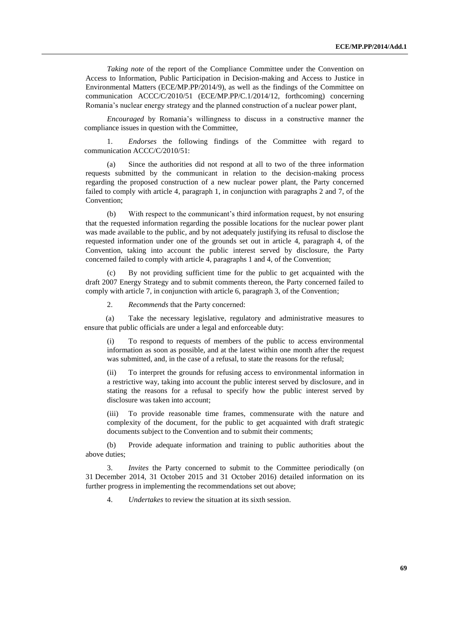*Taking note* of the report of the Compliance Committee under the Convention on Access to Information, Public Participation in Decision-making and Access to Justice in Environmental Matters (ECE/MP.PP/2014/9), as well as the findings of the Committee on communication ACCC/C/2010/51 (ECE/MP.PP/C.1/2014/12, forthcoming) concerning Romania's nuclear energy strategy and the planned construction of a nuclear power plant,

*Encouraged* by Romania's willingness to discuss in a constructive manner the compliance issues in question with the Committee,

1. *Endorses* the following findings of the Committee with regard to communication ACCC/C/2010/51:

(a) Since the authorities did not respond at all to two of the three information requests submitted by the communicant in relation to the decision-making process regarding the proposed construction of a new nuclear power plant, the Party concerned failed to comply with article 4, paragraph 1, in conjunction with paragraphs 2 and 7, of the Convention;

(b) With respect to the communicant's third information request, by not ensuring that the requested information regarding the possible locations for the nuclear power plant was made available to the public, and by not adequately justifying its refusal to disclose the requested information under one of the grounds set out in article 4, paragraph 4, of the Convention, taking into account the public interest served by disclosure, the Party concerned failed to comply with article 4, paragraphs 1 and 4, of the Convention;

(c) By not providing sufficient time for the public to get acquainted with the draft 2007 Energy Strategy and to submit comments thereon, the Party concerned failed to comply with article 7, in conjunction with article 6, paragraph 3, of the Convention;

2. *Recommends* that the Party concerned:

(a) Take the necessary legislative, regulatory and administrative measures to ensure that public officials are under a legal and enforceable duty:

(i) To respond to requests of members of the public to access environmental information as soon as possible, and at the latest within one month after the request was submitted, and, in the case of a refusal, to state the reasons for the refusal;

(ii) To interpret the grounds for refusing access to environmental information in a restrictive way, taking into account the public interest served by disclosure, and in stating the reasons for a refusal to specify how the public interest served by disclosure was taken into account;

(iii) To provide reasonable time frames, commensurate with the nature and complexity of the document, for the public to get acquainted with draft strategic documents subject to the Convention and to submit their comments;

(b) Provide adequate information and training to public authorities about the above duties;

3. *Invites* the Party concerned to submit to the Committee periodically (on 31 December 2014, 31 October 2015 and 31 October 2016) detailed information on its further progress in implementing the recommendations set out above;

4. *Undertakes* to review the situation at its sixth session.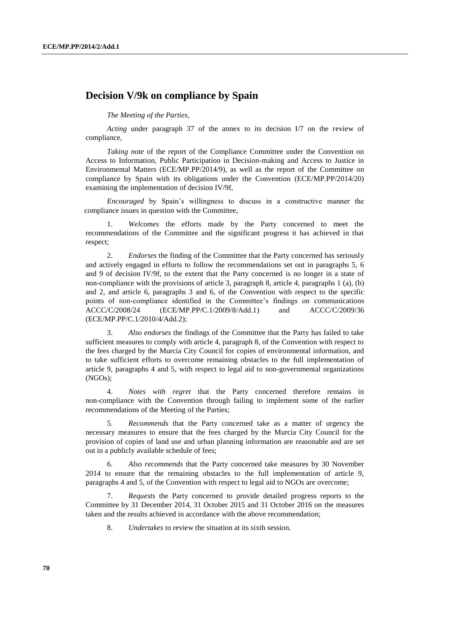# **Decision V/9k on compliance by Spain**

*The Meeting of the Parties,*

*Acting* under paragraph 37 of the annex to its decision I/7 on the review of compliance,

*Taking note* of the report of the Compliance Committee under the Convention on Access to Information, Public Participation in Decision-making and Access to Justice in Environmental Matters (ECE/MP.PP/2014/9), as well as the report of the Committee on compliance by Spain with its obligations under the Convention (ECE/MP.PP/2014/20) examining the implementation of decision IV/9f,

*Encouraged* by Spain's willingness to discuss in a constructive manner the compliance issues in question with the Committee,

1. *Welcomes* the efforts made by the Party concerned to meet the recommendations of the Committee and the significant progress it has achieved in that respect;

2. *Endorses* the finding of the Committee that the Party concerned has seriously and actively engaged in efforts to follow the recommendations set out in paragraphs 5, 6 and 9 of decision IV/9f, to the extent that the Party concerned is no longer in a state of non-compliance with the provisions of article 3, paragraph 8, article 4, paragraphs 1 (a), (b) and 2, and article 6, paragraphs 3 and 6, of the Convention with respect to the specific points of non-compliance identified in the Committee's findings on communications ACCC/C/2008/24 (ECE/MP.PP/C.1/2009/8/Add.1) and ACCC/C/2009/36 (ECE/MP.PP/C.1/2010/4/Add.2);

3. *Also endorses* the findings of the Committee that the Party has failed to take sufficient measures to comply with article 4, paragraph 8, of the Convention with respect to the fees charged by the Murcia City Council for copies of environmental information, and to take sufficient efforts to overcome remaining obstacles to the full implementation of article 9, paragraphs 4 and 5, with respect to legal aid to non-governmental organizations (NGOs);

4. *Notes with regret* that the Party concerned therefore remains in non-compliance with the Convention through failing to implement some of the earlier recommendations of the Meeting of the Parties;

5. *Recommends* that the Party concerned take as a matter of urgency the necessary measures to ensure that the fees charged by the Murcia City Council for the provision of copies of land use and urban planning information are reasonable and are set out in a publicly available schedule of fees;

6. *Also recommends* that the Party concerned take measures by 30 November 2014 to ensure that the remaining obstacles to the full implementation of article 9, paragraphs 4 and 5, of the Convention with respect to legal aid to NGOs are overcome;

7. *Requests* the Party concerned to provide detailed progress reports to the Committee by 31 December 2014, 31 October 2015 and 31 October 2016 on the measures taken and the results achieved in accordance with the above recommendation;

8. *Undertakes* to review the situation at its sixth session.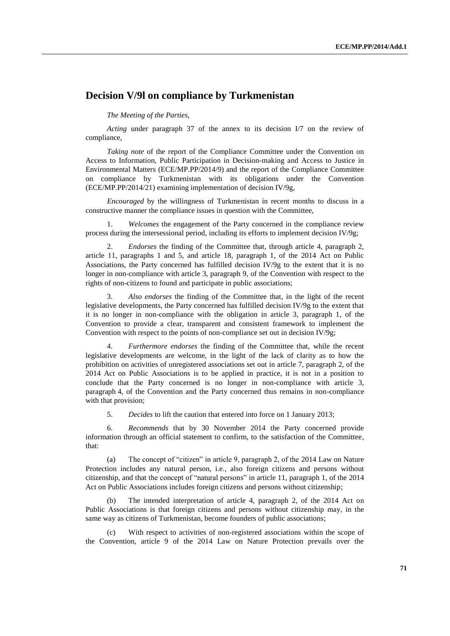## **Decision V/9l on compliance by Turkmenistan**

*The Meeting of the Parties*,

*Acting* under paragraph 37 of the annex to its decision I/7 on the review of compliance,

*Taking note* of the report of the Compliance Committee under the Convention on Access to Information, Public Participation in Decision-making and Access to Justice in Environmental Matters (ECE/MP.PP/2014/9) and the report of the Compliance Committee on compliance by Turkmenistan with its obligations under the Convention (ECE/MP.PP/2014/21) examining implementation of decision IV/9g,

*Encouraged* by the willingness of Turkmenistan in recent months to discuss in a constructive manner the compliance issues in question with the Committee,

1. *Welcomes* the engagement of the Party concerned in the compliance review process during the intersessional period, including its efforts to implement decision IV/9g;

2. *Endorses* the finding of the Committee that, through article 4, paragraph 2, article 11, paragraphs 1 and 5, and article 18, paragraph 1, of the 2014 Act on Public Associations, the Party concerned has fulfilled decision IV/9g to the extent that it is no longer in non-compliance with article 3, paragraph 9, of the Convention with respect to the rights of non-citizens to found and participate in public associations;

Also endorses the finding of the Committee that, in the light of the recent legislative developments, the Party concerned has fulfilled decision IV/9g to the extent that it is no longer in non-compliance with the obligation in article 3, paragraph 1, of the Convention to provide a clear, transparent and consistent framework to implement the Convention with respect to the points of non-compliance set out in decision IV/9g;

4. *Furthermore endorses* the finding of the Committee that, while the recent legislative developments are welcome, in the light of the lack of clarity as to how the prohibition on activities of unregistered associations set out in article 7, paragraph 2, of the 2014 Act on Public Associations is to be applied in practice, it is not in a position to conclude that the Party concerned is no longer in non-compliance with article 3, paragraph 4, of the Convention and the Party concerned thus remains in non-compliance with that provision;

5. *Decides* to lift the caution that entered into force on 1 January 2013;

6. *Recommends* that by 30 November 2014 the Party concerned provide information through an official statement to confirm, to the satisfaction of the Committee, that:

(a) The concept of "citizen" in article 9, paragraph 2, of the 2014 Law on Nature Protection includes any natural person, i.e., also foreign citizens and persons without citizenship, and that the concept of "natural persons" in article 11, paragraph 1, of the 2014 Act on Public Associations includes foreign citizens and persons without citizenship;

(b) The intended interpretation of article 4, paragraph 2, of the 2014 Act on Public Associations is that foreign citizens and persons without citizenship may, in the same way as citizens of Turkmenistan, become founders of public associations;

With respect to activities of non-registered associations within the scope of the Convention, article 9 of the 2014 Law on Nature Protection prevails over the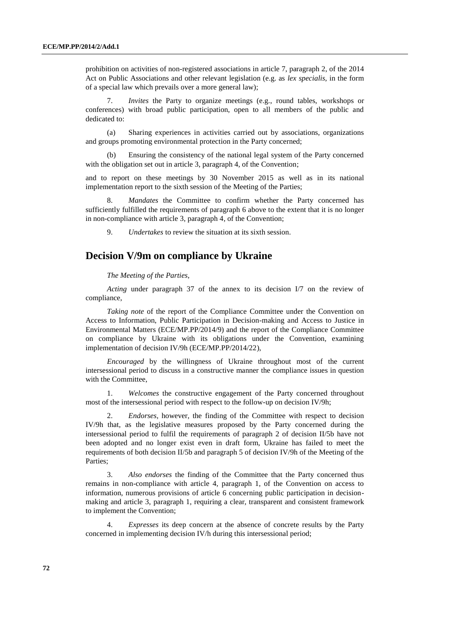prohibition on activities of non-registered associations in article 7, paragraph 2, of the 2014 Act on Public Associations and other relevant legislation (e.g. as *lex specialis*, in the form of a special law which prevails over a more general law);

7. *Invites* the Party to organize meetings (e.g., round tables, workshops or conferences) with broad public participation, open to all members of the public and dedicated to:

(a) Sharing experiences in activities carried out by associations, organizations and groups promoting environmental protection in the Party concerned;

(b) Ensuring the consistency of the national legal system of the Party concerned with the obligation set out in article 3, paragraph 4, of the Convention;

and to report on these meetings by 30 November 2015 as well as in its national implementation report to the sixth session of the Meeting of the Parties;

8. *Mandates* the Committee to confirm whether the Party concerned has sufficiently fulfilled the requirements of paragraph 6 above to the extent that it is no longer in non-compliance with article 3, paragraph 4, of the Convention;

9. *Undertakes* to review the situation at its sixth session.

## **Decision V/9m on compliance by Ukraine**

### *The Meeting of the Parties*,

*Acting* under paragraph 37 of the annex to its decision I/7 on the review of compliance,

*Taking note* of the report of the Compliance Committee under the Convention on Access to Information, Public Participation in Decision-making and Access to Justice in Environmental Matters (ECE/MP.PP/2014/9) and the report of the Compliance Committee on compliance by Ukraine with its obligations under the Convention, examining implementation of decision IV/9h (ECE/MP.PP/2014/22),

*Encouraged* by the willingness of Ukraine throughout most of the current intersessional period to discuss in a constructive manner the compliance issues in question with the Committee,

1. *Welcomes* the constructive engagement of the Party concerned throughout most of the intersessional period with respect to the follow-up on decision IV/9h;

2. *Endorses*, however, the finding of the Committee with respect to decision IV/9h that, as the legislative measures proposed by the Party concerned during the intersessional period to fulfil the requirements of paragraph 2 of decision II/5b have not been adopted and no longer exist even in draft form, Ukraine has failed to meet the requirements of both decision II/5b and paragraph 5 of decision IV/9h of the Meeting of the Parties;

3. *Also endorses* the finding of the Committee that the Party concerned thus remains in non-compliance with article 4, paragraph 1, of the Convention on access to information, numerous provisions of article 6 concerning public participation in decisionmaking and article 3, paragraph 1, requiring a clear, transparent and consistent framework to implement the Convention;

4. *Expresses* its deep concern at the absence of concrete results by the Party concerned in implementing decision IV/h during this intersessional period;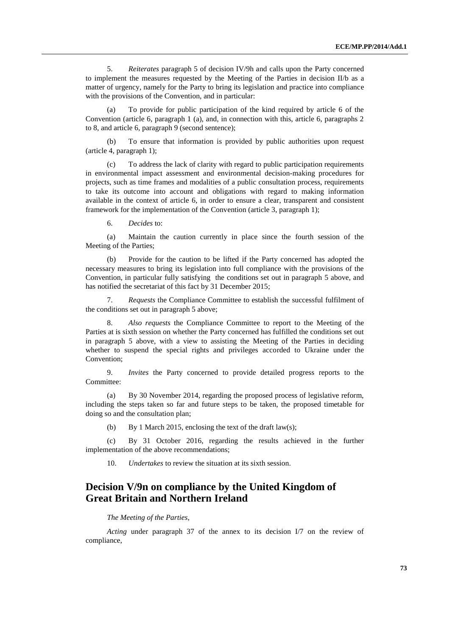5. *Reiterates* paragraph 5 of decision IV/9h and calls upon the Party concerned to implement the measures requested by the Meeting of the Parties in decision II/b as a matter of urgency, namely for the Party to bring its legislation and practice into compliance with the provisions of the Convention, and in particular:

(a) To provide for public participation of the kind required by article 6 of the Convention (article 6, paragraph 1 (a), and, in connection with this, article 6, paragraphs 2 to 8, and article 6, paragraph 9 (second sentence);

(b) To ensure that information is provided by public authorities upon request (article 4, paragraph 1);

(c) To address the lack of clarity with regard to public participation requirements in environmental impact assessment and environmental decision-making procedures for projects, such as time frames and modalities of a public consultation process, requirements to take its outcome into account and obligations with regard to making information available in the context of article 6, in order to ensure a clear, transparent and consistent framework for the implementation of the Convention (article 3, paragraph 1);

6. *Decides* to:

(a) Maintain the caution currently in place since the fourth session of the Meeting of the Parties;

(b) Provide for the caution to be lifted if the Party concerned has adopted the necessary measures to bring its legislation into full compliance with the provisions of the Convention, in particular fully satisfying the conditions set out in paragraph 5 above, and has notified the secretariat of this fact by 31 December 2015;

7. *Requests* the Compliance Committee to establish the successful fulfilment of the conditions set out in paragraph 5 above;

8. *Also requests* the Compliance Committee to report to the Meeting of the Parties at is sixth session on whether the Party concerned has fulfilled the conditions set out in paragraph 5 above, with a view to assisting the Meeting of the Parties in deciding whether to suspend the special rights and privileges accorded to Ukraine under the Convention;

9. *Invites* the Party concerned to provide detailed progress reports to the Committee:

(a) By 30 November 2014, regarding the proposed process of legislative reform, including the steps taken so far and future steps to be taken, the proposed timetable for doing so and the consultation plan;

(b) By 1 March 2015, enclosing the text of the draft law(s);

(c) By 31 October 2016, regarding the results achieved in the further implementation of the above recommendations;

10. *Undertakes* to review the situation at its sixth session.

## **Decision V/9n on compliance by the United Kingdom of Great Britain and Northern Ireland**

## *The Meeting of the Parties*,

*Acting* under paragraph 37 of the annex to its decision I/7 on the review of compliance,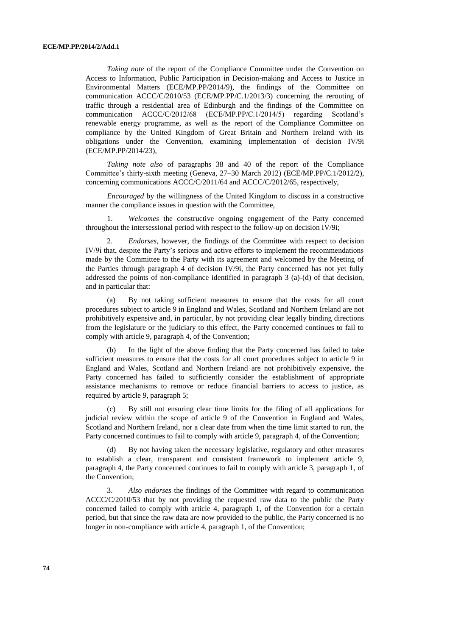*Taking note* of the report of the Compliance Committee under the Convention on Access to Information, Public Participation in Decision-making and Access to Justice in Environmental Matters (ECE/MP.PP/2014/9), the findings of the Committee on communication ACCC/C/2010/53 (ECE/MP.PP/C.1/2013/3) concerning the rerouting of traffic through a residential area of Edinburgh and the findings of the Committee on communication ACCC/C/2012/68 (ECE/MP.PP/C.1/2014/5) regarding Scotland's renewable energy programme, as well as the report of the Compliance Committee on compliance by the United Kingdom of Great Britain and Northern Ireland with its obligations under the Convention, examining implementation of decision IV/9i (ECE/MP.PP/2014/23),

*Taking note also* of paragraphs 38 and 40 of the report of the Compliance Committee's thirty-sixth meeting (Geneva, 27–30 March 2012) (ECE/MP.PP/C.1/2012/2), concerning communications  $ACCC/C/2011/64$  and  $ACCC/C/2012/65$ , respectively,

*Encouraged* by the willingness of the United Kingdom to discuss in a constructive manner the compliance issues in question with the Committee,

1. *Welcomes* the constructive ongoing engagement of the Party concerned throughout the intersessional period with respect to the follow-up on decision IV/9i;

2. *Endorses*, however, the findings of the Committee with respect to decision IV/9i that, despite the Party's serious and active efforts to implement the recommendations made by the Committee to the Party with its agreement and welcomed by the Meeting of the Parties through paragraph 4 of decision IV/9i, the Party concerned has not yet fully addressed the points of non-compliance identified in paragraph 3 (a)-(d) of that decision, and in particular that:

(a) By not taking sufficient measures to ensure that the costs for all court procedures subject to article 9 in England and Wales, Scotland and Northern Ireland are not prohibitively expensive and, in particular, by not providing clear legally binding directions from the legislature or the judiciary to this effect, the Party concerned continues to fail to comply with article 9, paragraph 4, of the Convention;

(b) In the light of the above finding that the Party concerned has failed to take sufficient measures to ensure that the costs for all court procedures subject to article 9 in England and Wales, Scotland and Northern Ireland are not prohibitively expensive, the Party concerned has failed to sufficiently consider the establishment of appropriate assistance mechanisms to remove or reduce financial barriers to access to justice, as required by article 9, paragraph 5;

(c) By still not ensuring clear time limits for the filing of all applications for judicial review within the scope of article 9 of the Convention in England and Wales, Scotland and Northern Ireland, nor a clear date from when the time limit started to run, the Party concerned continues to fail to comply with article 9, paragraph 4, of the Convention;

(d) By not having taken the necessary legislative, regulatory and other measures to establish a clear, transparent and consistent framework to implement article 9, paragraph 4, the Party concerned continues to fail to comply with article 3, paragraph 1, of the Convention;

3. *Also endorses* the findings of the Committee with regard to communication ACCC/C/2010/53 that by not providing the requested raw data to the public the Party concerned failed to comply with article 4, paragraph 1, of the Convention for a certain period, but that since the raw data are now provided to the public, the Party concerned is no longer in non-compliance with article 4, paragraph 1, of the Convention;